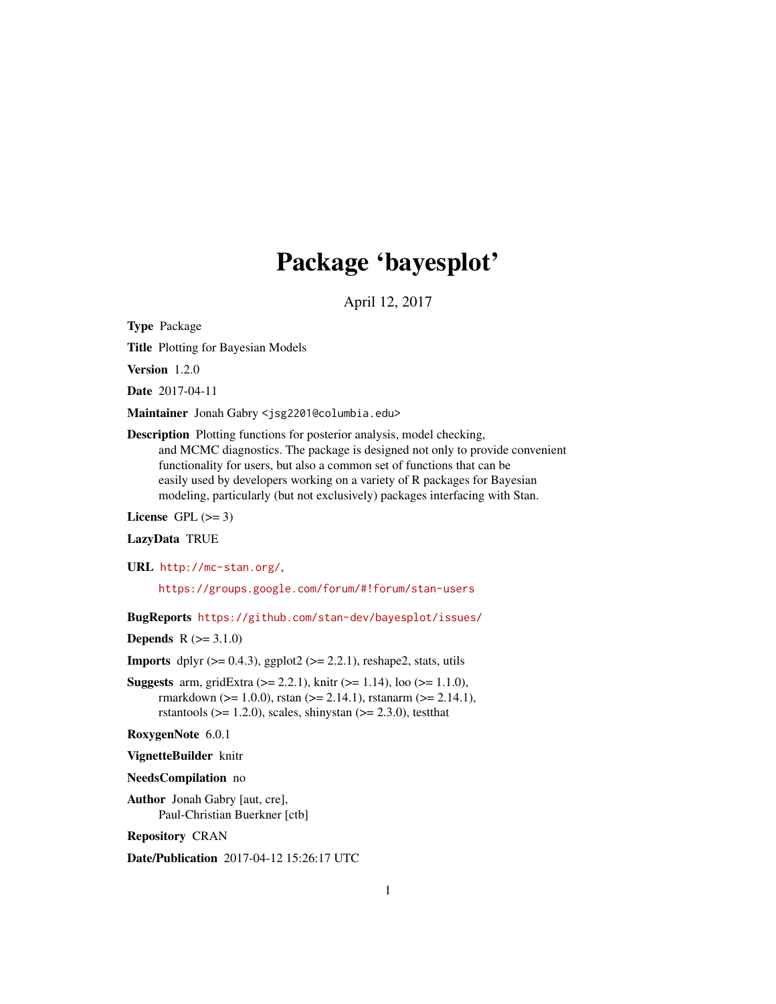# Package 'bayesplot'

April 12, 2017

<span id="page-0-0"></span>Type Package

Title Plotting for Bayesian Models

Version 1.2.0

Date 2017-04-11

Maintainer Jonah Gabry <jsg2201@columbia.edu>

Description Plotting functions for posterior analysis, model checking, and MCMC diagnostics. The package is designed not only to provide convenient functionality for users, but also a common set of functions that can be easily used by developers working on a variety of R packages for Bayesian modeling, particularly (but not exclusively) packages interfacing with Stan.

License GPL  $(>= 3)$ 

## LazyData TRUE

URL <http://mc-stan.org/>,

<https://groups.google.com/forum/#!forum/stan-users>

BugReports <https://github.com/stan-dev/bayesplot/issues/>

**Depends**  $R (= 3.1.0)$ 

**Imports** dplyr  $(>= 0.4.3)$ , ggplot2  $(>= 2.2.1)$ , reshape2, stats, utils

**Suggests** arm, gridExtra  $(>= 2.2.1)$ , knitr  $(>= 1.14)$ , loo  $(>= 1.1.0)$ , rmarkdown (>= 1.0.0), rstan (>= 2.14.1), rstanarm (>= 2.14.1), rstantools ( $>= 1.2.0$ ), scales, shinystan ( $>= 2.3.0$ ), testthat

RoxygenNote 6.0.1

VignetteBuilder knitr

NeedsCompilation no

Author Jonah Gabry [aut, cre], Paul-Christian Buerkner [ctb]

Repository CRAN

Date/Publication 2017-04-12 15:26:17 UTC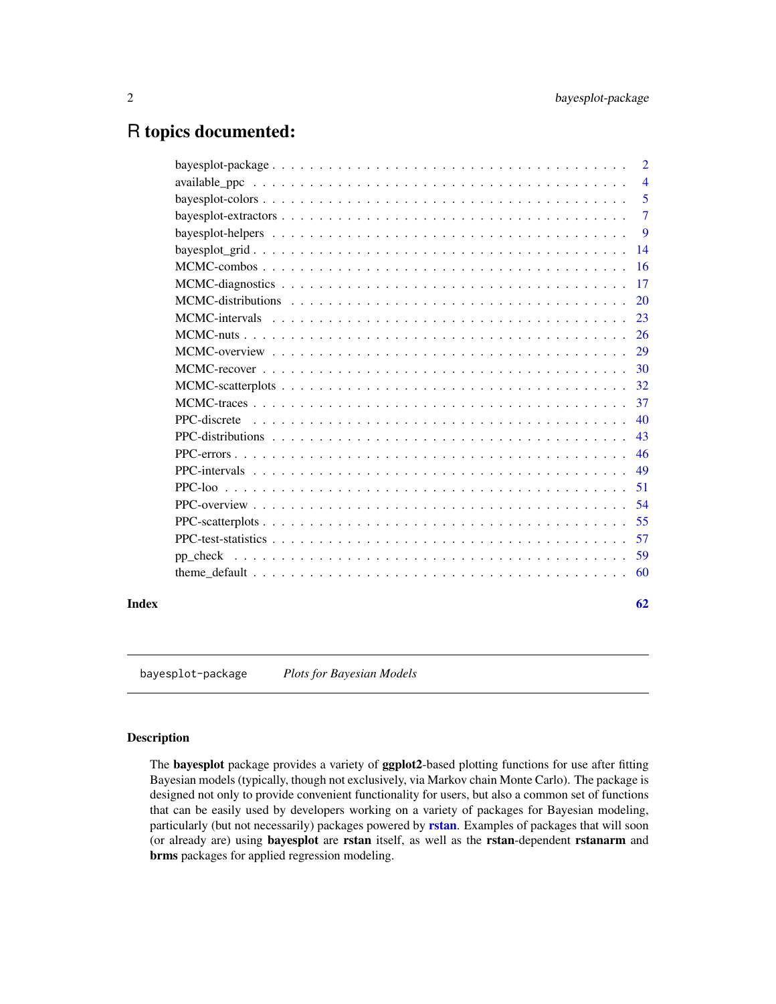# <span id="page-1-0"></span>R topics documented:

| Index | 62             |
|-------|----------------|
|       | 60             |
|       | 59             |
|       |                |
|       |                |
|       |                |
|       |                |
|       | 49             |
|       | 46             |
|       | 43             |
|       |                |
|       |                |
|       |                |
|       |                |
|       |                |
|       |                |
|       | 23             |
|       |                |
|       |                |
|       | <b>16</b>      |
|       | 14             |
|       | 9              |
|       | $\overline{7}$ |
|       | 5              |
|       | $\overline{4}$ |
|       | $\overline{2}$ |

bayesplot-package *Plots for Bayesian Models*

## Description

The bayesplot package provides a variety of ggplot2-based plotting functions for use after fitting Bayesian models (typically, though not exclusively, via Markov chain Monte Carlo). The package is designed not only to provide convenient functionality for users, but also a common set of functions that can be easily used by developers working on a variety of packages for Bayesian modeling, particularly (but not necessarily) packages powered by [rstan](#page-0-0). Examples of packages that will soon (or already are) using bayesplot are rstan itself, as well as the rstan-dependent rstanarm and brms packages for applied regression modeling.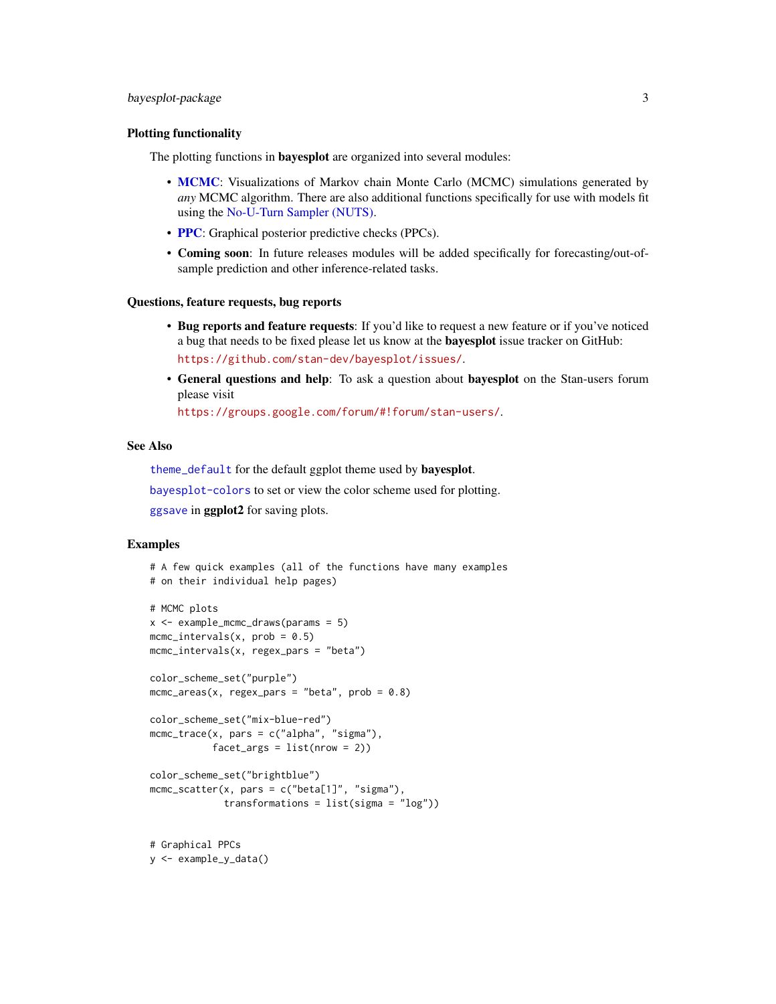#### <span id="page-2-0"></span>Plotting functionality

The plotting functions in bayesplot are organized into several modules:

- [MCMC](#page-28-1): Visualizations of Markov chain Monte Carlo (MCMC) simulations generated by *any* MCMC algorithm. There are also additional functions specifically for use with models fit using the [No-U-Turn Sampler \(NUTS\).](#page-25-1)
- **[PPC](#page-53-1)**: Graphical posterior predictive checks (PPCs).
- Coming soon: In future releases modules will be added specifically for forecasting/out-ofsample prediction and other inference-related tasks.

#### Questions, feature requests, bug reports

- Bug reports and feature requests: If you'd like to request a new feature or if you've noticed a bug that needs to be fixed please let us know at the bayesplot issue tracker on GitHub: <https://github.com/stan-dev/bayesplot/issues/>.
- General questions and help: To ask a question about bayesplot on the Stan-users forum please visit

<https://groups.google.com/forum/#!forum/stan-users/>.

## See Also

[theme\\_default](#page-59-1) for the default ggplot theme used by bayesplot.

[bayesplot-colors](#page-4-1) to set or view the color scheme used for plotting.

[ggsave](#page-0-0) in ggplot2 for saving plots.

```
# A few quick examples (all of the functions have many examples
# on their individual help pages)
# MCMC plots
x <- example_mcmc_draws(params = 5)
mcmc_intervals(x, prob = 0.5)
mcmc_intervals(x, regex_pars = "beta")
color_scheme_set("purple")
mcmc_areas(x, regex_pars = "beta", prob = 0.8)
color_scheme_set("mix-blue-red")
mcmc_trace(x, pars = c("alpha", "sigma"),
           facet_{args} = list(nrow = 2)color_scheme_set("brightblue")
mcmc_scatter(x, pars = c("beta[1]", "sigma"),
             transformations = list(sigma = "log"))
# Graphical PPCs
y <- example_y_data()
```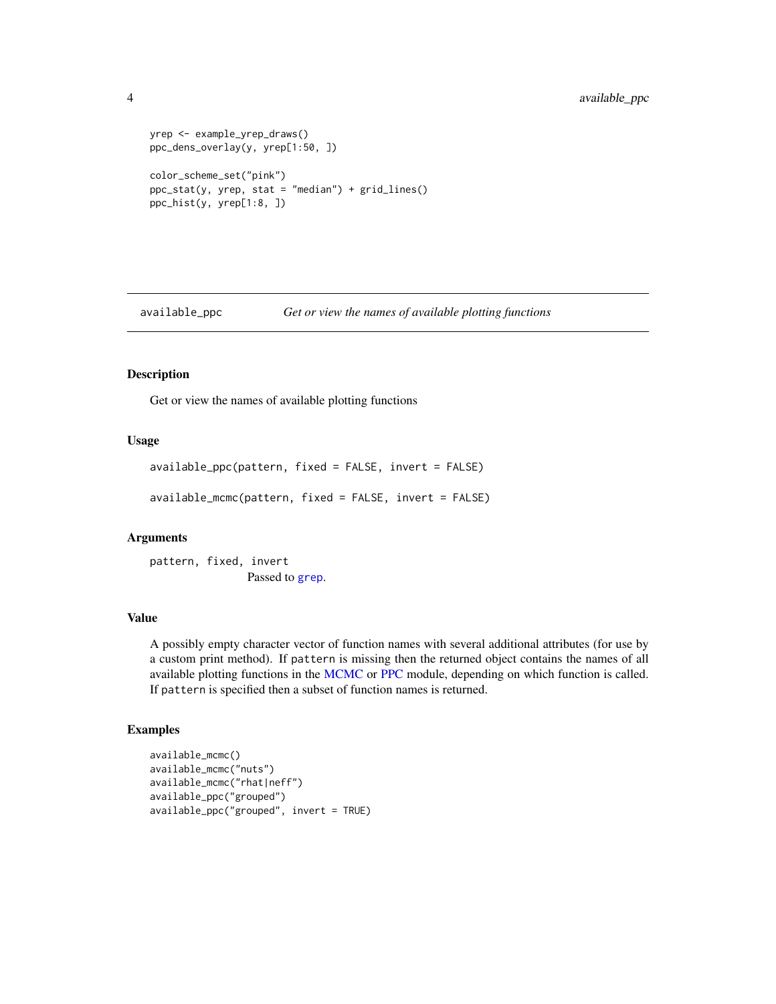```
yrep <- example_yrep_draws()
ppc_dens_overlay(y, yrep[1:50, ])
color_scheme_set("pink")
ppc\_stat(y, yrep, stat = "median") + grid\_lines()ppc_hist(y, yrep[1:8, ])
```
available\_ppc *Get or view the names of available plotting functions*

#### Description

Get or view the names of available plotting functions

## Usage

```
available_ppc(pattern, fixed = FALSE, invert = FALSE)
available_mcmc(pattern, fixed = FALSE, invert = FALSE)
```
#### Arguments

pattern, fixed, invert Passed to [grep](#page-0-0).

## Value

A possibly empty character vector of function names with several additional attributes (for use by a custom print method). If pattern is missing then the returned object contains the names of all available plotting functions in the [MCMC](#page-28-2) or [PPC](#page-53-2) module, depending on which function is called. If pattern is specified then a subset of function names is returned.

```
available_mcmc()
available_mcmc("nuts")
available_mcmc("rhat|neff")
available_ppc("grouped")
available_ppc("grouped", invert = TRUE)
```
<span id="page-3-0"></span>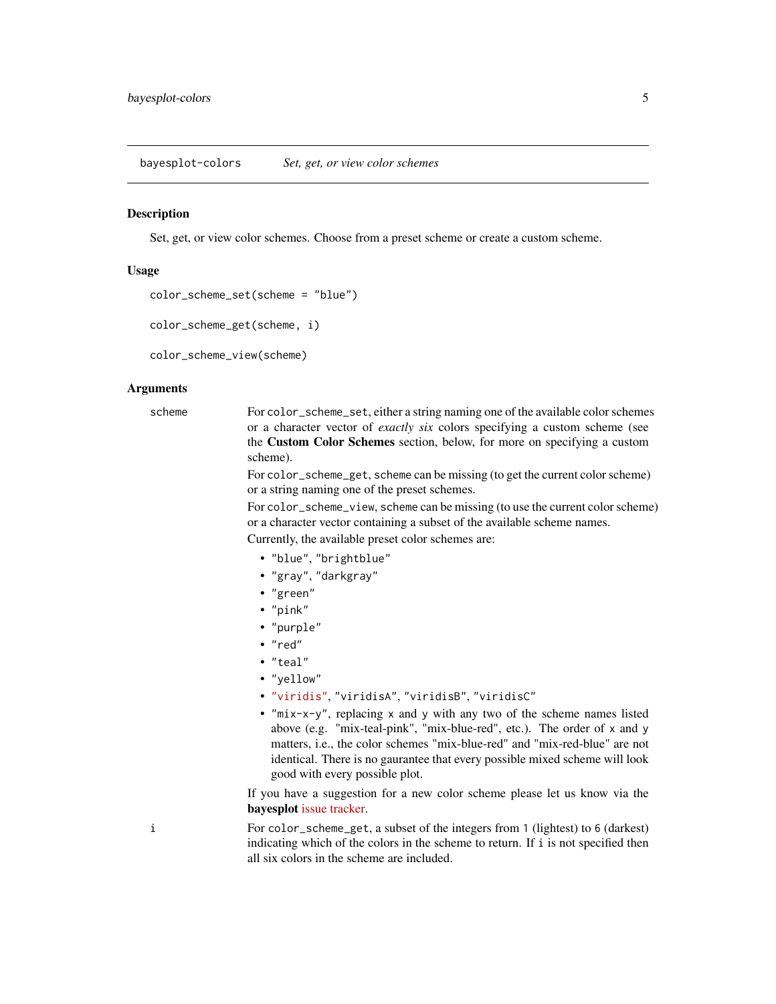<span id="page-4-1"></span><span id="page-4-0"></span>bayesplot-colors *Set, get, or view color schemes*

#### **Description**

Set, get, or view color schemes. Choose from a preset scheme or create a custom scheme.

## Usage

```
color_scheme_set(scheme = "blue")
```

```
color_scheme_get(scheme, i)
```
color\_scheme\_view(scheme)

## Arguments

scheme For color\_scheme\_set, either a string naming one of the available color schemes or a character vector of *exactly six* colors specifying a custom scheme (see the Custom Color Schemes section, below, for more on specifying a custom scheme).

> For color\_scheme\_get, scheme can be missing (to get the current color scheme) or a string naming one of the preset schemes.

For color\_scheme\_view, scheme can be missing (to use the current color scheme) or a character vector containing a subset of the available scheme names.

Currently, the available preset color schemes are:

- "blue", "brightblue"
- "gray", "darkgray"
- "green"
- "pink"
- "purple"
- "red"
- "teal"
- "yellow"
- ["viridis"](https://CRAN.R-project.org/package=viridis), "viridisA", "viridisB", "viridisC"
- "mix-x-y", replacing x and y with any two of the scheme names listed above (e.g. "mix-teal-pink", "mix-blue-red", etc.). The order of x and y matters, i.e., the color schemes "mix-blue-red" and "mix-red-blue" are not identical. There is no gaurantee that every possible mixed scheme will look good with every possible plot.

If you have a suggestion for a new color scheme please let us know via the bayesplot [issue tracker.](https://github.com/stan-dev/bayesplot/issues)

i For color\_scheme\_get, a subset of the integers from 1 (lightest) to 6 (darkest) indicating which of the colors in the scheme to return. If i is not specified then all six colors in the scheme are included.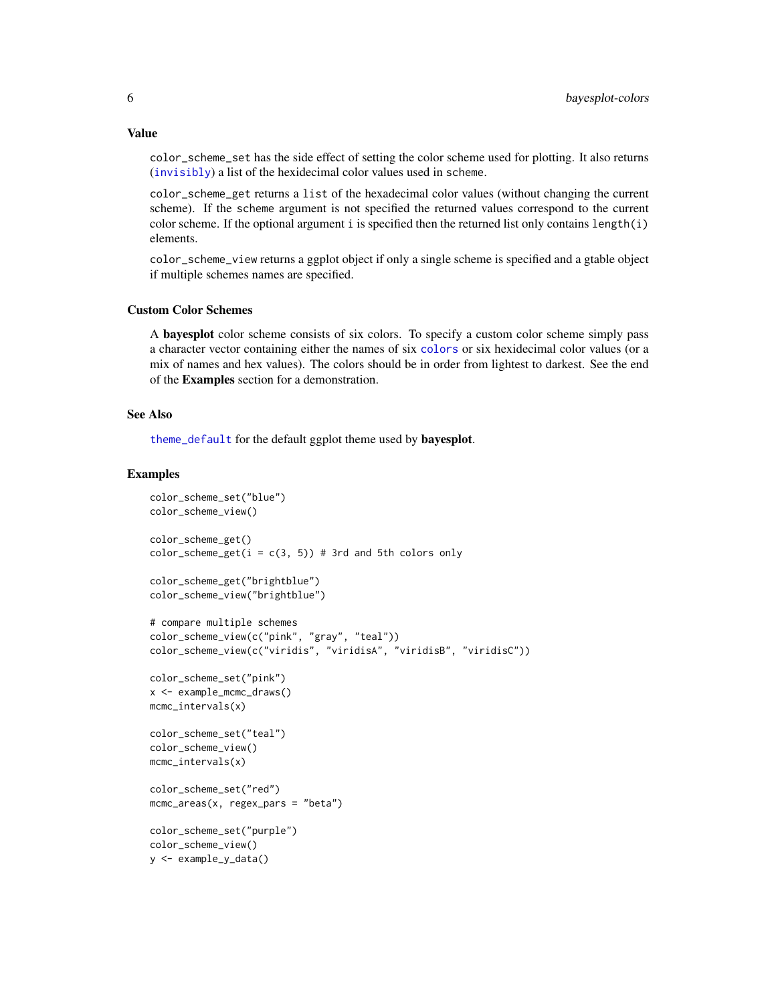Value

color\_scheme\_set has the side effect of setting the color scheme used for plotting. It also returns ([invisibly](#page-0-0)) a list of the hexidecimal color values used in scheme.

color\_scheme\_get returns a list of the hexadecimal color values (without changing the current scheme). If the scheme argument is not specified the returned values correspond to the current color scheme. If the optional argument i is specified then the returned list only contains length(i) elements.

color\_scheme\_view returns a ggplot object if only a single scheme is specified and a gtable object if multiple schemes names are specified.

## Custom Color Schemes

A bayesplot color scheme consists of six colors. To specify a custom color scheme simply pass a character vector containing either the names of six [colors](#page-0-0) or six hexidecimal color values (or a mix of names and hex values). The colors should be in order from lightest to darkest. See the end of the Examples section for a demonstration.

## See Also

[theme\\_default](#page-59-1) for the default ggplot theme used by bayesplot.

```
color_scheme_set("blue")
color_scheme_view()
color_scheme_get()
color_scheme\_get(i = c(3, 5)) # 3rd and 5th colors only
color_scheme_get("brightblue")
color_scheme_view("brightblue")
# compare multiple schemes
color_scheme_view(c("pink", "gray", "teal"))
color_scheme_view(c("viridis", "viridisA", "viridisB", "viridisC"))
color_scheme_set("pink")
x <- example_mcmc_draws()
mcmc_intervals(x)
color_scheme_set("teal")
color_scheme_view()
mcmc_intervals(x)
color_scheme_set("red")
mcmc_areas(x, regex_pars = "beta")
color_scheme_set("purple")
color_scheme_view()
y <- example_y_data()
```
<span id="page-5-0"></span>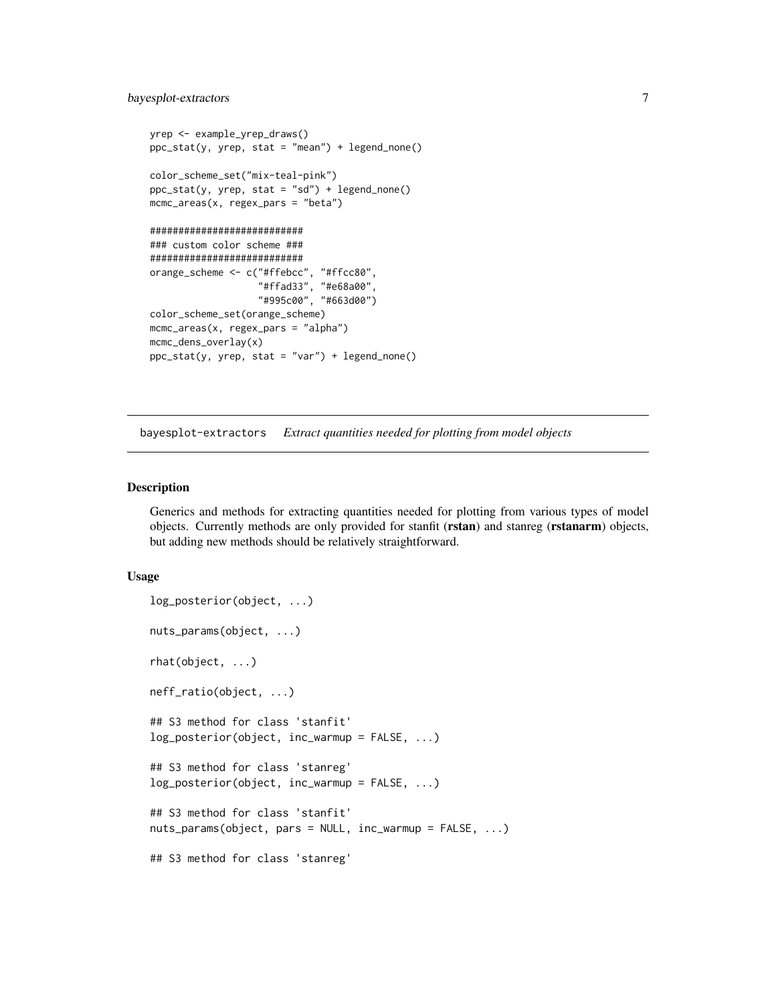## <span id="page-6-0"></span>bayesplot-extractors 7

```
yrep <- example_yrep_draws()
ppc\_stat(y, yrep, stat = "mean") + legend\_none()color_scheme_set("mix-teal-pink")
ppc\_stat(y, yrep, stat = "sd") + legend\_none()mcmc_areas(x, regex_pars = "beta")
###########################
### custom color scheme ###
###########################
orange_scheme <- c("#ffebcc", "#ffcc80",
                   "#ffad33", "#e68a00",
                   "#995c00", "#663d00")
color_scheme_set(orange_scheme)
mcmc_areas(x, regex_pars = "alpha")
mcmc_dens_overlay(x)
ppc_stat(y, yrep, stat = "var") + legend_none()
```
bayesplot-extractors *Extract quantities needed for plotting from model objects*

## <span id="page-6-1"></span>**Description**

Generics and methods for extracting quantities needed for plotting from various types of model objects. Currently methods are only provided for stanfit (rstan) and stanreg (rstanarm) objects, but adding new methods should be relatively straightforward.

## Usage

```
log_posterior(object, ...)
nuts_params(object, ...)
rhat(object, ...)
neff_ratio(object, ...)
## S3 method for class 'stanfit'
log_posterior(object, inc_warmup = FALSE, ...)
## S3 method for class 'stanreg'
log_{10}posterior(object, inc_warmup = FALSE, ...)
## S3 method for class 'stanfit'
nuts_params(object, pars = NULL, inc_warmup = FALSE, ...)
## S3 method for class 'stanreg'
```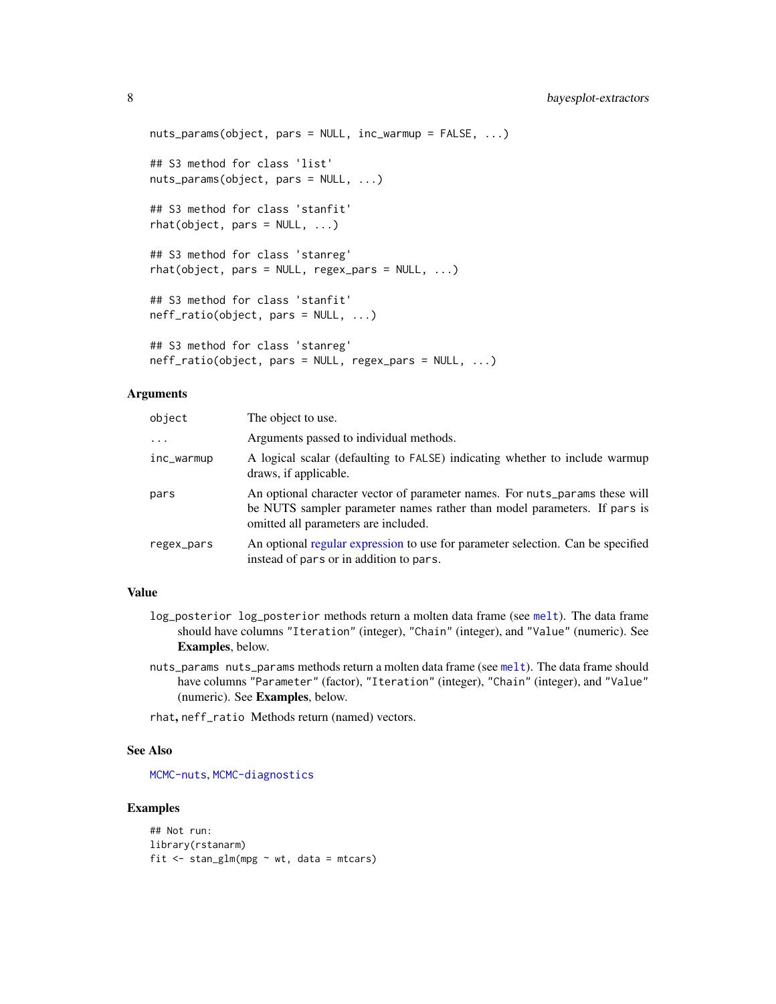```
nuts_params(object, pars = NULL, inc_warmup = FALSE, ...)
## S3 method for class 'list'
nuts_params(object, pars = NULL, ...)
## S3 method for class 'stanfit'
rhat(object, pars = NULL, ...)## S3 method for class 'stanreg'
rhat(object, pars = NULL, regex\_pars = NULL, ...)## S3 method for class 'stanfit'
neff_ratio(object, pars = NULL, ...)
## S3 method for class 'stanreg'
neff_ratio(object, pars = NULL, regex_pars = NULL, ...)
```
## Arguments

| object     | The object to use.                                                                                                                                                                              |
|------------|-------------------------------------------------------------------------------------------------------------------------------------------------------------------------------------------------|
| $\ddots$   | Arguments passed to individual methods.                                                                                                                                                         |
| inc_warmup | A logical scalar (defaulting to FALSE) indicating whether to include warmup<br>draws, if applicable.                                                                                            |
| pars       | An optional character vector of parameter names. For nuts_params these will<br>be NUTS sampler parameter names rather than model parameters. If pars is<br>omitted all parameters are included. |
| regex_pars | An optional regular expression to use for parameter selection. Can be specified<br>instead of pars or in addition to pars.                                                                      |

## Value

- log\_posterior log\_posterior methods return a molten data frame (see [melt](#page-0-0)). The data frame should have columns "Iteration" (integer), "Chain" (integer), and "Value" (numeric). See Examples, below.
- nuts\_params nuts\_params methods return a molten data frame (see [melt](#page-0-0)). The data frame should have columns "Parameter" (factor), "Iteration" (integer), "Chain" (integer), and "Value" (numeric). See Examples, below.

rhat, neff\_ratio Methods return (named) vectors.

## See Also

[MCMC-nuts](#page-25-2), [MCMC-diagnostics](#page-16-1)

```
## Not run:
library(rstanarm)
fit \le stan_glm(mpg \sim wt, data = mtcars)
```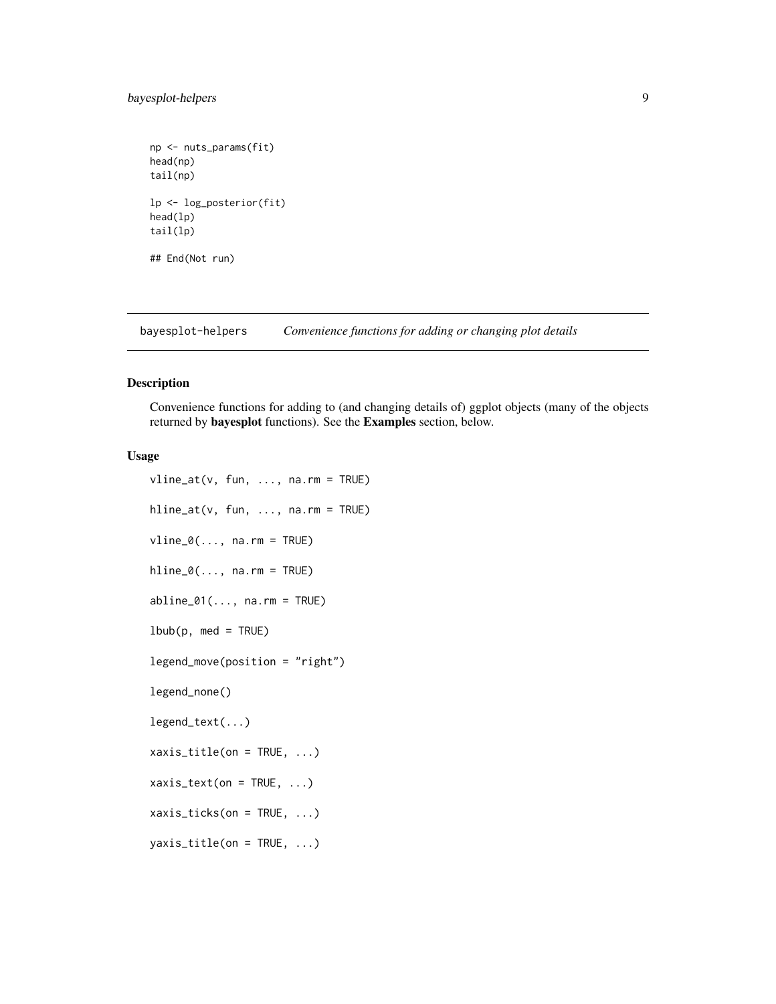## <span id="page-8-0"></span>bayesplot-helpers 9

```
np <- nuts_params(fit)
head(np)
tail(np)
lp <- log_posterior(fit)
head(lp)
tail(lp)
## End(Not run)
```
<span id="page-8-2"></span>bayesplot-helpers *Convenience functions for adding or changing plot details*

## <span id="page-8-1"></span>Description

Convenience functions for adding to (and changing details of) ggplot objects (many of the objects returned by bayesplot functions). See the Examples section, below.

## Usage

```
vline_at(v, fun, ..., na.rm = TRUE)
hline_at(v, fun, ..., na.rm = TRUE)
vline_0(..., na.rm = TRUE)hline_0(\ldots, na.rm = TRUE)abline_01(..., na.rm = TRUE)lbbb(p, med = TRUE)legend_move(position = "right")
legend_none()
legend_text(...)
xaxis_title(on = TRUE, ...)
xaxis\_text(on = TRUE, ...)
xaxis\_ticks(on = TRUE, ...)
yaxis_title(on = TRUE, ...)
```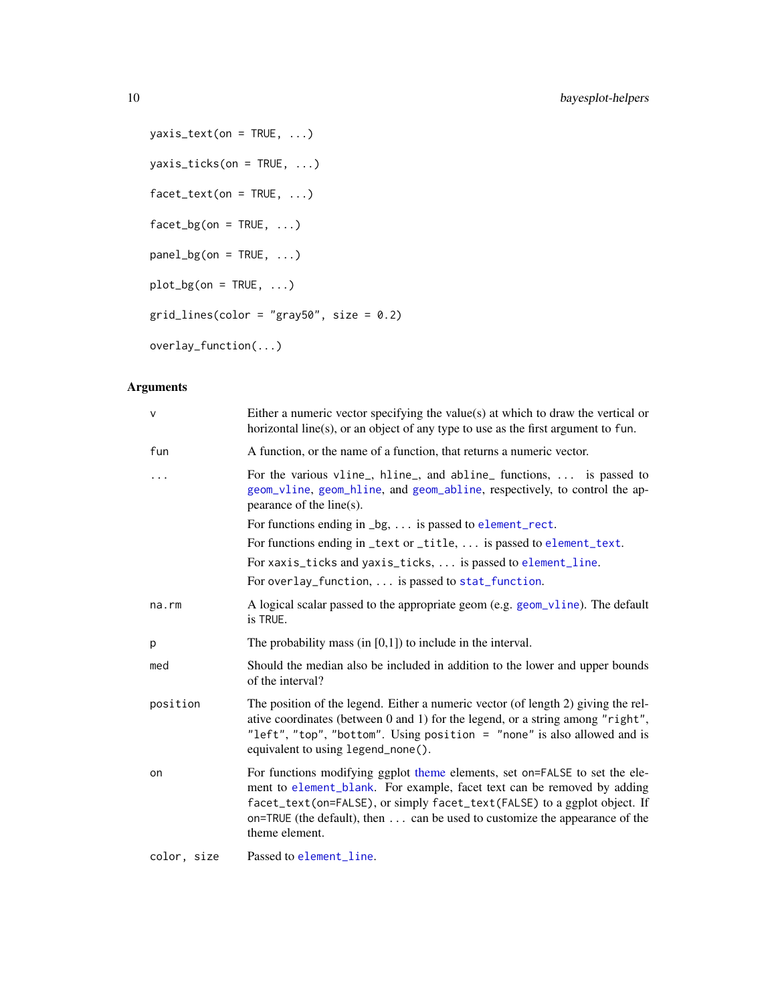```
yaxis\_text(on = TRUE, ...)yaxis_ticks(on = TRUE, ...)
factor\_text(on = TRUE, ...)facet_bg(on = TRUE, ...)panel_bg(on = TRUE, ...)
plot_bg(on = TRUE, \ldots)
grid\_lines(color = "gray50", size = 0.2)overlay_function(...)
```
# Arguments

| $\vee$      | Either a numeric vector specifying the value(s) at which to draw the vertical or<br>horizontal line(s), or an object of any type to use as the first argument to fun.                                                                                                                                                              |
|-------------|------------------------------------------------------------------------------------------------------------------------------------------------------------------------------------------------------------------------------------------------------------------------------------------------------------------------------------|
| fun         | A function, or the name of a function, that returns a numeric vector.                                                                                                                                                                                                                                                              |
| $\cdots$    | For the various vline, hline, and abline functions,  is passed to<br>geom_vline, geom_hline, and geom_abline, respectively, to control the ap-<br>pearance of the line(s).                                                                                                                                                         |
|             | For functions ending in _bg,  is passed to element_rect.                                                                                                                                                                                                                                                                           |
|             | For functions ending in _text or _title,  is passed to element_text.                                                                                                                                                                                                                                                               |
|             | For xaxis_ticks and yaxis_ticks,  is passed to element_line.                                                                                                                                                                                                                                                                       |
|             | For overlay_function,  is passed to stat_function.                                                                                                                                                                                                                                                                                 |
| na.rm       | A logical scalar passed to the appropriate geom (e.g. geom_vline). The default<br>is TRUE.                                                                                                                                                                                                                                         |
| p           | The probability mass (in $[0,1]$ ) to include in the interval.                                                                                                                                                                                                                                                                     |
| med         | Should the median also be included in addition to the lower and upper bounds<br>of the interval?                                                                                                                                                                                                                                   |
| position    | The position of the legend. Either a numeric vector (of length 2) giving the rel-<br>ative coordinates (between 0 and 1) for the legend, or a string among "right",<br>"left", "top", "bottom". Using position = "none" is also allowed and is<br>equivalent to using legend_none().                                               |
| on          | For functions modifying ggplot theme elements, set on=FALSE to set the ele-<br>ment to element_blank. For example, facet text can be removed by adding<br>facet_text(on=FALSE), or simply facet_text(FALSE) to a ggplot object. If<br>on=TRUE (the default), then can be used to customize the appearance of the<br>theme element. |
| color, size | Passed to element_line.                                                                                                                                                                                                                                                                                                            |

<span id="page-9-0"></span>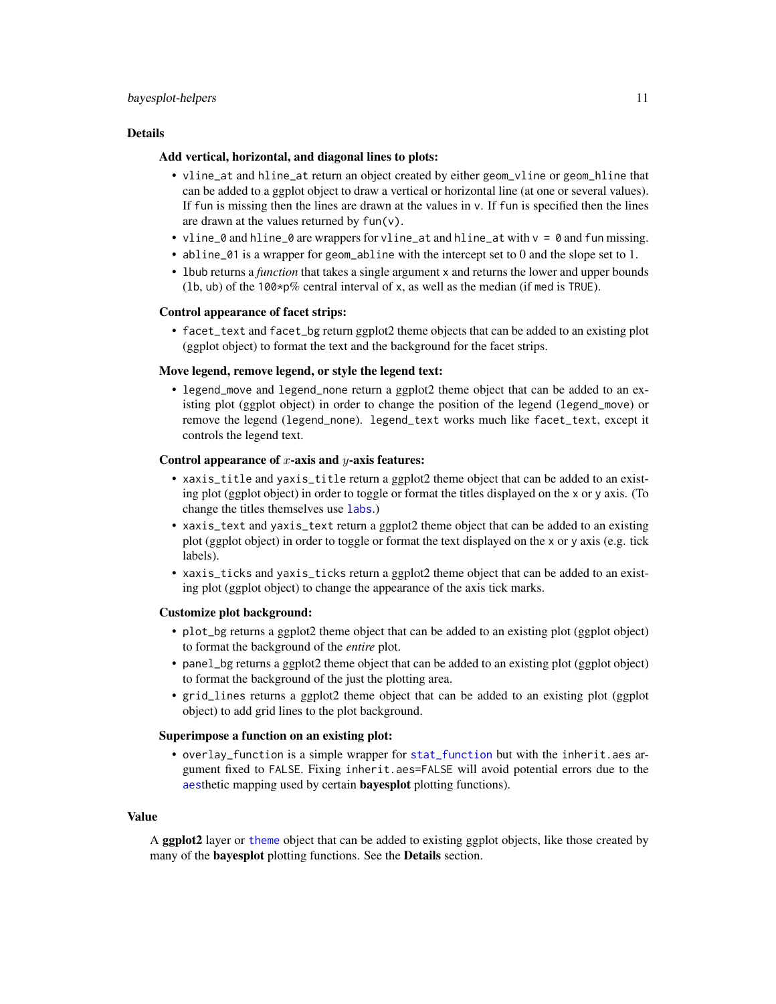## <span id="page-10-0"></span>bayesplot-helpers 11

#### Details

## Add vertical, horizontal, and diagonal lines to plots:

- vline\_at and hline\_at return an object created by either geom\_vline or geom\_hline that can be added to a ggplot object to draw a vertical or horizontal line (at one or several values). If fun is missing then the lines are drawn at the values in v. If fun is specified then the lines are drawn at the values returned by  $fun(v)$ .
- vline\_0 and hline\_0 are wrappers for vline\_at and hline\_at with  $v = 0$  and fun missing.
- abline\_01 is a wrapper for geom\_abline with the intercept set to 0 and the slope set to 1.
- lbub returns a *function* that takes a single argument x and returns the lower and upper bounds (lb, ub) of the 100\*p% central interval of x, as well as the median (if med is TRUE).

## Control appearance of facet strips:

• facet\_text and facet\_bg return ggplot2 theme objects that can be added to an existing plot (ggplot object) to format the text and the background for the facet strips.

## Move legend, remove legend, or style the legend text:

• legend\_move and legend\_none return a ggplot2 theme object that can be added to an existing plot (ggplot object) in order to change the position of the legend (legend\_move) or remove the legend (legend\_none). legend\_text works much like facet\_text, except it controls the legend text.

## Control appearance of  $x$ -axis and  $y$ -axis features:

- xaxis\_title and yaxis\_title return a ggplot2 theme object that can be added to an existing plot (ggplot object) in order to toggle or format the titles displayed on the x or y axis. (To change the titles themselves use [labs](#page-0-0).)
- xaxis\_text and yaxis\_text return a ggplot2 theme object that can be added to an existing plot (ggplot object) in order to toggle or format the text displayed on the x or y axis (e.g. tick labels).
- xaxis\_ticks and yaxis\_ticks return a ggplot2 theme object that can be added to an existing plot (ggplot object) to change the appearance of the axis tick marks.

#### Customize plot background:

- plot\_bg returns a ggplot2 theme object that can be added to an existing plot (ggplot object) to format the background of the *entire* plot.
- panel\_bg returns a ggplot2 theme object that can be added to an existing plot (ggplot object) to format the background of the just the plotting area.
- grid\_lines returns a ggplot2 theme object that can be added to an existing plot (ggplot object) to add grid lines to the plot background.

#### Superimpose a function on an existing plot:

• overlay\_function is a simple wrapper for [stat\\_function](#page-0-0) but with the inherit.aes argument fixed to FALSE. Fixing inherit.aes=FALSE will avoid potential errors due to the [aes](#page-0-0)thetic mapping used by certain bayesplot plotting functions).

#### Value

A ggplot2 layer or [theme](#page-0-0) object that can be added to existing ggplot objects, like those created by many of the **bayesplot** plotting functions. See the **Details** section.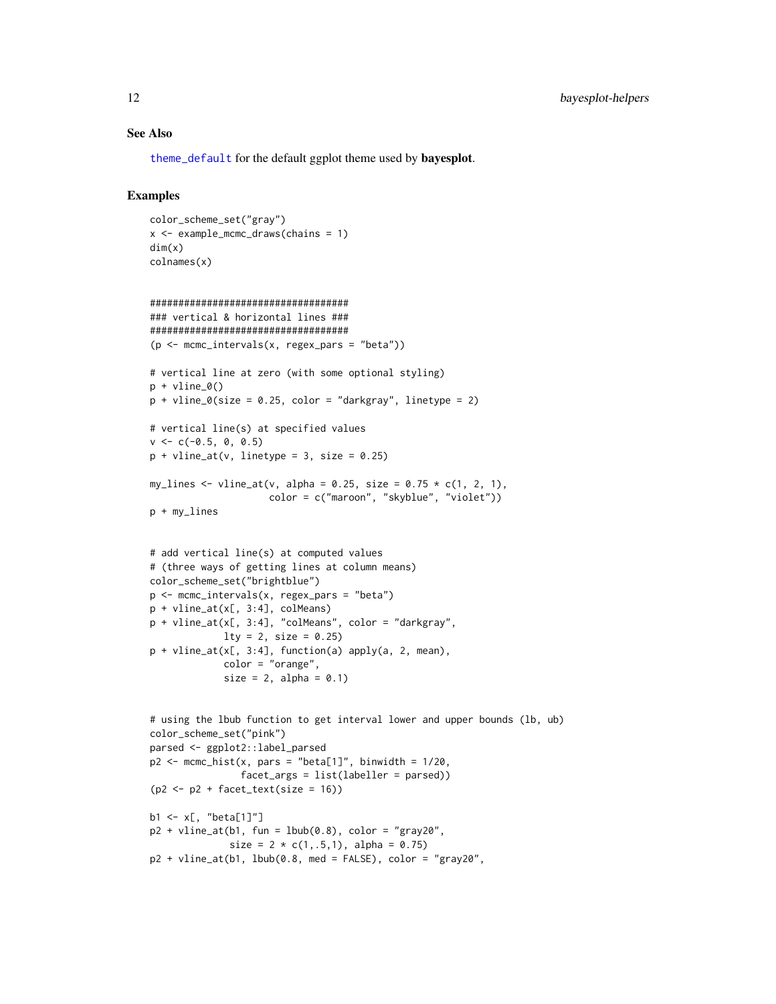## See Also

[theme\\_default](#page-59-1) for the default ggplot theme used by bayesplot.

```
color_scheme_set("gray")
x \le - example_mcmc_draws(chains = 1)
dim(x)
colnames(x)
```

```
###################################
### vertical & horizontal lines ###
###################################
(p \le - mcmc_intervals(x, regex_pars = "beta"))
# vertical line at zero (with some optional styling)
p + vline_0()
p + vline_0(size = 0.25, color = "darkgray", linetype = 2)
# vertical line(s) at specified values
v \leq -c(-0.5, 0, 0.5)p + vline_at(v, linetype = 3, size = 0.25)
my_lines <- vline_at(v, alpha = 0.25, size = 0.75 * c(1, 2, 1),
                     color = c("maroon", "skyblue", "violet"))
p + my_lines
# add vertical line(s) at computed values
# (three ways of getting lines at column means)
color_scheme_set("brightblue")
p <- mcmc_intervals(x, regex_pars = "beta")
p + vline_at(x[, 3:4], colMeans)
p + vline_at(x[, 3:4], "colMeans", color = "darkgray",
             lty = 2, size = 0.25)
p + vline_at(x[, 3:4], function(a) apply(a, 2, mean),
             color = "orange",
             size = 2, alpha = 0.1)
```

```
# using the lbub function to get interval lower and upper bounds (lb, ub)
color_scheme_set("pink")
parsed <- ggplot2::label_parsed
p2 \leq mcmc_hist(x, pars = "beta[1]", binwidth = 1/20,
                facet_args = list(labeller = parsed))
(p2 < -p2 + \text{facet\_text(size = 16)})b1 <- x[, "beta[1]"]
p2 + vline_at(b1, fun = 1bub(0.8), color = "gray20",size = 2 * c(1, .5, 1), alpha = 0.75)
```

```
p2 + vline_at(b1, lbub(0.8, med = FALSE), color = "gray20",
```
<span id="page-11-0"></span>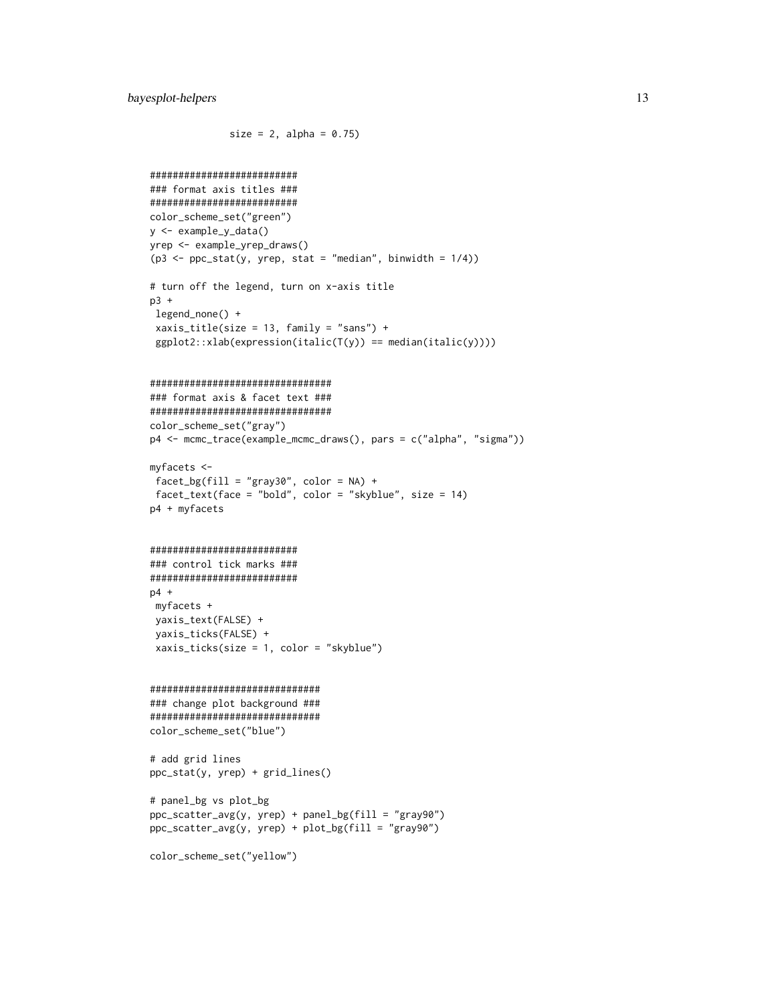```
size = 2, alpha = 0.75)
```

```
##########################
### format axis titles ###
##########################
color_scheme_set("green")
y <- example_y_data()
yrep <- example_yrep_draws()
(p3 \leq ppc\_stat(y, yrep, stat = "median", binwidth = 1/4))# turn off the legend, turn on x-axis title
p3 +
 legend_none() +
 xaxis_title(size = 13, family = "sans") +
 ggplot2::xlab(expression(italic(T(y)) == median(italic(y))))################################
### format axis & facet text ###
################################
color_scheme_set("gray")
p4 <- mcmc_trace(example_mcmc_draws(), pars = c("alpha", "sigma"))
myfacets <-
facet_bg(fill = "gray30", color = NA) +facet_text(face = "bold", color = "skyblue", size = 14)
p4 + myfacets
##########################
### control tick marks ###
##########################
p4 +
myfacets +
yaxis_text(FALSE) +
yaxis_ticks(FALSE) +
 xaxis_ticks(size = 1, color = "skyblue")
##############################
### change plot background ###
##############################
color_scheme_set("blue")
# add grid lines
ppc_stat(y, yrep) + grid_lines()
# panel_bg vs plot_bg
ppc_scatter_avg(y, yrep) + panel_bg(fill = "gray90")
ppc_scatter_avg(y, yrep) + plot_bg(fill = "gray90")
color_scheme_set("yellow")
```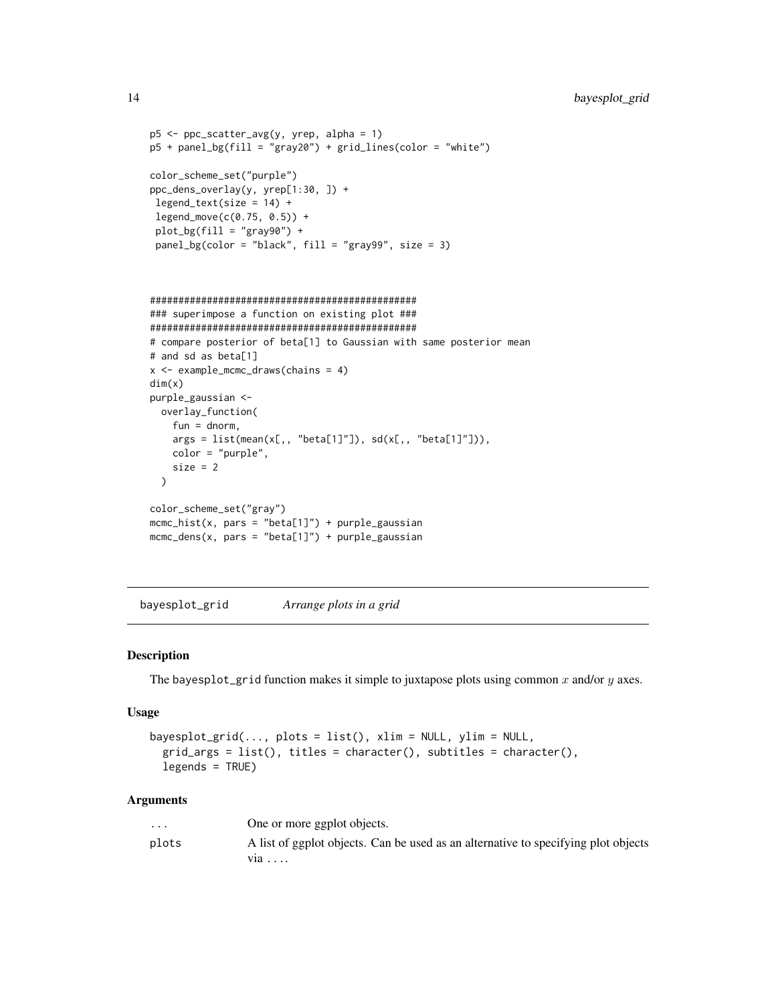```
p5 <- ppc_scatter_avg(y, yrep, alpha = 1)
p5 + panel_bg(fill = "gray20") + grid\_lines(color = "white")color_scheme_set("purple")
ppc_dens_overlay(y, yrep[1:30, ]) +
legend_test(size = 14) +legend_move(c(0.75, 0.5)) +
 plot_bg(fill = "gray90") +
 panel_bg(color = "black", fill = "gray99", size = 3)
```

```
###############################################
### superimpose a function on existing plot ###
###############################################
# compare posterior of beta[1] to Gaussian with same posterior mean
# and sd as beta[1]
x <- example_mcmc_draws(chains = 4)
dim(x)
purple_gaussian <-
 overlay_function(
   fun = dnorm,
   args = list(mean(x[,, "beta[1]"]), sd(x[,, "beta[1]"])),color = "purple",
   size = 2)
color_scheme_set("gray")
mcmc\_hist(x, pars = "beta[1]") + purple\_gaussianmcmc\_dens(x, pars = "beta[1]") + purple\_gaussian
```
<span id="page-13-1"></span>bayesplot\_grid *Arrange plots in a grid*

#### Description

The bayesplot\_grid function makes it simple to juxtapose plots using common  $x$  and/or  $y$  axes.

#### Usage

```
bayesplot_grid(..., plots = list(), xlim = NULL, ylim = NULL,
  grid_{args} = list(), titles = character(), subtitles = character(),
  legends = TRUE)
```
#### Arguments

| $\cdots$ | One or more ggplot objects.                                                               |
|----------|-------------------------------------------------------------------------------------------|
| plots    | A list of ggplot objects. Can be used as an alternative to specifying plot objects<br>via |

<span id="page-13-0"></span>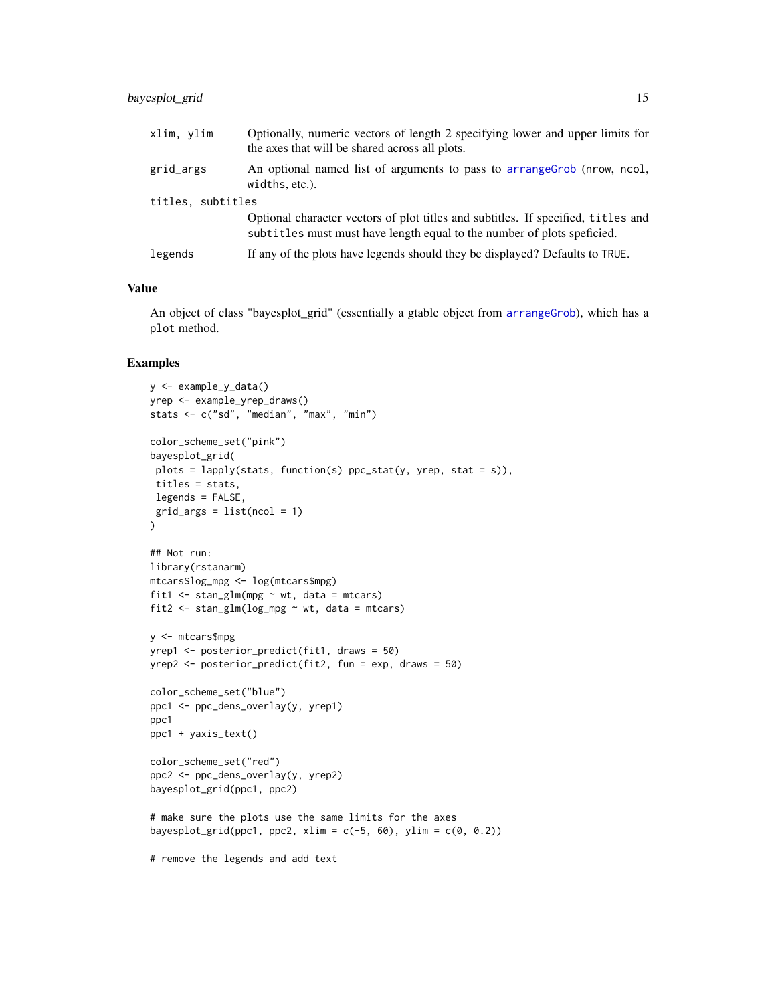## <span id="page-14-0"></span>bayesplot\_grid 15

| xlim, ylim        | Optionally, numeric vectors of length 2 specifying lower and upper limits for<br>the axes that will be shared across all plots.                              |
|-------------------|--------------------------------------------------------------------------------------------------------------------------------------------------------------|
| grid_args         | An optional named list of arguments to pass to arrange Grob (nrow, ncol,<br>widths, etc.).                                                                   |
| titles, subtitles |                                                                                                                                                              |
|                   | Optional character vectors of plot titles and subtitles. If specified, titles and<br>subtitles must must have length equal to the number of plots speficied. |
| legends           | If any of the plots have legends should they be displayed? Defaults to TRUE.                                                                                 |

## Value

An object of class "bayesplot\_grid" (essentially a gtable object from [arrangeGrob](#page-0-0)), which has a plot method.

```
y <- example_y_data()
yrep <- example_yrep_draws()
stats <- c("sd", "median", "max", "min")
color_scheme_set("pink")
bayesplot_grid(
plots = lapply(stats, function(s) ppc\_stat(y, yrep, stat = s)),
titles = stats,
legends = FALSE,
grid_args = list(ncol = 1)\lambda## Not run:
library(rstanarm)
mtcars$log_mpg <- log(mtcars$mpg)
fit1 \le stan_glm(mpg \sim wt, data = mtcars)
fit2 <- stan_glm(log_mpg ~ wt, data = mtcars)
y <- mtcars$mpg
yrep1 <- posterior_predict(fit1, draws = 50)
yrep2 <- posterior_predict(fit2, fun = exp, draws = 50)
color_scheme_set("blue")
ppc1 <- ppc_dens_overlay(y, yrep1)
ppc1
ppc1 + yaxis_text()
color_scheme_set("red")
ppc2 <- ppc_dens_overlay(y, yrep2)
bayesplot_grid(ppc1, ppc2)
# make sure the plots use the same limits for the axes
bayesplot_grid(ppc1, ppc2, xlim = c(-5, 60), ylim = c(0, 0.2))
# remove the legends and add text
```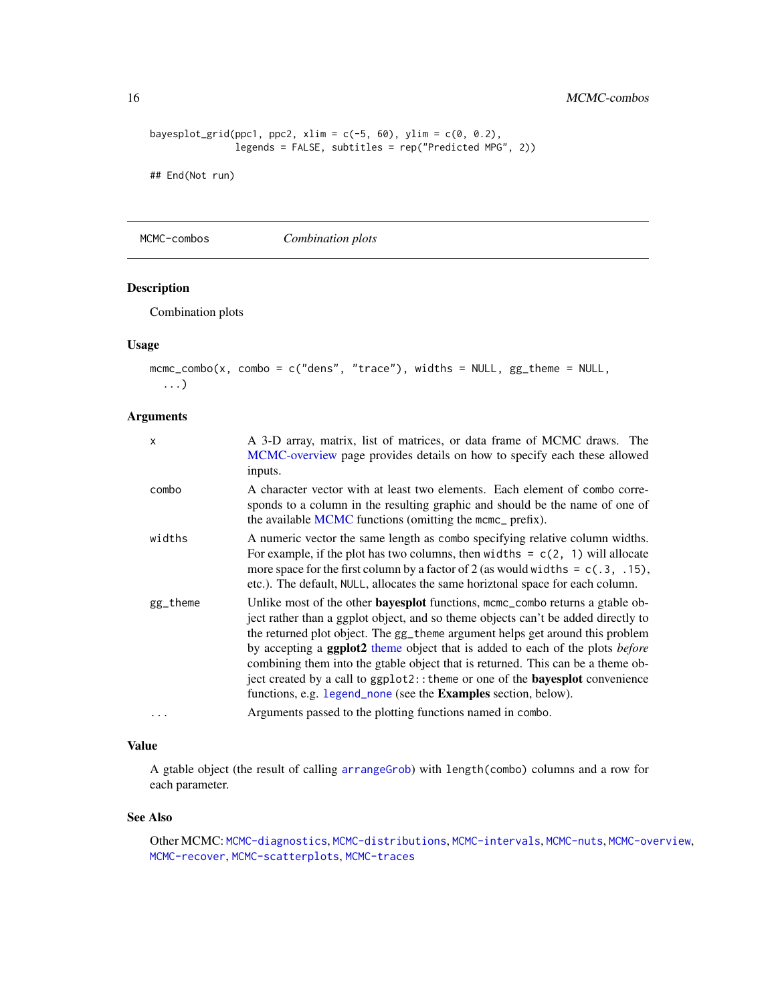```
bayesplot_grid(ppc1, ppc2, xlim = c(-5, 60), ylim = c(0, 0.2),
              legends = FALSE, subtitles = rep("Predicted MPG", 2))
```
## End(Not run)

<span id="page-15-1"></span>MCMC-combos *Combination plots*

## Description

Combination plots

## Usage

```
mcmc_combo(x, combo = c("dens", "trace"), widths = NULL, gg_theme = NULL,
  ...)
```
## Arguments

| X        | A 3-D array, matrix, list of matrices, or data frame of MCMC draws. The<br>MCMC-overview page provides details on how to specify each these allowed<br>inputs.                                                                                                                                                                                                                                                                                                                                                                                                                                         |
|----------|--------------------------------------------------------------------------------------------------------------------------------------------------------------------------------------------------------------------------------------------------------------------------------------------------------------------------------------------------------------------------------------------------------------------------------------------------------------------------------------------------------------------------------------------------------------------------------------------------------|
| combo    | A character vector with at least two elements. Each element of combo corre-<br>sponds to a column in the resulting graphic and should be the name of one of<br>the available MCMC functions (omitting the mcmc_ prefix).                                                                                                                                                                                                                                                                                                                                                                               |
| widths   | A numeric vector the same length as combo specifying relative column widths.<br>For example, if the plot has two columns, then widths = $c(2, 1)$ will allocate<br>more space for the first column by a factor of 2 (as would widths = $c(.3, .15)$ ,<br>etc.). The default, NULL, allocates the same horiztonal space for each column.                                                                                                                                                                                                                                                                |
| gg_theme | Unlike most of the other <b>bayesplot</b> functions, mcmc_combo returns a gtable ob-<br>ject rather than a ggplot object, and so theme objects can't be added directly to<br>the returned plot object. The gg_theme argument helps get around this problem<br>by accepting a <b>ggplot2</b> theme object that is added to each of the plots <i>before</i><br>combining them into the gtable object that is returned. This can be a theme ob-<br>ject created by a call to ggplot2:: theme or one of the <b>bayesplot</b> convenience<br>functions, e.g. legend_none (see the Examples section, below). |
| $\ddots$ | Arguments passed to the plotting functions named in combo.                                                                                                                                                                                                                                                                                                                                                                                                                                                                                                                                             |

## Value

A gtable object (the result of calling [arrangeGrob](#page-0-0)) with length(combo) columns and a row for each parameter.

## See Also

Other MCMC: [MCMC-diagnostics](#page-16-1), [MCMC-distributions](#page-19-1), [MCMC-intervals](#page-22-1), [MCMC-nuts](#page-25-2), [MCMC-overview](#page-28-1), [MCMC-recover](#page-29-1), [MCMC-scatterplots](#page-31-1), [MCMC-traces](#page-36-1)

<span id="page-15-0"></span>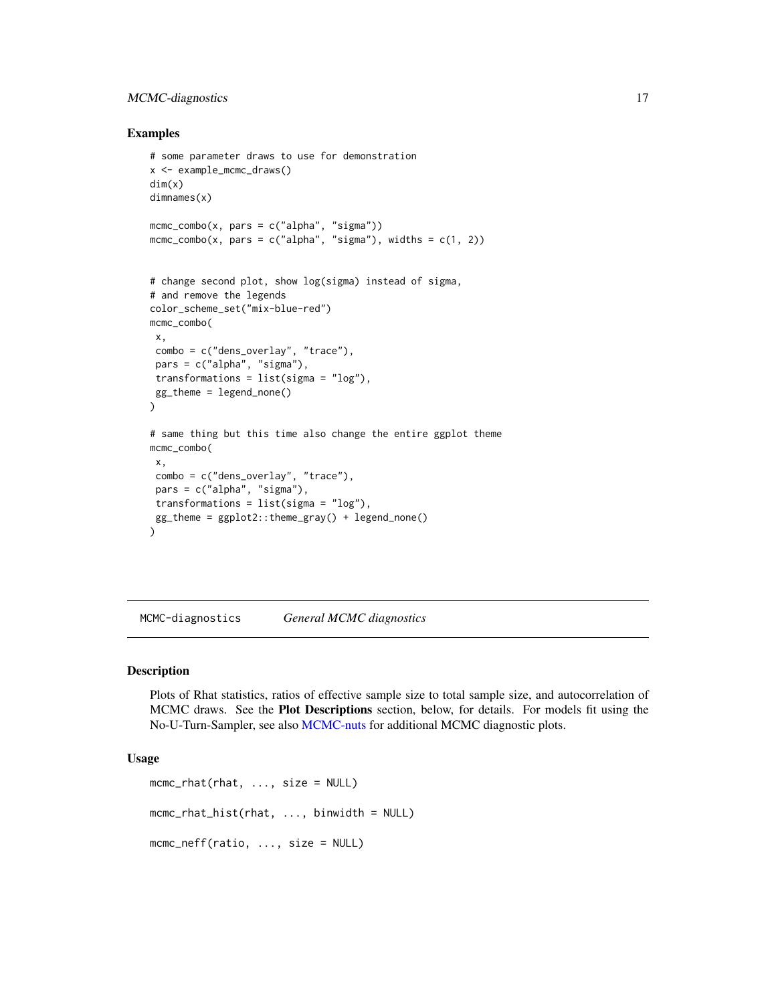## <span id="page-16-0"></span>MCMC-diagnostics 17

## Examples

```
# some parameter draws to use for demonstration
x <- example_mcmc_draws()
dim(x)
dimnames(x)
mcmc_combo(x, pars = c("alpha", "sigma"))
mcmc\_combo(x, pars = c("alpha", "sigma"), widths = c(1, 2))# change second plot, show log(sigma) instead of sigma,
# and remove the legends
color_scheme_set("mix-blue-red")
mcmc_combo(
 x,
 combo = c("dens_overlay", "trace"),
 pars = c("alpha", "sigma"),
 transformations = list(sigma = "log"),
 gg_theme = legend_none()
\mathcal{L}# same thing but this time also change the entire ggplot theme
mcmc_combo(
x,
 combo = c("dens_overlay", "trace"),
 pars = c("alpha", "sigma"),
 transformations = list(sigma = "log"),
 gg_theme = ggplot2::theme_gray() + legend_none()
)
```
<span id="page-16-1"></span>MCMC-diagnostics *General MCMC diagnostics*

## Description

Plots of Rhat statistics, ratios of effective sample size to total sample size, and autocorrelation of MCMC draws. See the Plot Descriptions section, below, for details. For models fit using the No-U-Turn-Sampler, see also [MCMC-nuts](#page-25-2) for additional MCMC diagnostic plots.

## Usage

```
mcmc_rhat(rhat, ..., size = NULL)
mcmc_rhat_hist(rhat, ..., binwidth = NULL)
mcmc_neff(ratio, ..., size = NULL)
```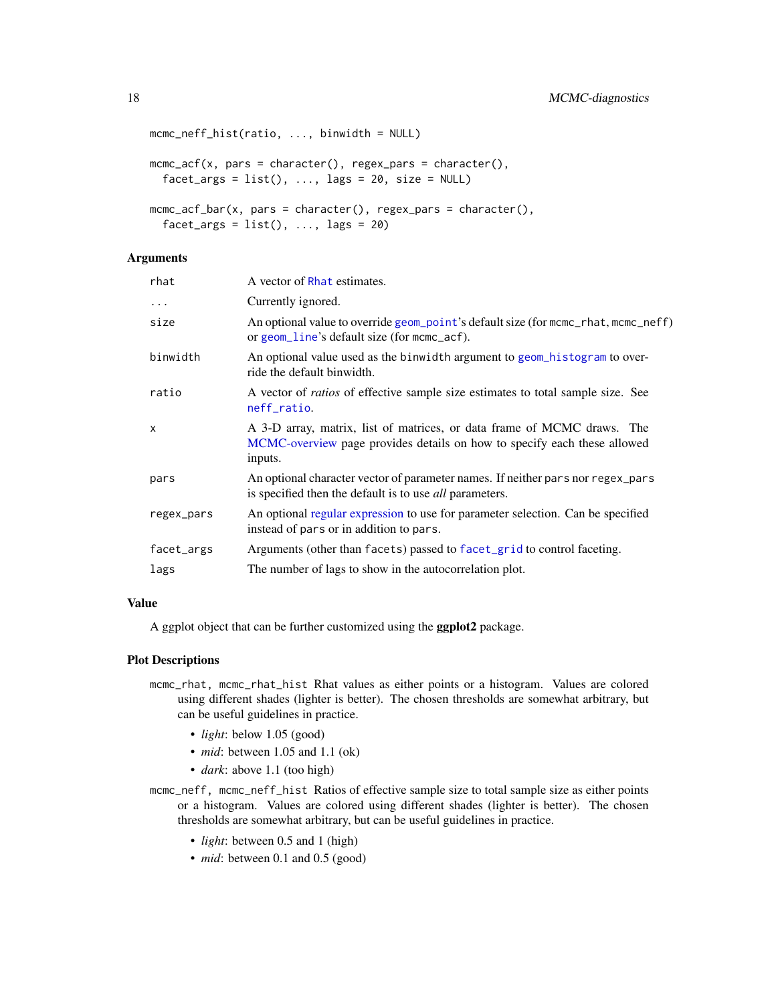```
mcmc_neff_hist(ratio, ..., binwidth = NULL)
mcmc_2acf(x, pars = character(), regex_pars = character(),
  facet_{args} = list(), ..., lags = 20, size = NULL)mcmc_acf_bar(x, pars = character(), regex_pars = character(),
  facet_{args} = list(), ..., lags = 20)
```
## Arguments

| rhat       | A vector of Rhat estimates.                                                                                                                                    |
|------------|----------------------------------------------------------------------------------------------------------------------------------------------------------------|
| $\ddots$ . | Currently ignored.                                                                                                                                             |
| size       | An optional value to override geom_point's default size (for mome_rhat, mome_neff)<br>or geom_line's default size (for mcmc_acf).                              |
| binwidth   | An optional value used as the binwidth argument to geom_histogram to over-<br>ride the default binwidth.                                                       |
| ratio      | A vector of <i>ratios</i> of effective sample size estimates to total sample size. See<br>neff_ratio.                                                          |
| X          | A 3-D array, matrix, list of matrices, or data frame of MCMC draws. The<br>MCMC-overview page provides details on how to specify each these allowed<br>inputs. |
| pars       | An optional character vector of parameter names. If neither pars nor regex_pars<br>is specified then the default is to use <i>all</i> parameters.              |
| regex_pars | An optional regular expression to use for parameter selection. Can be specified<br>instead of pars or in addition to pars.                                     |
| facet_args | Arguments (other than facets) passed to facet_grid to control faceting.                                                                                        |
| lags       | The number of lags to show in the autocorrelation plot.                                                                                                        |

## Value

A ggplot object that can be further customized using the ggplot2 package.

## Plot Descriptions

- mcmc\_rhat, mcmc\_rhat\_hist Rhat values as either points or a histogram. Values are colored using different shades (lighter is better). The chosen thresholds are somewhat arbitrary, but can be useful guidelines in practice.
	- *light*: below 1.05 (good)
	- *mid*: between 1.05 and 1.1 (ok)
	- *dark*: above 1.1 (too high)
- mcmc\_neff, mcmc\_neff\_hist Ratios of effective sample size to total sample size as either points or a histogram. Values are colored using different shades (lighter is better). The chosen thresholds are somewhat arbitrary, but can be useful guidelines in practice.
	- *light*: between 0.5 and 1 (high)
	- *mid*: between 0.1 and 0.5 (good)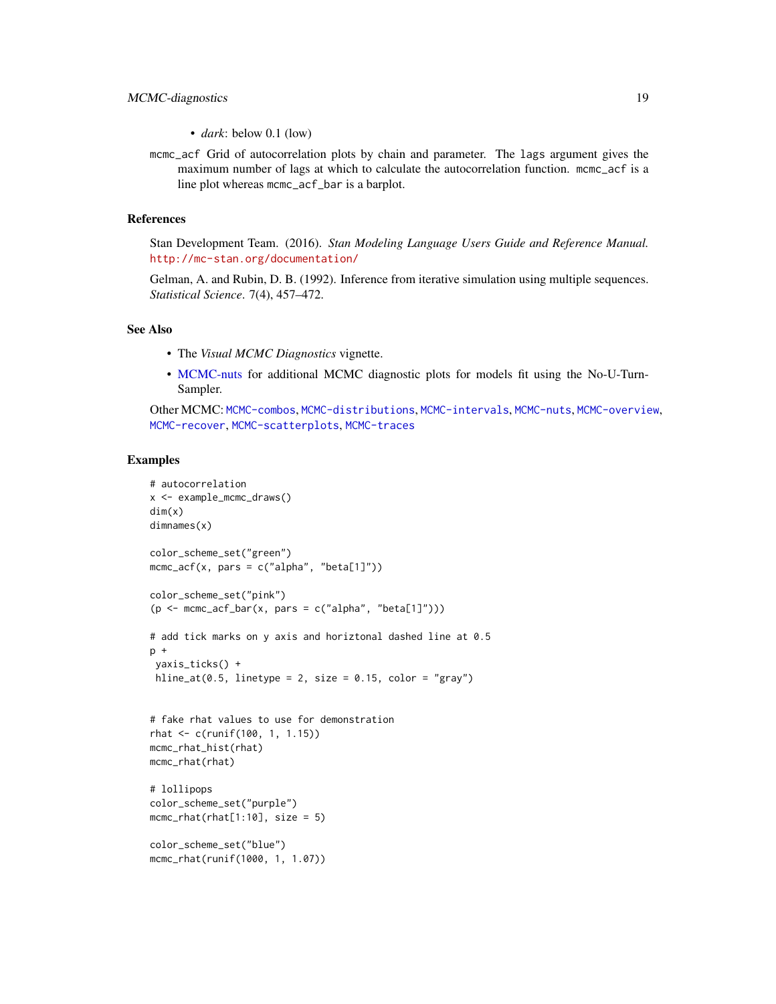• *dark*: below 0.1 (low)

<span id="page-18-0"></span>mcmc\_acf Grid of autocorrelation plots by chain and parameter. The lags argument gives the maximum number of lags at which to calculate the autocorrelation function. mcmc\_acf is a line plot whereas mcmc\_acf\_bar is a barplot.

## References

Stan Development Team. (2016). *Stan Modeling Language Users Guide and Reference Manual.* <http://mc-stan.org/documentation/>

Gelman, A. and Rubin, D. B. (1992). Inference from iterative simulation using multiple sequences. *Statistical Science*. 7(4), 457–472.

## See Also

- The *Visual MCMC Diagnostics* vignette.
- [MCMC-nuts](#page-25-2) for additional MCMC diagnostic plots for models fit using the No-U-Turn-Sampler.

Other MCMC: [MCMC-combos](#page-15-1), [MCMC-distributions](#page-19-1), [MCMC-intervals](#page-22-1), [MCMC-nuts](#page-25-2), [MCMC-overview](#page-28-1), [MCMC-recover](#page-29-1), [MCMC-scatterplots](#page-31-1), [MCMC-traces](#page-36-1)

```
# autocorrelation
x <- example_mcmc_draws()
dim(x)
dimnames(x)
color_scheme_set("green")
mcmc_acf(x, pars = c("alpha", "beta[1]"))
color_scheme_set("pink")
(p \leq -mcmc_acf_bar(x, pars = c("alpha", "beta[1]")))
# add tick marks on y axis and horiztonal dashed line at 0.5
p +
yaxis_ticks() +
 hline_at(0.5, linetype = 2, size = 0.15, color = "gray")
# fake rhat values to use for demonstration
rhat <- c(runif(100, 1, 1.15))
mcmc_rhat_hist(rhat)
mcmc_rhat(rhat)
# lollipops
color_scheme_set("purple")
mcmc_rhat(rhat[1:10], size = 5)color_scheme_set("blue")
mcmc_rhat(runif(1000, 1, 1.07))
```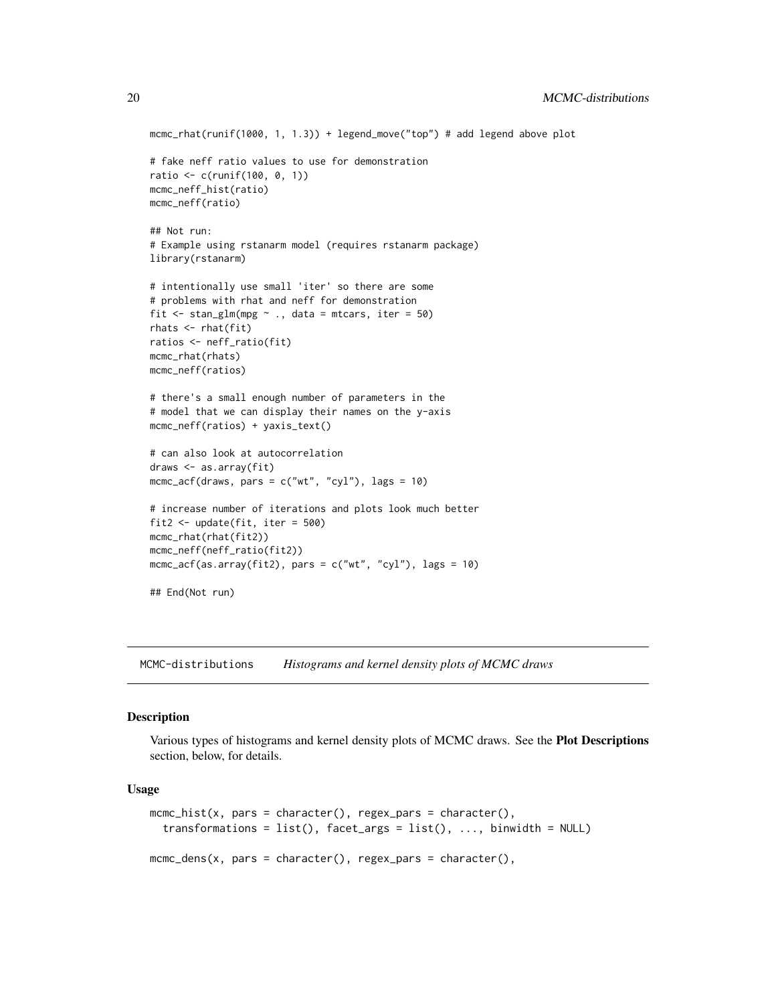```
mcmc_rhat(runif(1000, 1, 1.3)) + legend_move("top") # add legend above plot
# fake neff ratio values to use for demonstration
ratio <- c(runif(100, 0, 1))
mcmc_neff_hist(ratio)
mcmc_neff(ratio)
## Not run:
# Example using rstanarm model (requires rstanarm package)
library(rstanarm)
# intentionally use small 'iter' so there are some
# problems with rhat and neff for demonstration
fit \le stan_glm(mpg \sim ., data = mtcars, iter = 50)
rhats <- rhat(fit)
ratios <- neff_ratio(fit)
mcmc_rhat(rhats)
mcmc_neff(ratios)
# there's a small enough number of parameters in the
# model that we can display their names on the y-axis
mcmc_neff(ratios) + yaxis_text()
# can also look at autocorrelation
draws <- as.array(fit)
mcmc_2acf(draws, pars = c("wt", "cyl"), lags = 10)# increase number of iterations and plots look much better
fit2 <- update(fit, iter = 500)
mcmc_rhat(rhat(fit2))
mcmc_neff(neff_ratio(fit2))
mcmc_acf(as.array(fit2), pars = c("wt", "cyl"), lags = 10)
## End(Not run)
```
<span id="page-19-1"></span>MCMC-distributions *Histograms and kernel density plots of MCMC draws*

## Description

Various types of histograms and kernel density plots of MCMC draws. See the Plot Descriptions section, below, for details.

## Usage

```
mcmc\_hist(x, pars = character(), regex\_pars = character(),transformations = list(), facet_{args} = list(), ..., binwidth = NULL)mcmc\_dens(x, pars = character(), regex\_pars = character(),
```
<span id="page-19-0"></span>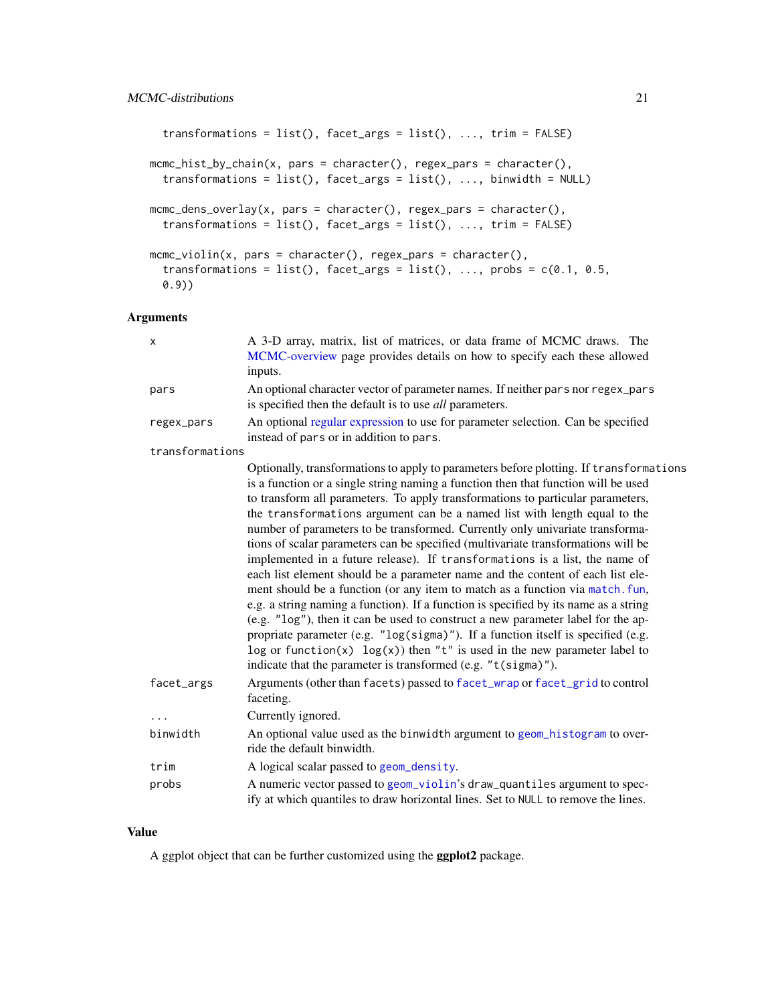```
transformations = list(), facet_{args} = list(), ..., trim = FALSE)mcmc_hist_by_chain(x, pars = character(), regex_pars = character(),
  transformations = list(), facet_args = list(), \dots, binwidth = NULL)
mcmc_dens_overlay(x, pars = character(), regex_pars = character(),
  transformations = list(), facet_args = list(), ..., trim = FALSE)
mcmc_violin(x, pars = character(), regex_pars = character(),
  transformations = list(), facet_args = list(), \dots, probs = c(0.1, 0.5,
 0.9))
```
## Arguments

| X               | A 3-D array, matrix, list of matrices, or data frame of MCMC draws. The<br>MCMC-overview page provides details on how to specify each these allowed<br>inputs.                                                                                                                                                                                                                                                                                                                                                                                                                                                                                                                                                                                                                                                                                                                                                                                                                                                                                                                                                                                                                            |
|-----------------|-------------------------------------------------------------------------------------------------------------------------------------------------------------------------------------------------------------------------------------------------------------------------------------------------------------------------------------------------------------------------------------------------------------------------------------------------------------------------------------------------------------------------------------------------------------------------------------------------------------------------------------------------------------------------------------------------------------------------------------------------------------------------------------------------------------------------------------------------------------------------------------------------------------------------------------------------------------------------------------------------------------------------------------------------------------------------------------------------------------------------------------------------------------------------------------------|
| pars            | An optional character vector of parameter names. If neither pars nor regex_pars<br>is specified then the default is to use <i>all</i> parameters.                                                                                                                                                                                                                                                                                                                                                                                                                                                                                                                                                                                                                                                                                                                                                                                                                                                                                                                                                                                                                                         |
| regex_pars      | An optional regular expression to use for parameter selection. Can be specified<br>instead of pars or in addition to pars.                                                                                                                                                                                                                                                                                                                                                                                                                                                                                                                                                                                                                                                                                                                                                                                                                                                                                                                                                                                                                                                                |
| transformations |                                                                                                                                                                                                                                                                                                                                                                                                                                                                                                                                                                                                                                                                                                                                                                                                                                                                                                                                                                                                                                                                                                                                                                                           |
|                 | Optionally, transformations to apply to parameters before plotting. If transformations<br>is a function or a single string naming a function then that function will be used<br>to transform all parameters. To apply transformations to particular parameters,<br>the transformations argument can be a named list with length equal to the<br>number of parameters to be transformed. Currently only univariate transforma-<br>tions of scalar parameters can be specified (multivariate transformations will be<br>implemented in a future release). If transformations is a list, the name of<br>each list element should be a parameter name and the content of each list ele-<br>ment should be a function (or any item to match as a function via match. fun,<br>e.g. a string naming a function). If a function is specified by its name as a string<br>(e.g. "log"), then it can be used to construct a new parameter label for the ap-<br>propriate parameter (e.g. "log(sigma)"). If a function itself is specified (e.g.<br>$\log$ or function(x) $\log(x)$ ) then "t" is used in the new parameter label to<br>indicate that the parameter is transformed (e.g. "t(sigma)"). |
| facet_args      | Arguments (other than facets) passed to facet_wrap or facet_grid to control<br>faceting.                                                                                                                                                                                                                                                                                                                                                                                                                                                                                                                                                                                                                                                                                                                                                                                                                                                                                                                                                                                                                                                                                                  |
|                 | Currently ignored.                                                                                                                                                                                                                                                                                                                                                                                                                                                                                                                                                                                                                                                                                                                                                                                                                                                                                                                                                                                                                                                                                                                                                                        |
| binwidth        | An optional value used as the binwidth argument to geom_histogram to over-<br>ride the default binwidth.                                                                                                                                                                                                                                                                                                                                                                                                                                                                                                                                                                                                                                                                                                                                                                                                                                                                                                                                                                                                                                                                                  |
| trim            | A logical scalar passed to geom_density.                                                                                                                                                                                                                                                                                                                                                                                                                                                                                                                                                                                                                                                                                                                                                                                                                                                                                                                                                                                                                                                                                                                                                  |
| probs           | A numeric vector passed to geom_violin's draw_quantiles argument to spec-<br>ify at which quantiles to draw horizontal lines. Set to NULL to remove the lines.                                                                                                                                                                                                                                                                                                                                                                                                                                                                                                                                                                                                                                                                                                                                                                                                                                                                                                                                                                                                                            |

## Value

A ggplot object that can be further customized using the ggplot2 package.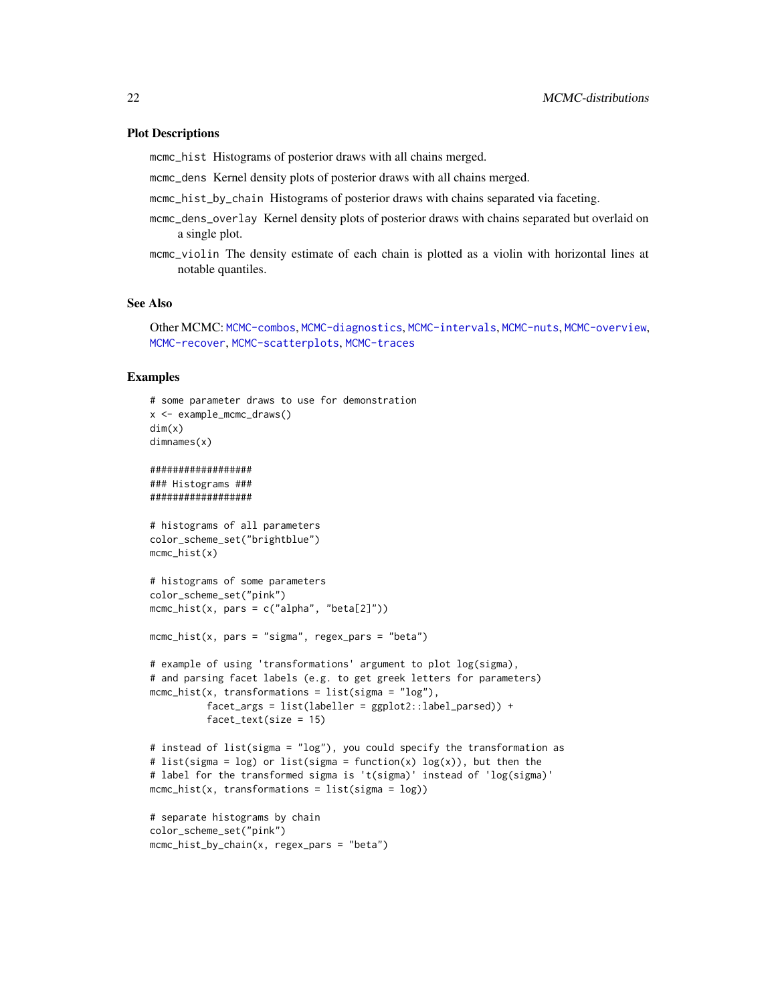## Plot Descriptions

mcmc\_hist Histograms of posterior draws with all chains merged.

mcmc\_dens Kernel density plots of posterior draws with all chains merged.

- mcmc\_hist\_by\_chain Histograms of posterior draws with chains separated via faceting.
- mcmc\_dens\_overlay Kernel density plots of posterior draws with chains separated but overlaid on a single plot.
- mcmc\_violin The density estimate of each chain is plotted as a violin with horizontal lines at notable quantiles.

#### See Also

Other MCMC: [MCMC-combos](#page-15-1), [MCMC-diagnostics](#page-16-1), [MCMC-intervals](#page-22-1), [MCMC-nuts](#page-25-2), [MCMC-overview](#page-28-1), [MCMC-recover](#page-29-1), [MCMC-scatterplots](#page-31-1), [MCMC-traces](#page-36-1)

```
# some parameter draws to use for demonstration
x <- example_mcmc_draws()
dim(x)
dimnames(x)
##################
### Histograms ###
##################
# histograms of all parameters
color_scheme_set("brightblue")
mcmc_hist(x)
# histograms of some parameters
color_scheme_set("pink")
mcmc_hist(x, pars = c("alpha", "beta[2]"))mcmc\_hist(x, pars = "sigma", regex\_pars = "beta")# example of using 'transformations' argument to plot log(sigma),
# and parsing facet labels (e.g. to get greek letters for parameters)
mcmc_hist(x, transformations = list(sigma = "log"),
          facet_args = list(labeller = ggplot2::label_parsed)) +
          facet_text(size = 15)
# instead of list(sigma = "log"), you could specify the transformation as
# list(sigma = log) or list(sigma = function(x) log(x)), but then the
# label for the transformed sigma is 't(sigma)' instead of 'log(sigma)'
mcmc\_hist(x, transformations = list(sigma = log))# separate histograms by chain
color_scheme_set("pink")
mcmc_hist_by_chain(x, regex_pars = "beta")
```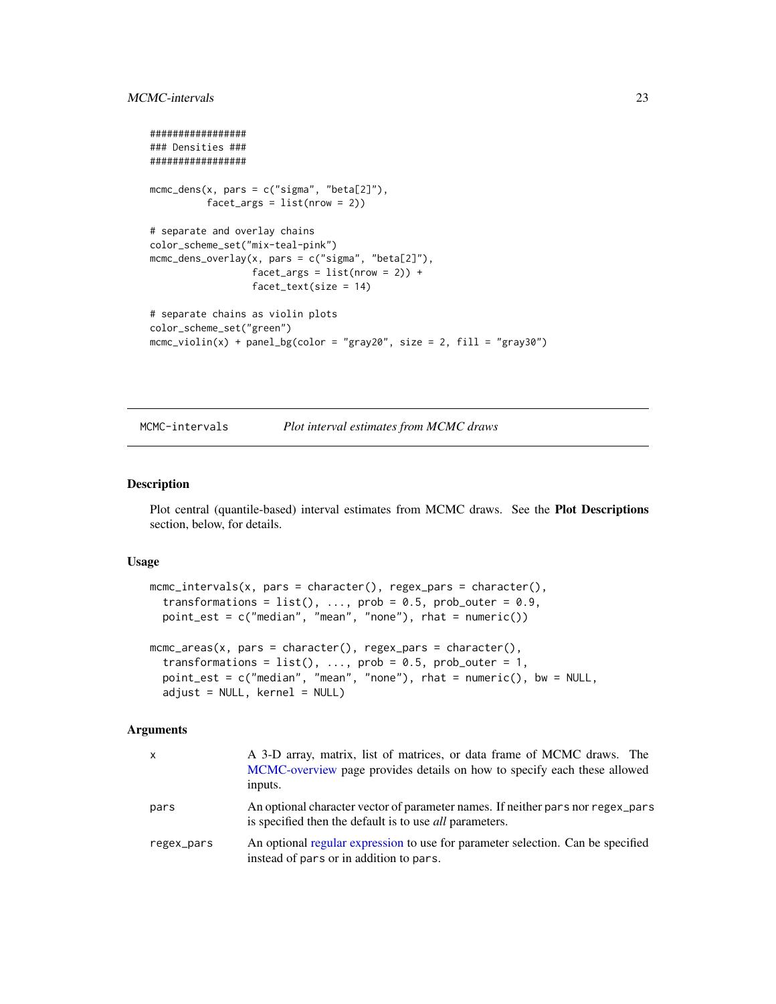## <span id="page-22-0"></span>MCMC-intervals 23

```
#################
### Densities ###
#################
mcmc_dens(x, pars = c("sigma", "beta[2]");facet_{args} = list(nrow = 2)# separate and overlay chains
color_scheme_set("mix-teal-pink")
mcmc_dens_overlay(x, pars = c("sigma", "beta[2]");facet_{args} = list(nrow = 2) +
                  facet_text(size = 14)
# separate chains as violin plots
color_scheme_set("green")
mcmc_violin(x) + panel_bg(color = "gray20", size = 2, fill = "gray30")
```

```
MCMC-intervals Plot interval estimates from MCMC draws
```
## Description

Plot central (quantile-based) interval estimates from MCMC draws. See the Plot Descriptions section, below, for details.

## Usage

```
mcmc\_intervals(x, pars = character(), regex\_pars = character(),transformations = list(), ..., prob = 0.5, prob_{outer} = 0.9,point_est = c("median", "mean", "none"), rhat = numeric())
mcmc_areas(x, pars = character(), regex_pars = character(),
  transformations = list(), ..., prob = 0.5, prob_outer = 1,
  point_est = c("median", "mean", "none"), rhat = numeric(), bw = NULL,
```
#### Arguments

adjust = NULL, kernel = NULL)

| x          | A 3-D array, matrix, list of matrices, or data frame of MCMC draws. The<br>MCMC-overview page provides details on how to specify each these allowed<br>inputs. |
|------------|----------------------------------------------------------------------------------------------------------------------------------------------------------------|
| pars       | An optional character vector of parameter names. If neither pars nor regex pars<br>is specified then the default is to use <i>all</i> parameters.              |
| regex_pars | An optional regular expression to use for parameter selection. Can be specified<br>instead of pars or in addition to pars.                                     |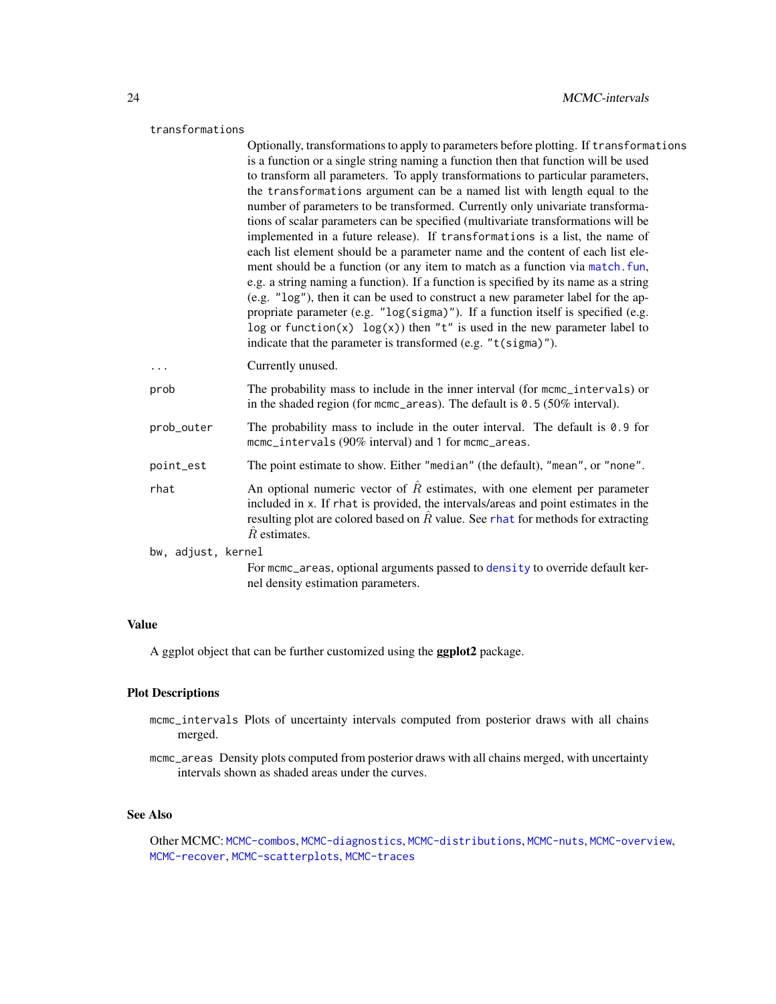#### <span id="page-23-0"></span>transformations

Optionally, transformations to apply to parameters before plotting. If transformations is a function or a single string naming a function then that function will be used to transform all parameters. To apply transformations to particular parameters, the transformations argument can be a named list with length equal to the number of parameters to be transformed. Currently only univariate transformations of scalar parameters can be specified (multivariate transformations will be implemented in a future release). If transformations is a list, the name of each list element should be a parameter name and the content of each list element should be a function (or any item to match as a function via match. fun, e.g. a string naming a function). If a function is specified by its name as a string (e.g. "log"), then it can be used to construct a new parameter label for the appropriate parameter (e.g. "log(sigma)"). If a function itself is specified (e.g. log or function(x) log(x)) then "t" is used in the new parameter label to indicate that the parameter is transformed (e.g. "t(sigma)").

- ... Currently unused.
- prob The probability mass to include in the inner interval (for mcmc\_intervals) or in the shaded region (for mcmc\_areas). The default is 0.5 (50% interval).
- prob\_outer The probability mass to include in the outer interval. The default is 0.9 for mcmc\_intervals (90% interval) and 1 for mcmc\_areas.
- point\_est The point estimate to show. Either "median" (the default), "mean", or "none".
- rhat An optional numeric vector of  $\hat{R}$  estimates, with one element per parameter included in x. If rhat is provided, the intervals/areas and point estimates in the resulting plot are colored based on  $\tilde{R}$  value. See [rhat](#page-6-1) for methods for extracting  $\ddot{R}$  estimates.
- bw, adjust, kernel For mcmc\_areas, optional arguments passed to [density](#page-0-0) to override default kernel density estimation parameters.

## Value

A ggplot object that can be further customized using the **ggplot2** package.

#### Plot Descriptions

- mcmc\_intervals Plots of uncertainty intervals computed from posterior draws with all chains merged.
- mcmc\_areas Density plots computed from posterior draws with all chains merged, with uncertainty intervals shown as shaded areas under the curves.

## See Also

Other MCMC: [MCMC-combos](#page-15-1), [MCMC-diagnostics](#page-16-1), [MCMC-distributions](#page-19-1), [MCMC-nuts](#page-25-2), [MCMC-overview](#page-28-1), [MCMC-recover](#page-29-1), [MCMC-scatterplots](#page-31-1), [MCMC-traces](#page-36-1)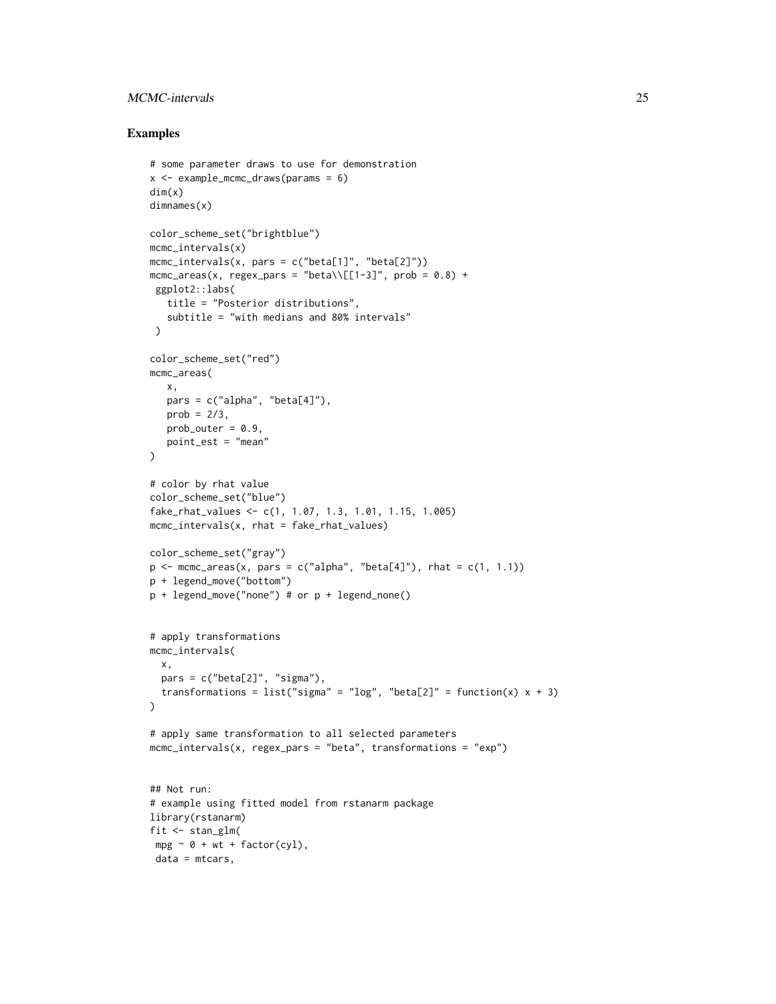## MCMC-intervals 25

```
# some parameter draws to use for demonstration
x <- example_mcmc_draws(params = 6)
dim(x)
dimnames(x)
color_scheme_set("brightblue")
mcmc_intervals(x)
mcmc\_intervals(x, pars = c("beta[1]', "beta[2]"))mcmc_areas(x, regex_pars = "beta\\[[1-3]", prob = 0.8) +
ggplot2::labs(
   title = "Posterior distributions",
   subtitle = "with medians and 80% intervals"
 )
color_scheme_set("red")
mcmc_areas(
  x,
   pars = c("alpha", "beta[4]");prob = 2/3,
  prob_outer = 0.9,
  point_est = "mean"
)
# color by rhat value
color_scheme_set("blue")
fake_rhat_values <- c(1, 1.07, 1.3, 1.01, 1.15, 1.005)
mcmc\_intervals(x, rhat = fake_rhat_values)color_scheme_set("gray")
p \leq - mcmc_areas(x, pars = c("alpha", "beta[4]"), rhat = c(1, 1.1))
p + legend_move("bottom")
p + legend_move("none") # or p + legend_none()# apply transformations
mcmc_intervals(
  x,
 pars = c("beta[2]", "sigma"),transformations = list("sigma" = "log", "beta[2]" = function(x) x + 3)
)
# apply same transformation to all selected parameters
mcmc_intervals(x, regex_pars = "beta", transformations = "exp")
## Not run:
# example using fitted model from rstanarm package
library(rstanarm)
fit <- stan_glm(
mpg \sim \emptyset + wt + factor(cyl),
data = mtcars,
```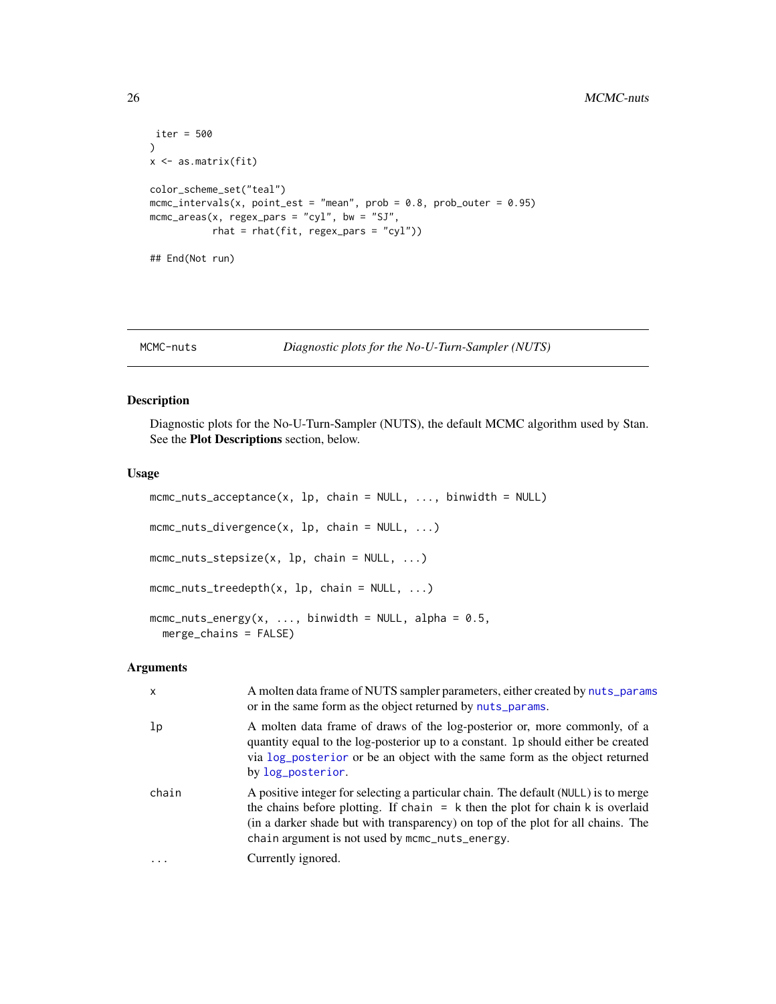```
iter = 500
\mathcal{L}x <- as.matrix(fit)
color_scheme_set("teal")
mcmc_intervals(x, point_est = "mean", prob = 0.8, prob_outer = 0.95)
mcmc_areas(x, regex_pars = "cyl", bw = "SJ",
           rhat = rhat(fit, regex_pars = "cyl"))
## End(Not run)
```
<span id="page-25-2"></span>MCMC-nuts *Diagnostic plots for the No-U-Turn-Sampler (NUTS)*

## <span id="page-25-1"></span>Description

Diagnostic plots for the No-U-Turn-Sampler (NUTS), the default MCMC algorithm used by Stan. See the Plot Descriptions section, below.

## Usage

```
mcmc_nuts_acceptance(x, lp, chain = NULL, ..., binwidth = NULL)
mcmc_nuts_divergence(x, lp, chain = NULL, ...)
mcmc_nuts_stepsize(x, lp, chain = NULL, ...)
mcmc_nuts\_treedepth(x, lp, chain = NULL, ...)mcmc_nuts_energy(x, ..., binwidth = NULL, alpha = 0.5,
 merge_chains = FALSE)
```
## Arguments

| $\mathsf{x}$   | A molten data frame of NUTS sampler parameters, either created by nuts_params<br>or in the same form as the object returned by nuts_params.                                                                                                                                                                    |
|----------------|----------------------------------------------------------------------------------------------------------------------------------------------------------------------------------------------------------------------------------------------------------------------------------------------------------------|
| 1 <sub>p</sub> | A molten data frame of draws of the log-posterior or, more commonly, of a<br>quantity equal to the log-posterior up to a constant. 1p should either be created<br>via log_posterior or be an object with the same form as the object returned<br>by log_posterior.                                             |
| chain          | A positive integer for selecting a particular chain. The default (NULL) is to merge<br>the chains before plotting. If chain $=$ k then the plot for chain k is overlaid<br>(in a darker shade but with transparency) on top of the plot for all chains. The<br>chain argument is not used by mcmc_nuts_energy. |
|                | Currently ignored.                                                                                                                                                                                                                                                                                             |

<span id="page-25-0"></span>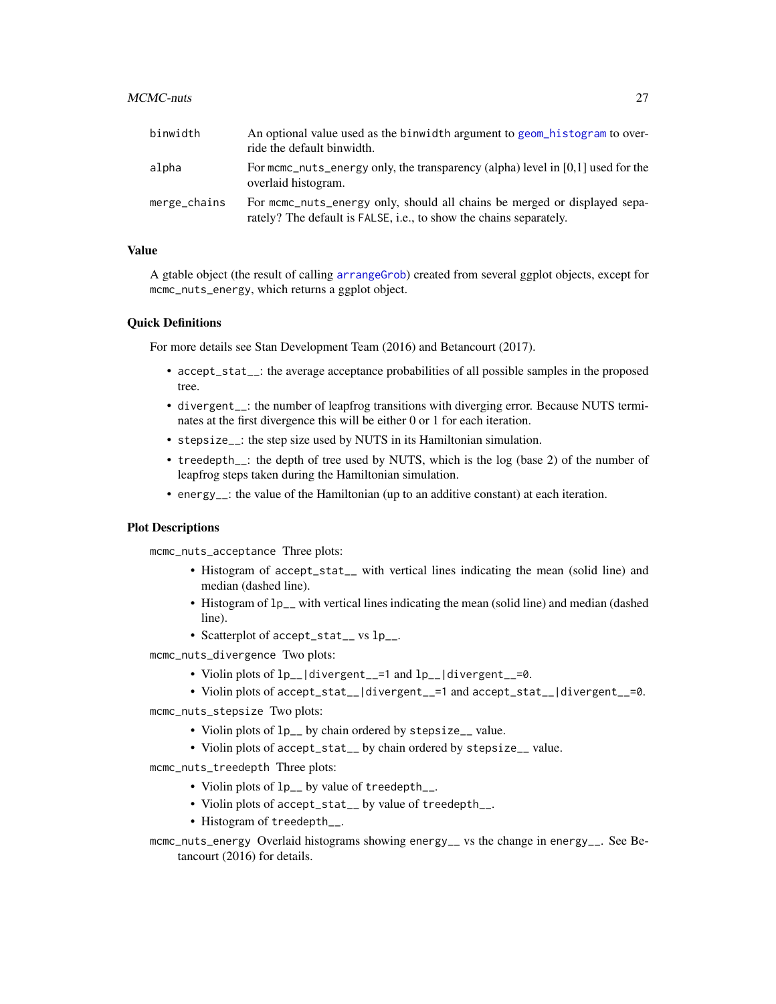## <span id="page-26-0"></span> $MCMC$ -nuts  $27$

| binwidth     | An optional value used as the binwidth argument to geom histogram to over-<br>ride the default binwidth.                                        |
|--------------|-------------------------------------------------------------------------------------------------------------------------------------------------|
| alpha        | For mome nuts energy only, the transparency (alpha) level in $[0,1]$ used for the<br>overlaid histogram.                                        |
| merge_chains | For meme nuts energy only, should all chains be merged or displayed sepa-<br>rately? The default is FALSE, i.e., to show the chains separately. |

## Value

A gtable object (the result of calling [arrangeGrob](#page-0-0)) created from several ggplot objects, except for mcmc\_nuts\_energy, which returns a ggplot object.

#### Quick Definitions

For more details see Stan Development Team (2016) and Betancourt (2017).

- accept\_stat\_\_: the average acceptance probabilities of all possible samples in the proposed tree.
- divergent\_\_: the number of leapfrog transitions with diverging error. Because NUTS terminates at the first divergence this will be either 0 or 1 for each iteration.
- stepsize\_\_: the step size used by NUTS in its Hamiltonian simulation.
- treedepth<sub>—</sub>: the depth of tree used by NUTS, which is the log (base 2) of the number of leapfrog steps taken during the Hamiltonian simulation.
- energy\_\_: the value of the Hamiltonian (up to an additive constant) at each iteration.

#### Plot Descriptions

mcmc\_nuts\_acceptance Three plots:

- Histogram of accept\_stat\_\_ with vertical lines indicating the mean (solid line) and median (dashed line).
- Histogram of lp\_\_ with vertical lines indicating the mean (solid line) and median (dashed line).
- Scatterplot of accept\_stat\_ vs lp\_\_.
- mcmc\_nuts\_divergence Two plots:
	- Violin plots of lp\_\_|divergent\_\_=1 and lp\_\_|divergent\_\_=0.
	- Violin plots of accept\_stat\_\_|divergent\_\_=1 and accept\_stat\_\_|divergent\_\_=0.
- mcmc\_nuts\_stepsize Two plots:
	- Violin plots of lp\_\_ by chain ordered by stepsize\_\_ value.
	- Violin plots of accept\_stat\_\_ by chain ordered by stepsize\_\_ value.
- mcmc\_nuts\_treedepth Three plots:
	- Violin plots of lp\_\_ by value of treedepth\_\_.
	- Violin plots of accept\_stat\_\_ by value of treedepth\_\_.
	- Histogram of treedepth\_\_.
- mcmc\_nuts\_energy Overlaid histograms showing energy\_\_ vs the change in energy\_\_. See Betancourt (2016) for details.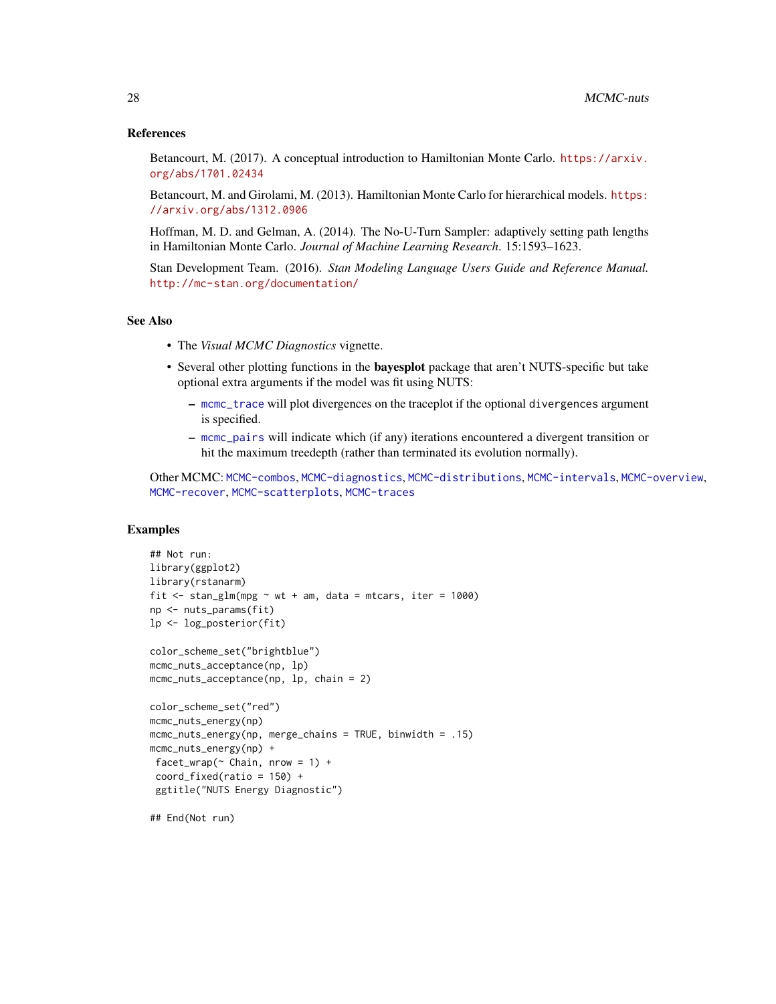### <span id="page-27-0"></span>References

Betancourt, M. (2017). A conceptual introduction to Hamiltonian Monte Carlo. [https://arxiv.](https://arxiv.org/abs/1701.02434) [org/abs/1701.02434](https://arxiv.org/abs/1701.02434)

Betancourt, M. and Girolami, M. (2013). Hamiltonian Monte Carlo for hierarchical models. [https:](https://arxiv.org/abs/1312.0906) [//arxiv.org/abs/1312.0906](https://arxiv.org/abs/1312.0906)

Hoffman, M. D. and Gelman, A. (2014). The No-U-Turn Sampler: adaptively setting path lengths in Hamiltonian Monte Carlo. *Journal of Machine Learning Research*. 15:1593–1623.

Stan Development Team. (2016). *Stan Modeling Language Users Guide and Reference Manual.* <http://mc-stan.org/documentation/>

### See Also

- The *Visual MCMC Diagnostics* vignette.
- Several other plotting functions in the bayesplot package that aren't NUTS-specific but take optional extra arguments if the model was fit using NUTS:
	- [mcmc\\_trace](#page-36-2) will plot divergences on the traceplot if the optional divergences argument is specified.
	- [mcmc\\_pairs](#page-31-2) will indicate which (if any) iterations encountered a divergent transition or hit the maximum treedepth (rather than terminated its evolution normally).

Other MCMC: [MCMC-combos](#page-15-1), [MCMC-diagnostics](#page-16-1), [MCMC-distributions](#page-19-1), [MCMC-intervals](#page-22-1), [MCMC-overview](#page-28-1), [MCMC-recover](#page-29-1), [MCMC-scatterplots](#page-31-1), [MCMC-traces](#page-36-1)

## Examples

```
## Not run:
library(ggplot2)
library(rstanarm)
fit \le stan_glm(mpg \sim wt + am, data = mtcars, iter = 1000)
np <- nuts_params(fit)
lp <- log_posterior(fit)
color_scheme_set("brightblue")
mcmc_nuts_acceptance(np, lp)
mcmc_nuts_acceptance(np, lp, chain = 2)
color_scheme_set("red")
mcmc_nuts_energy(np)
mcmc_nuts_energy(np, merge_chains = TRUE, binwidth = .15)
mcmc_nuts_energy(np) +
 facet_wrap(\sim Chain, nrow = 1) +coord_fixed(ratio = 150) +ggtitle("NUTS Energy Diagnostic")
```
## End(Not run)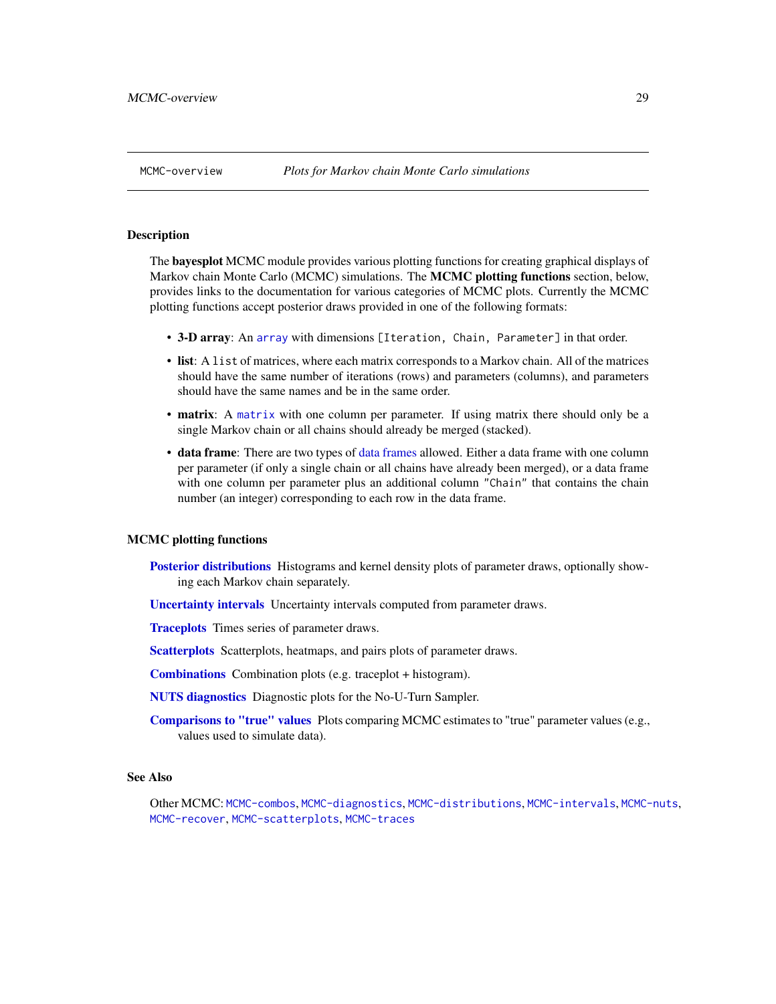## <span id="page-28-2"></span><span id="page-28-1"></span><span id="page-28-0"></span>**Description**

The **bayesplot** MCMC module provides various plotting functions for creating graphical displays of Markov chain Monte Carlo (MCMC) simulations. The MCMC plotting functions section, below, provides links to the documentation for various categories of MCMC plots. Currently the MCMC plotting functions accept posterior draws provided in one of the following formats:

- 3-D array: An [array](#page-0-0) with dimensions [Iteration, Chain, Parameter] in that order.
- list: A list of matrices, where each matrix corresponds to a Markov chain. All of the matrices should have the same number of iterations (rows) and parameters (columns), and parameters should have the same names and be in the same order.
- [matrix](#page-0-0): A matrix with one column per parameter. If using matrix there should only be a single Markov chain or all chains should already be merged (stacked).
- data frame: There are two types of [data frames](#page-0-0) allowed. Either a data frame with one column per parameter (if only a single chain or all chains have already been merged), or a data frame with one column per parameter plus an additional column "Chain" that contains the chain number (an integer) corresponding to each row in the data frame.

#### MCMC plotting functions

- [Posterior distributions](#page-19-1) Histograms and kernel density plots of parameter draws, optionally showing each Markov chain separately.
- [Uncertainty intervals](#page-22-1) Uncertainty intervals computed from parameter draws.

**[Traceplots](#page-36-1)** Times series of parameter draws.

[Scatterplots](#page-31-1) Scatterplots, heatmaps, and pairs plots of parameter draws.

[Combinations](#page-15-1) Combination plots (e.g. traceplot + histogram).

[NUTS diagnostics](#page-25-2) Diagnostic plots for the No-U-Turn Sampler.

[Comparisons to "true" values](#page-29-1) Plots comparing MCMC estimates to "true" parameter values (e.g., values used to simulate data).

## See Also

Other MCMC: [MCMC-combos](#page-15-1), [MCMC-diagnostics](#page-16-1), [MCMC-distributions](#page-19-1), [MCMC-intervals](#page-22-1), [MCMC-nuts](#page-25-2), [MCMC-recover](#page-29-1), [MCMC-scatterplots](#page-31-1), [MCMC-traces](#page-36-1)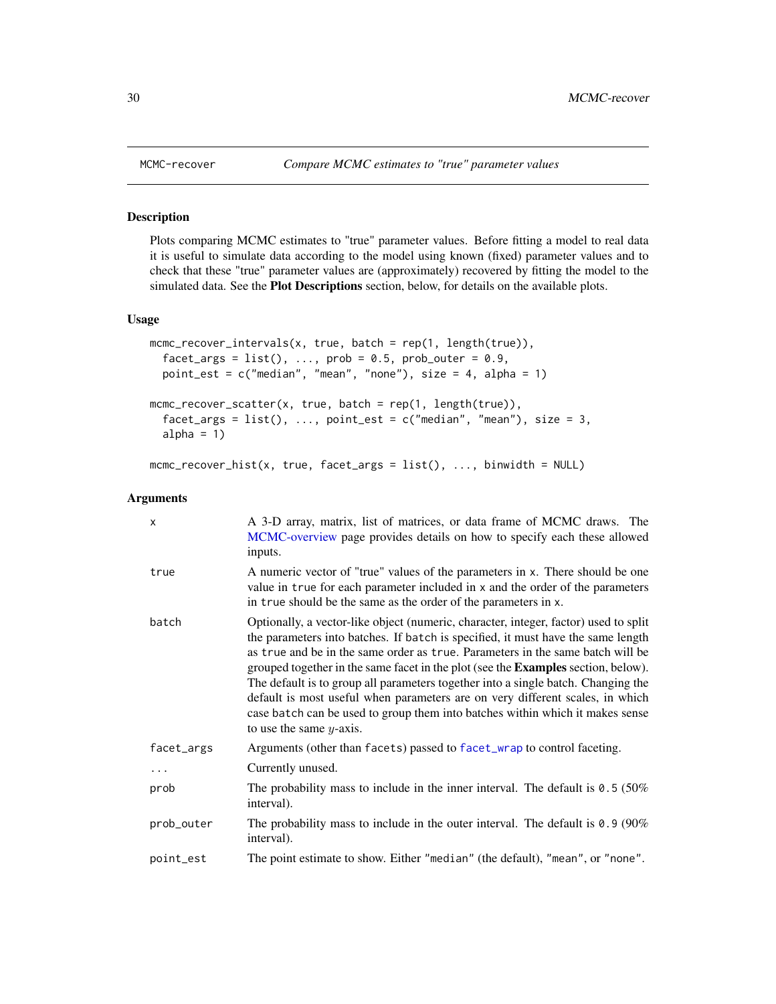## Description

Plots comparing MCMC estimates to "true" parameter values. Before fitting a model to real data it is useful to simulate data according to the model using known (fixed) parameter values and to check that these "true" parameter values are (approximately) recovered by fitting the model to the simulated data. See the Plot Descriptions section, below, for details on the available plots.

## Usage

```
mcmc\_recover\_intervals(x, true, batch = rep(1, length(true)),facet_args = list(), ..., prob = 0.5, prob\_outer = 0.9,point_est = c("median", "mean", "none"), size = 4, alpha = 1)
mcmc\_recover\_scatter(x, true, batch = rep(1, length(true)),facet_args = list(), \dots, point_est = c("median", "mean"), size = 3,
  alpha = 1)
```

```
mcmc\_recover\_hist(x, true, facet\_args = list(), ..., binwidth = NULL)
```
## Arguments

| X          | A 3-D array, matrix, list of matrices, or data frame of MCMC draws. The<br>MCMC-overview page provides details on how to specify each these allowed<br>inputs.                                                                                                                                                                                                                                                                                                                                                                                                                                                                              |
|------------|---------------------------------------------------------------------------------------------------------------------------------------------------------------------------------------------------------------------------------------------------------------------------------------------------------------------------------------------------------------------------------------------------------------------------------------------------------------------------------------------------------------------------------------------------------------------------------------------------------------------------------------------|
| true       | A numeric vector of "true" values of the parameters in x. There should be one<br>value in true for each parameter included in x and the order of the parameters<br>in true should be the same as the order of the parameters in x.                                                                                                                                                                                                                                                                                                                                                                                                          |
| batch      | Optionally, a vector-like object (numeric, character, integer, factor) used to split<br>the parameters into batches. If batch is specified, it must have the same length<br>as true and be in the same order as true. Parameters in the same batch will be<br>grouped together in the same facet in the plot (see the <b>Examples</b> section, below).<br>The default is to group all parameters together into a single batch. Changing the<br>default is most useful when parameters are on very different scales, in which<br>case batch can be used to group them into batches within which it makes sense<br>to use the same $y$ -axis. |
| facet_args | Arguments (other than facets) passed to facet_wrap to control faceting.                                                                                                                                                                                                                                                                                                                                                                                                                                                                                                                                                                     |
| .          | Currently unused.                                                                                                                                                                                                                                                                                                                                                                                                                                                                                                                                                                                                                           |
| prob       | The probability mass to include in the inner interval. The default is $0.5$ (50%)<br>interval).                                                                                                                                                                                                                                                                                                                                                                                                                                                                                                                                             |
| prob_outer | The probability mass to include in the outer interval. The default is $0.9$ (90%)<br>interval).                                                                                                                                                                                                                                                                                                                                                                                                                                                                                                                                             |
| point_est  | The point estimate to show. Either "median" (the default), "mean", or "none".                                                                                                                                                                                                                                                                                                                                                                                                                                                                                                                                                               |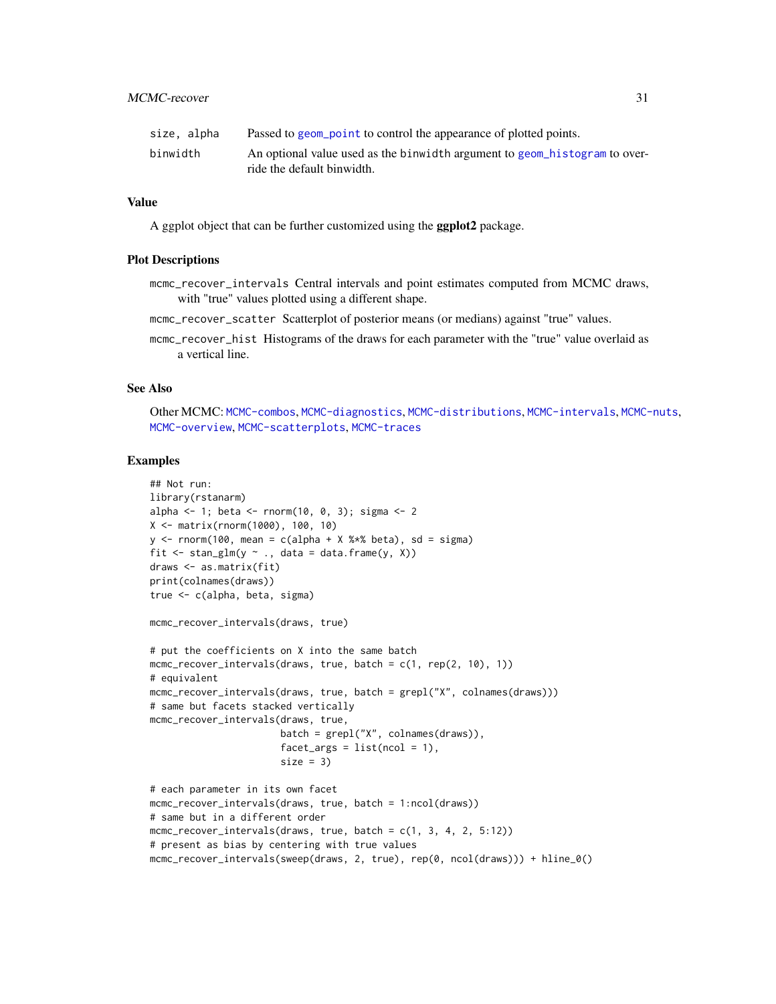<span id="page-30-0"></span>

| size, alpha | Passed to geom point to control the appearance of plotted points.                                        |
|-------------|----------------------------------------------------------------------------------------------------------|
| binwidth    | An optional value used as the binwidth argument to geom_histogram to over-<br>ride the default binwidth. |

## Value

A ggplot object that can be further customized using the **ggplot2** package.

#### Plot Descriptions

- mcmc\_recover\_intervals Central intervals and point estimates computed from MCMC draws, with "true" values plotted using a different shape.
- mcmc\_recover\_scatter Scatterplot of posterior means (or medians) against "true" values.
- mcmc\_recover\_hist Histograms of the draws for each parameter with the "true" value overlaid as a vertical line.

## See Also

Other MCMC: [MCMC-combos](#page-15-1), [MCMC-diagnostics](#page-16-1), [MCMC-distributions](#page-19-1), [MCMC-intervals](#page-22-1), [MCMC-nuts](#page-25-2), [MCMC-overview](#page-28-1), [MCMC-scatterplots](#page-31-1), [MCMC-traces](#page-36-1)

```
## Not run:
library(rstanarm)
alpha <- 1; beta <- rnorm(10, 0, 3); sigma <- 2
X <- matrix(rnorm(1000), 100, 10)
y \le - rnorm(100, mean = c(alpha + X % *% beta), sd = sigma)
fit \le stan_glm(y \sim ., data = data.frame(y, X))
draws <- as.matrix(fit)
print(colnames(draws))
true <- c(alpha, beta, sigma)
mcmc_recover_intervals(draws, true)
# put the coefficients on X into the same batch
mcmc_recover_intervals(draws, true, batch = c(1, rep(2, 10), 1))
# equivalent
mcmc_recover_intervals(draws, true, batch = grepl("X", colnames(draws)))
# same but facets stacked vertically
mcmc_recover_intervals(draws, true,
                       batch = grepl("X", colnames(draws)),
                       facet_{args} = list(ncol = 1),size = 3)# each parameter in its own facet
mcmc_recover_intervals(draws, true, batch = 1:ncol(draws))
# same but in a different order
mcmc_recover_intervals(draws, true, batch = c(1, 3, 4, 2, 5:12))
# present as bias by centering with true values
mcmc_recover_intervals(sweep(draws, 2, true), rep(0, ncol(draws))) + hline_0()
```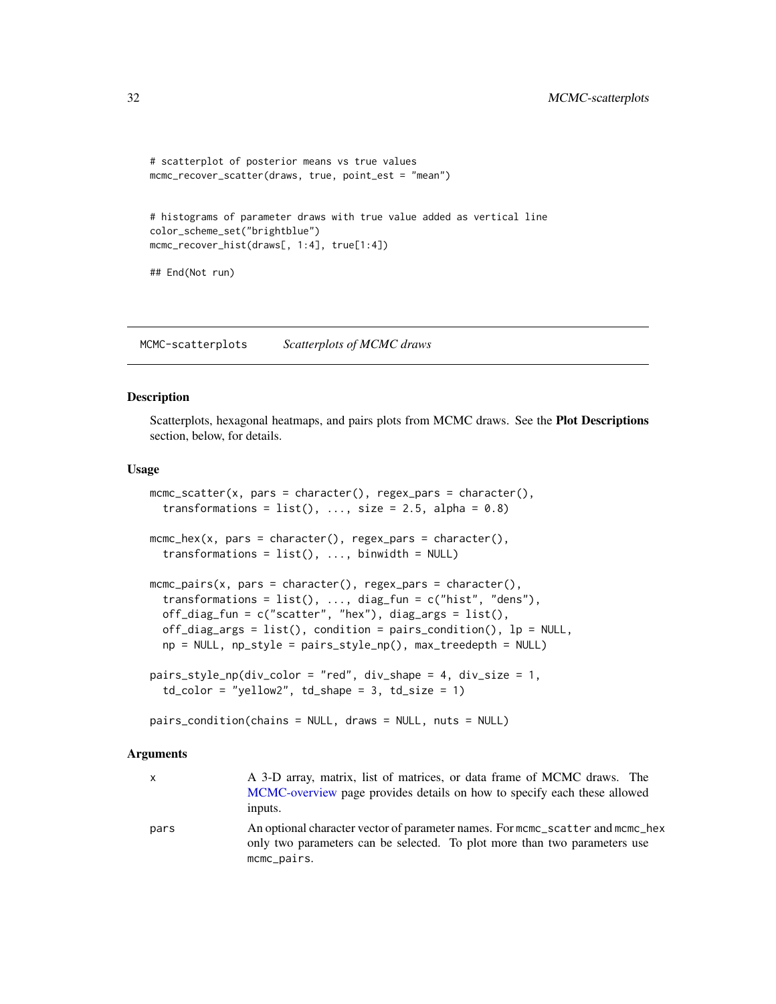```
# scatterplot of posterior means vs true values
mcmc_recover_scatter(draws, true, point_est = "mean")
# histograms of parameter draws with true value added as vertical line
color_scheme_set("brightblue")
mcmc_recover_hist(draws[, 1:4], true[1:4])
## End(Not run)
```
<span id="page-31-1"></span>MCMC-scatterplots *Scatterplots of MCMC draws*

## <span id="page-31-2"></span>Description

Scatterplots, hexagonal heatmaps, and pairs plots from MCMC draws. See the Plot Descriptions section, below, for details.

#### Usage

```
mcmc_scatter(x, pars = character(), regex_pars = character(),
  transformations = list(), \ldots, size = 2.5, alpha = 0.8)
mcmc_{\text{max}}(x, \text{pars} = \text{character}(), \text{ regress} = \text{character}(),transformations = list(), ..., binwidth = NULL)mcmc_pairs(x, pars = character(), regex_pars = character(),
  transformations = list(), ..., diag_fun = c("hist", "dens"),off_diag_fun = c("scatter", "hex"), diag_args = list(),
 off_diag_args = list(), condition = pairs_condition(), lp = NULL,
 np = NULL, np_style = pairs_style_np(), max_treedepth = NULL)
pairs_style_np(div_color = "red", div_shape = 4, div_size = 1,
  td\_color = "yellow2", td\_shape = 3, td\_size = 1)
```
pairs\_condition(chains = NULL, draws = NULL, nuts = NULL)

#### **Arguments**

| x    | A 3-D array, matrix, list of matrices, or data frame of MCMC draws. The<br>MCMC-overview page provides details on how to specify each these allowed<br>inputs.             |
|------|----------------------------------------------------------------------------------------------------------------------------------------------------------------------------|
| pars | An optional character vector of parameter names. For mcmc_scatter and mcmc_hex<br>only two parameters can be selected. To plot more than two parameters use<br>mcmc_pairs. |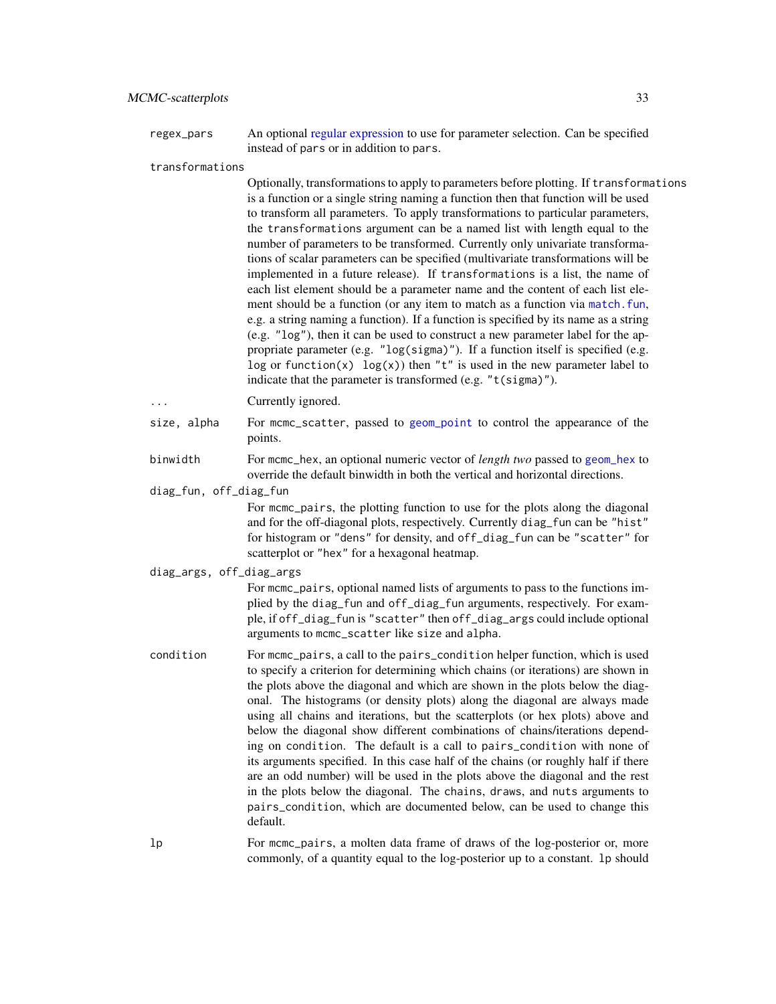<span id="page-32-0"></span>regex\_pars An optional [regular expression](#page-0-0) to use for parameter selection. Can be specified instead of pars or in addition to pars.

transformations

Optionally, transformations to apply to parameters before plotting. If transformations is a function or a single string naming a function then that function will be used to transform all parameters. To apply transformations to particular parameters, the transformations argument can be a named list with length equal to the number of parameters to be transformed. Currently only univariate transformations of scalar parameters can be specified (multivariate transformations will be implemented in a future release). If transformations is a list, the name of each list element should be a parameter name and the content of each list element should be a function (or any item to match as a function via [match.fun](#page-0-0), e.g. a string naming a function). If a function is specified by its name as a string (e.g. "log"), then it can be used to construct a new parameter label for the appropriate parameter (e.g. "log(sigma)"). If a function itself is specified (e.g. log or function(x) log(x)) then "t" is used in the new parameter label to indicate that the parameter is transformed (e.g. "t(sigma)").

- ... **Currently ignored.**
- size, alpha For mcmc\_scatter, passed to [geom\\_point](#page-0-0) to control the appearance of the points.

binwidth For mcmc\_hex, an optional numeric vector of *length two* passed to [geom\\_hex](#page-0-0) to override the default binwidth in both the vertical and horizontal directions.

diag\_fun, off\_diag\_fun

For mcmc\_pairs, the plotting function to use for the plots along the diagonal and for the off-diagonal plots, respectively. Currently diag\_fun can be "hist" for histogram or "dens" for density, and off\_diag\_fun can be "scatter" for scatterplot or "hex" for a hexagonal heatmap.

diag\_args, off\_diag\_args

For mcmc\_pairs, optional named lists of arguments to pass to the functions implied by the diag\_fun and off\_diag\_fun arguments, respectively. For example, if off\_diag\_fun is "scatter" then off\_diag\_args could include optional arguments to mcmc\_scatter like size and alpha.

- condition For mcmc\_pairs, a call to the pairs\_condition helper function, which is used to specify a criterion for determining which chains (or iterations) are shown in the plots above the diagonal and which are shown in the plots below the diagonal. The histograms (or density plots) along the diagonal are always made using all chains and iterations, but the scatterplots (or hex plots) above and below the diagonal show different combinations of chains/iterations depending on condition. The default is a call to pairs\_condition with none of its arguments specified. In this case half of the chains (or roughly half if there are an odd number) will be used in the plots above the diagonal and the rest in the plots below the diagonal. The chains, draws, and nuts arguments to pairs\_condition, which are documented below, can be used to change this default.
- lp For mcmc\_pairs, a molten data frame of draws of the log-posterior or, more commonly, of a quantity equal to the log-posterior up to a constant. lp should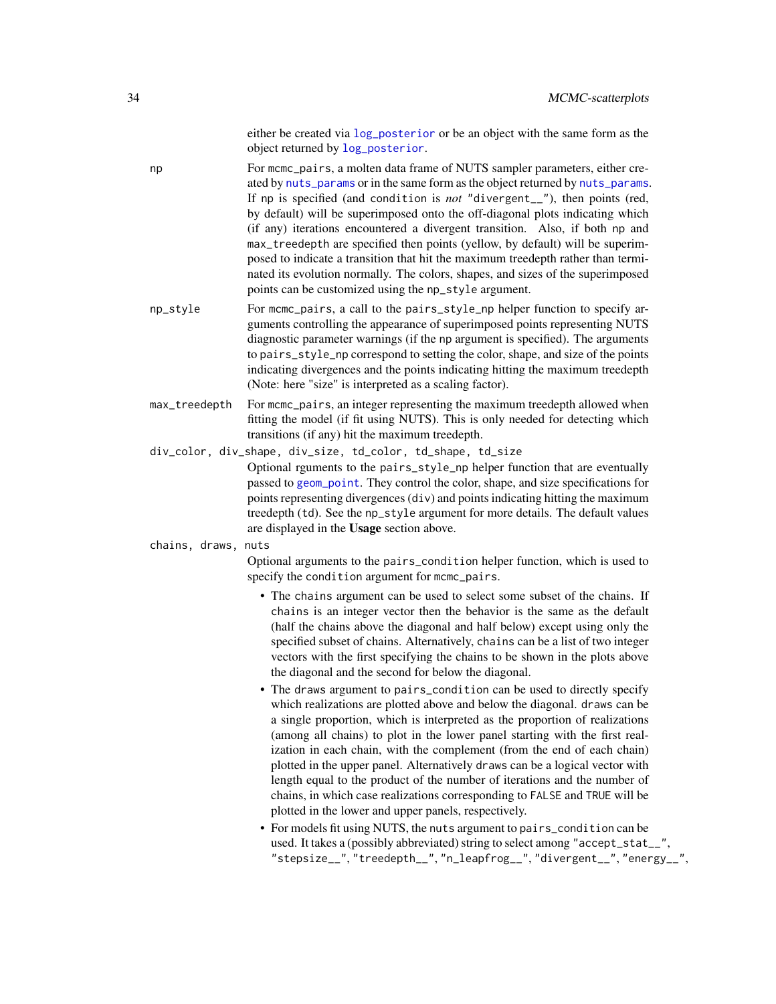either be created via [log\\_posterior](#page-6-1) or be an object with the same form as the object returned by [log\\_posterior](#page-6-1).

<span id="page-33-0"></span>np For mcmc\_pairs, a molten data frame of NUTS sampler parameters, either created by [nuts\\_params](#page-6-1) or in the same form as the object returned by [nuts\\_params](#page-6-1). If np is specified (and condition is *not* "divergent\_\_"), then points (red, by default) will be superimposed onto the off-diagonal plots indicating which (if any) iterations encountered a divergent transition. Also, if both np and max\_treedepth are specified then points (yellow, by default) will be superimposed to indicate a transition that hit the maximum treedepth rather than terminated its evolution normally. The colors, shapes, and sizes of the superimposed points can be customized using the np\_style argument.

np\_style For mcmc\_pairs, a call to the pairs\_style\_np helper function to specify arguments controlling the appearance of superimposed points representing NUTS diagnostic parameter warnings (if the np argument is specified). The arguments to pairs\_style\_np correspond to setting the color, shape, and size of the points indicating divergences and the points indicating hitting the maximum treedepth (Note: here "size" is interpreted as a scaling factor).

max\_treedepth For mcmc\_pairs, an integer representing the maximum treedepth allowed when fitting the model (if fit using NUTS). This is only needed for detecting which transitions (if any) hit the maximum treedepth.

div\_color, div\_shape, div\_size, td\_color, td\_shape, td\_size

Optional rguments to the pairs\_style\_np helper function that are eventually passed to [geom\\_point](#page-0-0). They control the color, shape, and size specifications for points representing divergences (div) and points indicating hitting the maximum treedepth (td). See the np\_style argument for more details. The default values are displayed in the Usage section above.

#### chains, draws, nuts

Optional arguments to the pairs\_condition helper function, which is used to specify the condition argument for mcmc\_pairs.

- The chains argument can be used to select some subset of the chains. If chains is an integer vector then the behavior is the same as the default (half the chains above the diagonal and half below) except using only the specified subset of chains. Alternatively, chains can be a list of two integer vectors with the first specifying the chains to be shown in the plots above the diagonal and the second for below the diagonal.
- The draws argument to pairs\_condition can be used to directly specify which realizations are plotted above and below the diagonal. draws can be a single proportion, which is interpreted as the proportion of realizations (among all chains) to plot in the lower panel starting with the first realization in each chain, with the complement (from the end of each chain) plotted in the upper panel. Alternatively draws can be a logical vector with length equal to the product of the number of iterations and the number of chains, in which case realizations corresponding to FALSE and TRUE will be plotted in the lower and upper panels, respectively.
- For models fit using NUTS, the nuts argument to pairs\_condition can be used. It takes a (possibly abbreviated) string to select among "accept\_stat\_\_", "stepsize\_\_", "treedepth\_\_", "n\_leapfrog\_\_", "divergent\_\_", "energy\_\_",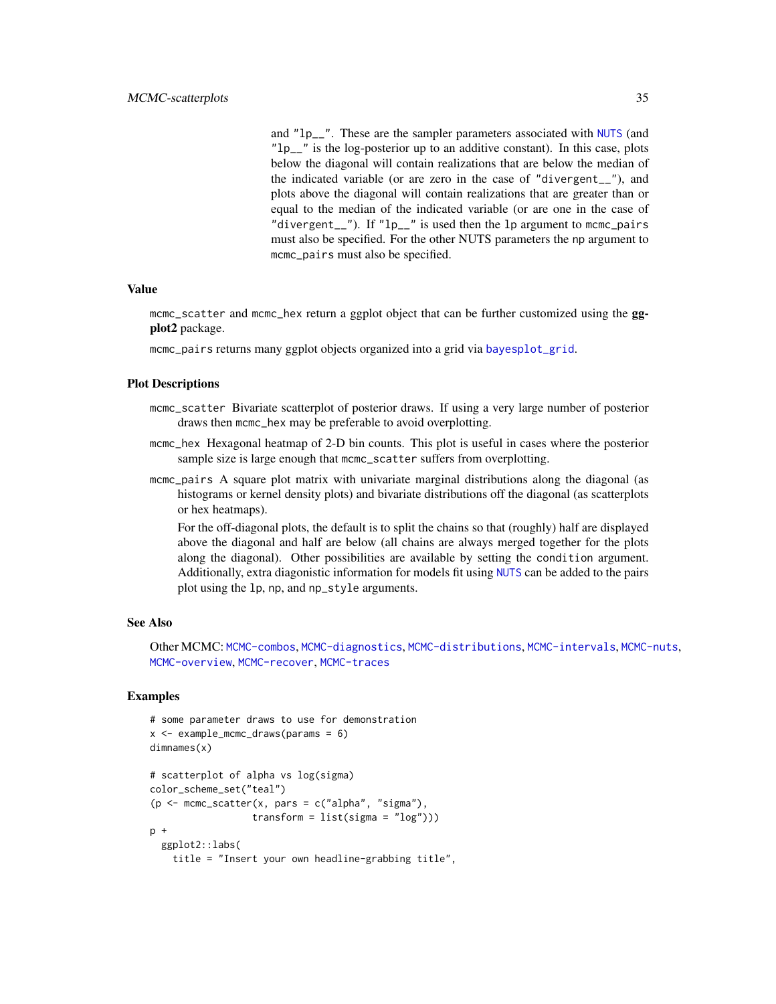<span id="page-34-0"></span>and "lp\_\_". These are the sampler parameters associated with [NUTS](#page-25-1) (and "lp\_\_" is the log-posterior up to an additive constant). In this case, plots below the diagonal will contain realizations that are below the median of the indicated variable (or are zero in the case of "divergent\_\_"), and plots above the diagonal will contain realizations that are greater than or equal to the median of the indicated variable (or are one in the case of "divergent $\text{\_}$ "). If "lp $\text{\_}$ " is used then the lp argument to mcmc $\text{\_}pairs$ must also be specified. For the other NUTS parameters the np argument to mcmc\_pairs must also be specified.

#### Value

mcmc\_scatter and mcmc\_hex return a ggplot object that can be further customized using the ggplot2 package.

mcmc\_pairs returns many ggplot objects organized into a grid via [bayesplot\\_grid](#page-13-1).

### Plot Descriptions

- mcmc\_scatter Bivariate scatterplot of posterior draws. If using a very large number of posterior draws then mcmc\_hex may be preferable to avoid overplotting.
- mcmc\_hex Hexagonal heatmap of 2-D bin counts. This plot is useful in cases where the posterior sample size is large enough that mcmc\_scatter suffers from overplotting.
- mcmc\_pairs A square plot matrix with univariate marginal distributions along the diagonal (as histograms or kernel density plots) and bivariate distributions off the diagonal (as scatterplots or hex heatmaps).

For the off-diagonal plots, the default is to split the chains so that (roughly) half are displayed above the diagonal and half are below (all chains are always merged together for the plots along the diagonal). Other possibilities are available by setting the condition argument. Additionally, extra diagonistic information for models fit using [NUTS](#page-25-1) can be added to the pairs plot using the lp, np, and np\_style arguments.

## See Also

Other MCMC: [MCMC-combos](#page-15-1), [MCMC-diagnostics](#page-16-1), [MCMC-distributions](#page-19-1), [MCMC-intervals](#page-22-1), [MCMC-nuts](#page-25-2), [MCMC-overview](#page-28-1), [MCMC-recover](#page-29-1), [MCMC-traces](#page-36-1)

```
# some parameter draws to use for demonstration
x \le - example_mcmc_draws(params = 6)
dimnames(x)
# scatterplot of alpha vs log(sigma)
color_scheme_set("teal")
(p \leq -mcmc_scatter(x, pars = c("alpha", "sigma"),
                  transform = list(sigma = "log"))p +ggplot2::labs(
   title = "Insert your own headline-grabbing title",
```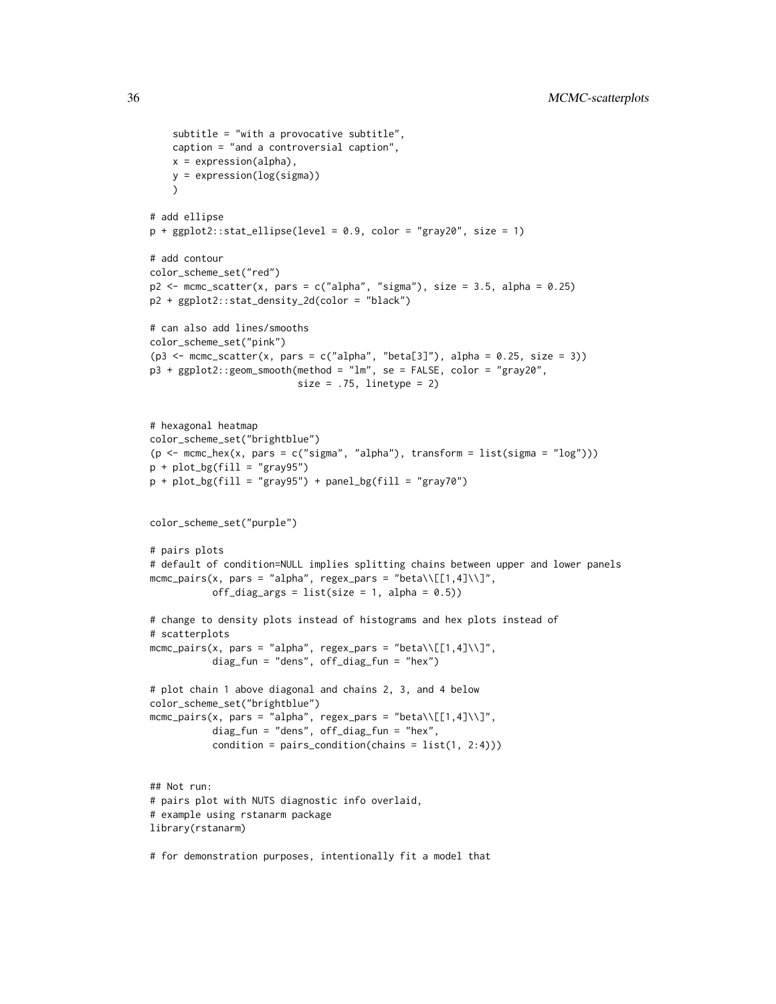```
subtitle = "with a provocative subtitle",
    caption = "and a controversial caption",
    x = expression(alpha),
    y =expression(log(sigma)))
# add ellipse
p + ggplot2::stat-ellipse(level = 0.9, color = "gray20", size = 1)
# add contour
color_scheme_set("red")
p2 <- mcmc_scatter(x, pars = c("alpha", "sigma"), size = 3.5, alpha = 0.25)
p2 + ggplot2::stat_density_2d(color = "black")
# can also add lines/smooths
color_scheme_set("pink")
(p3 \le mcmc_scatter(x, pars = c("alpha", "beta[3]"), alpha = 0.25, size = 3))p3 + ggplot2::geom_smooth(method = "lm", se = FALSE, color = "gray20",
                             size = .75, linetype = 2)# hexagonal heatmap
color_scheme_set("brightblue")
(p \leq m \text{cm}^{-1} \text{cm}^{-1})) (p \leq m \text{cm}^{-1} and p \text{cm}^{-1} and p \text{cm}^{-1} and p \text{cm}^{-1} and p \text{cm}^{-1} and p \text{cm}^{-1} and p \text{cm}^{-1} and p \text{cm}^{-1} and p \text{cm}^{-1} and p \text{cm}^{-1} and p \text{cm}^{-1} and p \text{cm}^{-1} an
p + plot_bg(fill = "gray95")p + plot_bg(fill = "gray95") + panel_bg(fill = "gray70")color_scheme_set("purple")
# pairs plots
# default of condition=NULL implies splitting chains between upper and lower panels
mcmc_pairs(x, pars = "alpha", regex_pars = "beta\\[[1,4]\\]",
            off\_diag\_args = list(size = 1, alpha = 0.5))# change to density plots instead of histograms and hex plots instead of
# scatterplots
mcmc\_pairs(x, pars = "alpha", regex\_pars = "beta\\|[1,4]\\]\ndiag_fun = "dens", off_diag_fun = "hex")
# plot chain 1 above diagonal and chains 2, 3, and 4 below
color_scheme_set("brightblue")
mcmc\_pairs(x, pars = "alpha", regex\_pars = "beta\\[[1,4]\\]]",diag_fun = "dens", off_diag_fun = "hex",
            condition = pairs_condition(chains = list(1, 2:4)))
## Not run:
# pairs plot with NUTS diagnostic info overlaid,
# example using rstanarm package
library(rstanarm)
```
# for demonstration purposes, intentionally fit a model that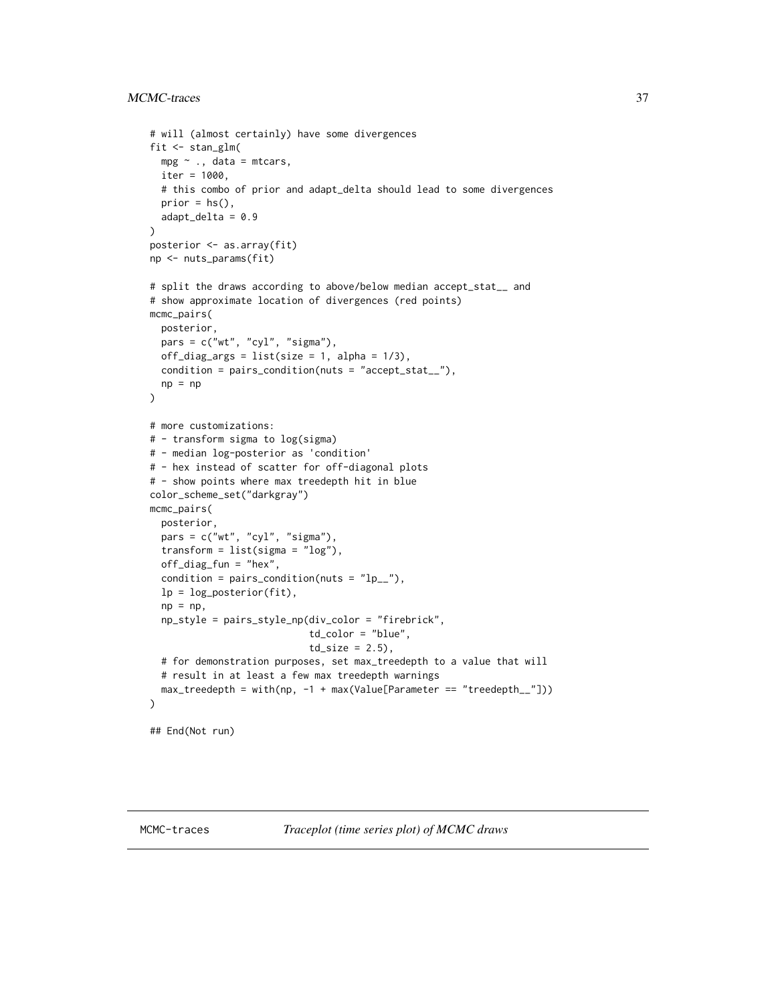## <span id="page-36-0"></span>MCMC-traces 37

```
# will (almost certainly) have some divergences
fit \le stan_glm(
  mpg ~ ., data = mtcars,
  iter = 1000,
  # this combo of prior and adapt_delta should lead to some divergences
  prior = hs(),
  adapt\_delta = 0.9\mathcal{L}posterior <- as.array(fit)
np <- nuts_params(fit)
# split the draws according to above/below median accept_stat__ and
# show approximate location of divergences (red points)
mcmc_pairs(
  posterior,
  pars = c("wt", "cyl", "sigma"),
  off\_diag\_args = list(size = 1, alpha = 1/3),condition = pairs_condition(nuts = "accept_stat__"),
  np = np)
# more customizations:
# - transform sigma to log(sigma)
# - median log-posterior as 'condition'
# - hex instead of scatter for off-diagonal plots
# - show points where max treedepth hit in blue
color_scheme_set("darkgray")
mcmc_pairs(
  posterior,
  pars = c("wt", "cyl", "sigma"),
  transform = list(sigma = "log"),
  off_diag_fun = "hex",
  condition = pairs_condition(nuts = "lp_-"),
  lp = log_posterior(fit),
  np = np,
  np_style = pairs_style_np(div_color = "firebrick",
                            td_color = "blue",
                            td\_size = 2.5,
  # for demonstration purposes, set max_treedepth to a value that will
  # result in at least a few max treedepth warnings
  max_treedepth = with(np, -1 + max(Value[Parameter == "treedepth__"]))
)
## End(Not run)
```
<span id="page-36-2"></span><span id="page-36-1"></span>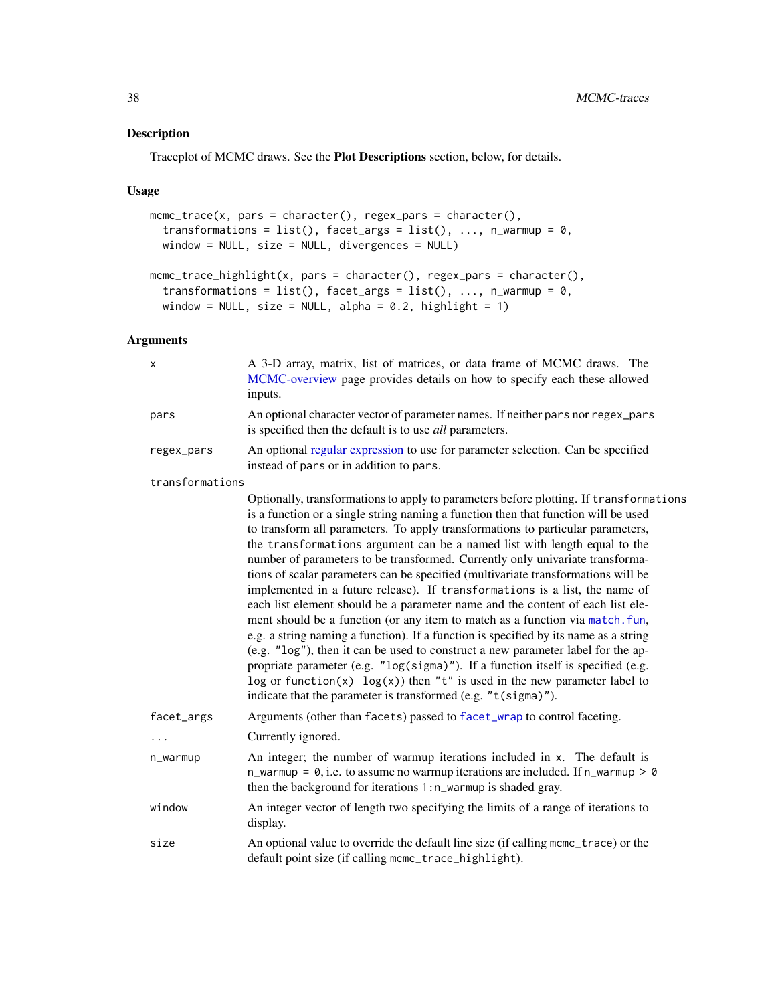## <span id="page-37-0"></span>Description

Traceplot of MCMC draws. See the Plot Descriptions section, below, for details.

## Usage

```
mcmc_trace(x, pars = character(), regex_pars = character(),transformations = list(), facet_args = list(), \dots, n_warmup = 0,
 window = NULL, size = NULL, divergences = NULL)
```

```
mcmc_trace_highlight(x, pars = character(), regex_pars = character(),
  transformations = list(), facet_args = list(), \dots, n_warmup = 0,
 window = NULL, size = NULL, alpha = 0.2, highlight = 1)
```
## Arguments

| х               | A 3-D array, matrix, list of matrices, or data frame of MCMC draws. The<br>MCMC-overview page provides details on how to specify each these allowed<br>inputs.                                                                                                                                                                                                                                                                                                                                                                                                                                                                                                                                                                                                                                                                                                                                                                                                                                                                                                                                                                                                                            |
|-----------------|-------------------------------------------------------------------------------------------------------------------------------------------------------------------------------------------------------------------------------------------------------------------------------------------------------------------------------------------------------------------------------------------------------------------------------------------------------------------------------------------------------------------------------------------------------------------------------------------------------------------------------------------------------------------------------------------------------------------------------------------------------------------------------------------------------------------------------------------------------------------------------------------------------------------------------------------------------------------------------------------------------------------------------------------------------------------------------------------------------------------------------------------------------------------------------------------|
| pars            | An optional character vector of parameter names. If neither pars nor regex_pars<br>is specified then the default is to use <i>all</i> parameters.                                                                                                                                                                                                                                                                                                                                                                                                                                                                                                                                                                                                                                                                                                                                                                                                                                                                                                                                                                                                                                         |
| regex_pars      | An optional regular expression to use for parameter selection. Can be specified<br>instead of pars or in addition to pars.                                                                                                                                                                                                                                                                                                                                                                                                                                                                                                                                                                                                                                                                                                                                                                                                                                                                                                                                                                                                                                                                |
| transformations |                                                                                                                                                                                                                                                                                                                                                                                                                                                                                                                                                                                                                                                                                                                                                                                                                                                                                                                                                                                                                                                                                                                                                                                           |
|                 | Optionally, transformations to apply to parameters before plotting. If transformations<br>is a function or a single string naming a function then that function will be used<br>to transform all parameters. To apply transformations to particular parameters,<br>the transformations argument can be a named list with length equal to the<br>number of parameters to be transformed. Currently only univariate transforma-<br>tions of scalar parameters can be specified (multivariate transformations will be<br>implemented in a future release). If transformations is a list, the name of<br>each list element should be a parameter name and the content of each list ele-<br>ment should be a function (or any item to match as a function via match. fun,<br>e.g. a string naming a function). If a function is specified by its name as a string<br>(e.g. "log"), then it can be used to construct a new parameter label for the ap-<br>propriate parameter (e.g. "log(sigma)"). If a function itself is specified (e.g.<br>$\log$ or function(x) $\log(x)$ ) then "t" is used in the new parameter label to<br>indicate that the parameter is transformed (e.g. "t(sigma)"). |
| facet_args      | Arguments (other than facets) passed to facet_wrap to control faceting.                                                                                                                                                                                                                                                                                                                                                                                                                                                                                                                                                                                                                                                                                                                                                                                                                                                                                                                                                                                                                                                                                                                   |
| .               | Currently ignored.                                                                                                                                                                                                                                                                                                                                                                                                                                                                                                                                                                                                                                                                                                                                                                                                                                                                                                                                                                                                                                                                                                                                                                        |
| n_warmup        | An integer; the number of warmup iterations included in x. The default is<br>n_warmup = $\theta$ , i.e. to assume no warmup iterations are included. If n_warmup > $\theta$<br>then the background for iterations 1: n_warmup is shaded gray.                                                                                                                                                                                                                                                                                                                                                                                                                                                                                                                                                                                                                                                                                                                                                                                                                                                                                                                                             |
| window          | An integer vector of length two specifying the limits of a range of iterations to<br>display.                                                                                                                                                                                                                                                                                                                                                                                                                                                                                                                                                                                                                                                                                                                                                                                                                                                                                                                                                                                                                                                                                             |
| size            | An optional value to override the default line size (if calling mcmc_trace) or the<br>default point size (if calling mcmc_trace_highlight).                                                                                                                                                                                                                                                                                                                                                                                                                                                                                                                                                                                                                                                                                                                                                                                                                                                                                                                                                                                                                                               |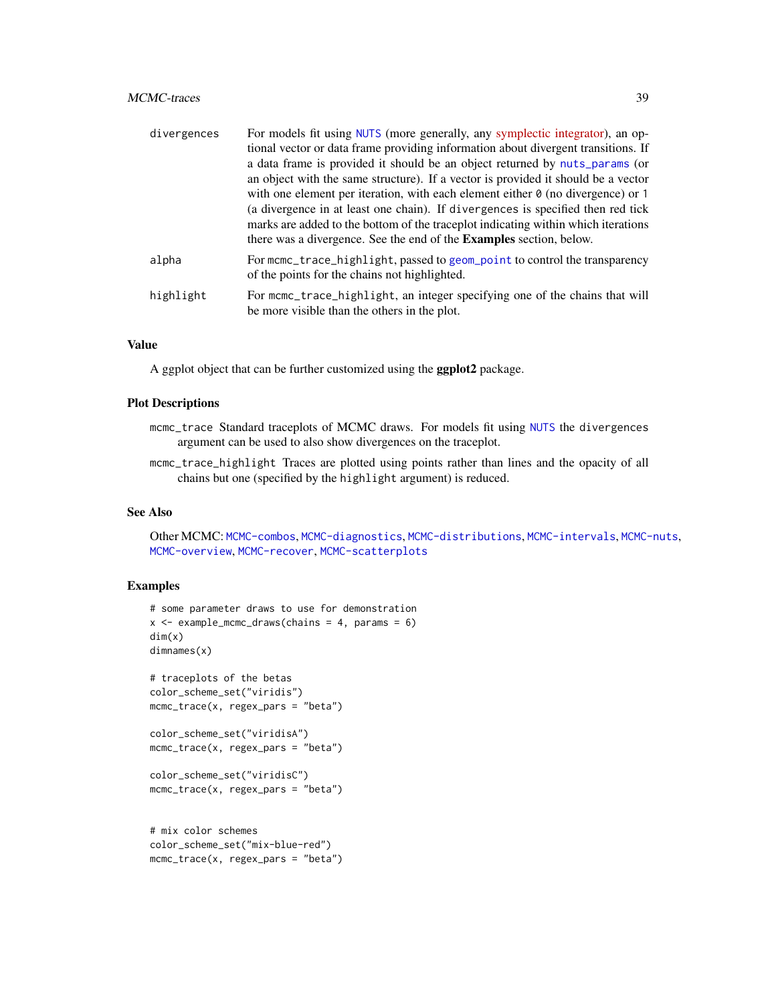## <span id="page-38-0"></span>MCMC-traces 39

| divergences | For models fit using NUTS (more generally, any symplectic integrator), an op-<br>tional vector or data frame providing information about divergent transitions. If<br>a data frame is provided it should be an object returned by nuts_params (or<br>an object with the same structure). If a vector is provided it should be a vector<br>with one element per iteration, with each element either $\theta$ (no divergence) or 1<br>(a divergence in at least one chain). If divergences is specified then red tick<br>marks are added to the bottom of the traceplot indicating within which iterations |
|-------------|----------------------------------------------------------------------------------------------------------------------------------------------------------------------------------------------------------------------------------------------------------------------------------------------------------------------------------------------------------------------------------------------------------------------------------------------------------------------------------------------------------------------------------------------------------------------------------------------------------|
|             | there was a divergence. See the end of the <b>Examples</b> section, below.                                                                                                                                                                                                                                                                                                                                                                                                                                                                                                                               |
| alpha       | For mcmc_trace_highlight, passed to geom_point to control the transparency<br>of the points for the chains not highlighted.                                                                                                                                                                                                                                                                                                                                                                                                                                                                              |
| highlight   | For mome trace highlight, an integer specifying one of the chains that will<br>be more visible than the others in the plot.                                                                                                                                                                                                                                                                                                                                                                                                                                                                              |

#### Value

A ggplot object that can be further customized using the ggplot2 package.

#### Plot Descriptions

- mcmc\_trace Standard traceplots of MCMC draws. For models fit using [NUTS](#page-25-1) the divergences argument can be used to also show divergences on the traceplot.
- mcmc\_trace\_highlight Traces are plotted using points rather than lines and the opacity of all chains but one (specified by the highlight argument) is reduced.

#### See Also

Other MCMC: [MCMC-combos](#page-15-1), [MCMC-diagnostics](#page-16-1), [MCMC-distributions](#page-19-1), [MCMC-intervals](#page-22-1), [MCMC-nuts](#page-25-2), [MCMC-overview](#page-28-1), [MCMC-recover](#page-29-1), [MCMC-scatterplots](#page-31-1)

```
# some parameter draws to use for demonstration
x \le - example_mcmc_draws(chains = 4, params = 6)
dim(x)
dimnames(x)
```

```
# traceplots of the betas
color_scheme_set("viridis")
mcmc_trace(x, regex_pars = "beta")
```

```
color_scheme_set("viridisA")
mcmc_trace(x, regex_pars = "beta")
```

```
color_scheme_set("viridisC")
mcmc_{\text{r}} race(x, regex_pars = "beta")
```

```
# mix color schemes
color_scheme_set("mix-blue-red")
mcmc_trace(x, regex_pars = "beta")
```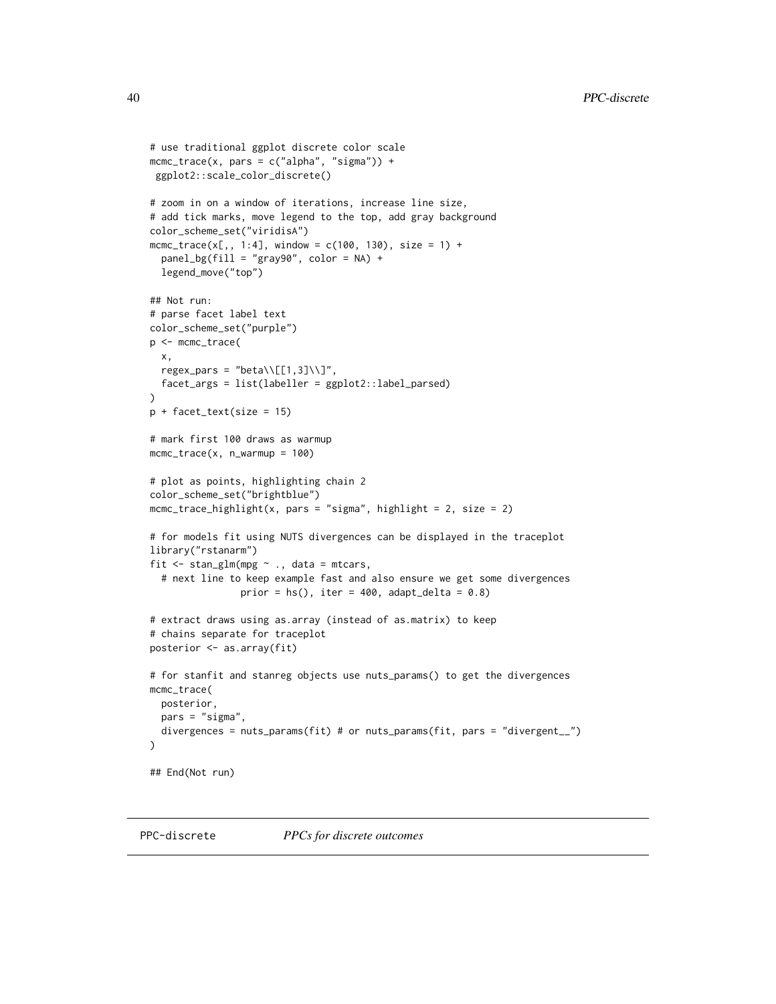```
# use traditional ggplot discrete color scale
mcmc_{\text{t}}rac{c(x, \text{pars} = c("alpha", "sigma")) +ggplot2::scale_color_discrete()
# zoom in on a window of iterations, increase line size,
# add tick marks, move legend to the top, add gray background
color_scheme_set("viridisA")
mcmc_trace(x[,, 1:4], window = c(100, 130), size = 1) +
  panel_bg(fill = "gray90", color = NA) +
  legend_move("top")
## Not run:
# parse facet label text
color_scheme_set("purple")
p <- mcmc_trace(
 x,
  regex\_pars = "beta\\[1,3]\\]",
  facet_args = list(labeller = ggplot2::label_parsed)
\lambdap + facet_text(size = 15)
# mark first 100 draws as warmup
mcmc_trace(x, n_warmup = 100)
# plot as points, highlighting chain 2
color_scheme_set("brightblue")
mcmc_trace_highlight(x, pars = "sigma", highlight = 2, size = 2)
# for models fit using NUTS divergences can be displayed in the traceplot
library("rstanarm")
fit \le stan_glm(mpg \sim ., data = mtcars,
  # next line to keep example fast and also ensure we get some divergences
                prior = hs(), iter = 400, adapt_delta = 0.8)# extract draws using as.array (instead of as.matrix) to keep
# chains separate for traceplot
posterior <- as.array(fit)
# for stanfit and stanreg objects use nuts_params() to get the divergences
mcmc_trace(
  posterior,
  pars = "sigma",
  divergences = nuts_params(fit) # or nuts_params(fit, pars = "divergent__")
\lambda## End(Not run)
```
<span id="page-39-1"></span>

<span id="page-39-0"></span>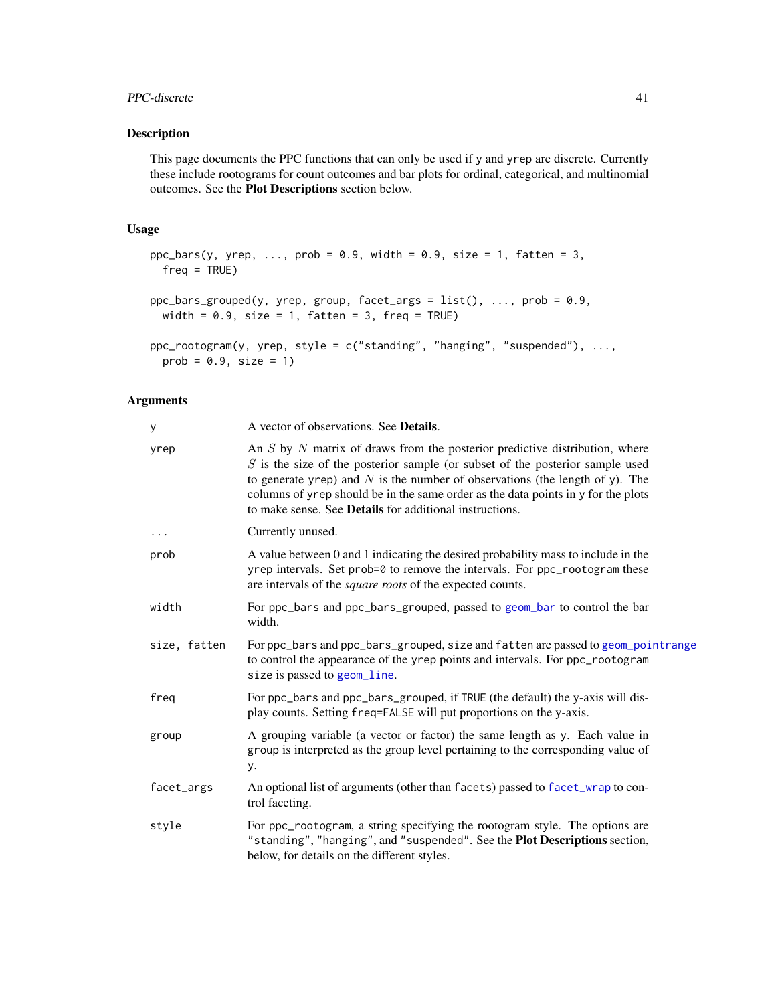## <span id="page-40-0"></span>PPC-discrete 41

## Description

This page documents the PPC functions that can only be used if y and yrep are discrete. Currently these include rootograms for count outcomes and bar plots for ordinal, categorical, and multinomial outcomes. See the Plot Descriptions section below.

## Usage

```
ppc_bars(y, yrep, ..., prob = 0.9, width = 0.9, size = 1, fatten = 3,freq = TRUE)
ppc_bars_grouped(y, yrep, group, facet_{args} = list(), ..., prob = 0.9,width = 0.9, size = 1, fatten = 3, freq = TRUE)
ppc_rootogram(y, yrep, style = c("standing", "hanging", "suspended"), ...,
 prob = 0.9, size = 1)
```
## Arguments

| У            | A vector of observations. See <b>Details</b> .                                                                                                                                                                                                                                                                                                                                                              |
|--------------|-------------------------------------------------------------------------------------------------------------------------------------------------------------------------------------------------------------------------------------------------------------------------------------------------------------------------------------------------------------------------------------------------------------|
| yrep         | An $S$ by $N$ matrix of draws from the posterior predictive distribution, where<br>$S$ is the size of the posterior sample (or subset of the posterior sample used<br>to generate yrep) and $N$ is the number of observations (the length of y). The<br>columns of yrep should be in the same order as the data points in y for the plots<br>to make sense. See <b>Details</b> for additional instructions. |
| $\ldots$     | Currently unused.                                                                                                                                                                                                                                                                                                                                                                                           |
| prob         | A value between 0 and 1 indicating the desired probability mass to include in the<br>yrep intervals. Set prob=0 to remove the intervals. For ppc_rootogram these<br>are intervals of the square roots of the expected counts.                                                                                                                                                                               |
| width        | For ppc_bars and ppc_bars_grouped, passed to geom_bar to control the bar<br>width.                                                                                                                                                                                                                                                                                                                          |
| size, fatten | For ppc_bars and ppc_bars_grouped, size and fatten are passed to geom_pointrange<br>to control the appearance of the yrep points and intervals. For ppc_rootogram<br>size is passed to geom_line.                                                                                                                                                                                                           |
| freq         | For ppc_bars and ppc_bars_grouped, if TRUE (the default) the y-axis will dis-<br>play counts. Setting freq=FALSE will put proportions on the y-axis.                                                                                                                                                                                                                                                        |
| group        | A grouping variable (a vector or factor) the same length as y. Each value in<br>group is interpreted as the group level pertaining to the corresponding value of<br>у.                                                                                                                                                                                                                                      |
| facet_args   | An optional list of arguments (other than facets) passed to facet_wrap to con-<br>trol faceting.                                                                                                                                                                                                                                                                                                            |
| style        | For ppc_rootogram, a string specifying the rootogram style. The options are<br>"standing", "hanging", and "suspended". See the Plot Descriptions section,<br>below, for details on the different styles.                                                                                                                                                                                                    |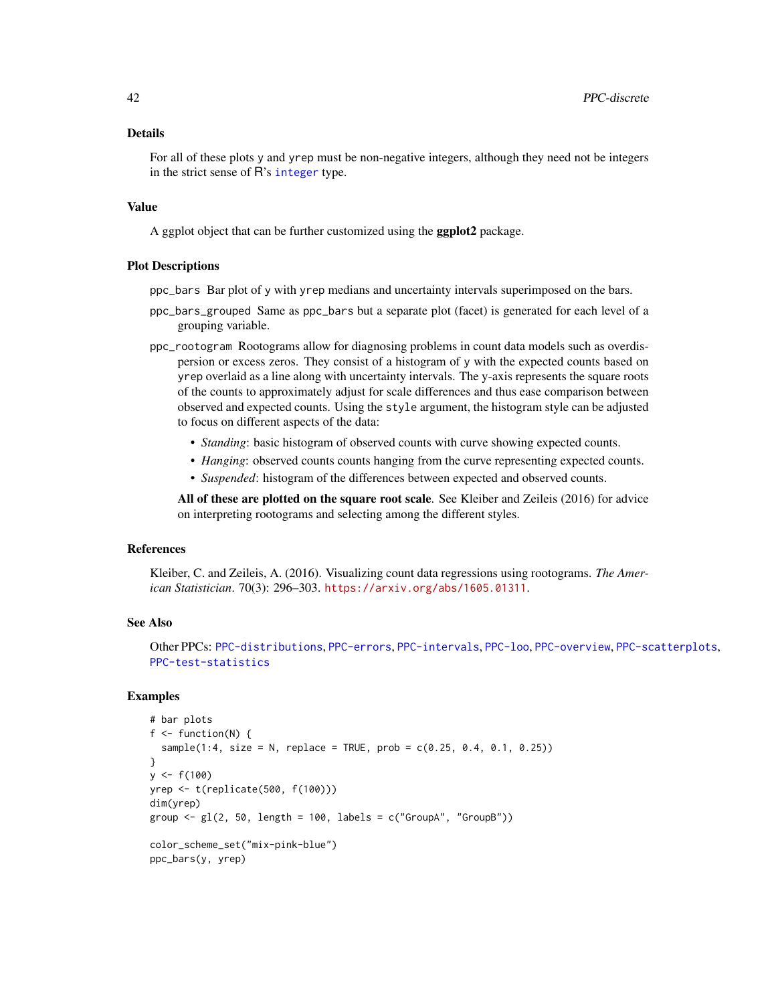## <span id="page-41-0"></span>Details

For all of these plots y and yrep must be non-negative integers, although they need not be integers in the strict sense of R's [integer](#page-0-0) type.

## Value

A ggplot object that can be further customized using the ggplot2 package.

## Plot Descriptions

ppc\_bars Bar plot of y with yrep medians and uncertainty intervals superimposed on the bars.

- ppc\_bars\_grouped Same as ppc\_bars but a separate plot (facet) is generated for each level of a grouping variable.
- ppc\_rootogram Rootograms allow for diagnosing problems in count data models such as overdispersion or excess zeros. They consist of a histogram of y with the expected counts based on yrep overlaid as a line along with uncertainty intervals. The y-axis represents the square roots of the counts to approximately adjust for scale differences and thus ease comparison between observed and expected counts. Using the style argument, the histogram style can be adjusted to focus on different aspects of the data:
	- *Standing*: basic histogram of observed counts with curve showing expected counts.
	- *Hanging*: observed counts counts hanging from the curve representing expected counts.
	- *Suspended*: histogram of the differences between expected and observed counts.

All of these are plotted on the square root scale. See Kleiber and Zeileis (2016) for advice on interpreting rootograms and selecting among the different styles.

## References

Kleiber, C. and Zeileis, A. (2016). Visualizing count data regressions using rootograms. *The American Statistician*. 70(3): 296–303. <https://arxiv.org/abs/1605.01311>.

## See Also

Other PPCs: [PPC-distributions](#page-42-1), [PPC-errors](#page-45-1), [PPC-intervals](#page-48-1), [PPC-loo](#page-50-1), [PPC-overview](#page-53-1), [PPC-scatterplots](#page-54-1), [PPC-test-statistics](#page-56-1)

```
# bar plots
f \leftarrow function(N) {
 sample(1:4, size = N, replace = TRUE, prob = c(0.25, 0.4, 0.1, 0.25))}
y \le f(100)yrep <- t(replicate(500, f(100)))
dim(yrep)
group \leq gl(2, 50, length = 100, labels = c("GroupA", "GroupB"))
color_scheme_set("mix-pink-blue")
ppc_bars(y, yrep)
```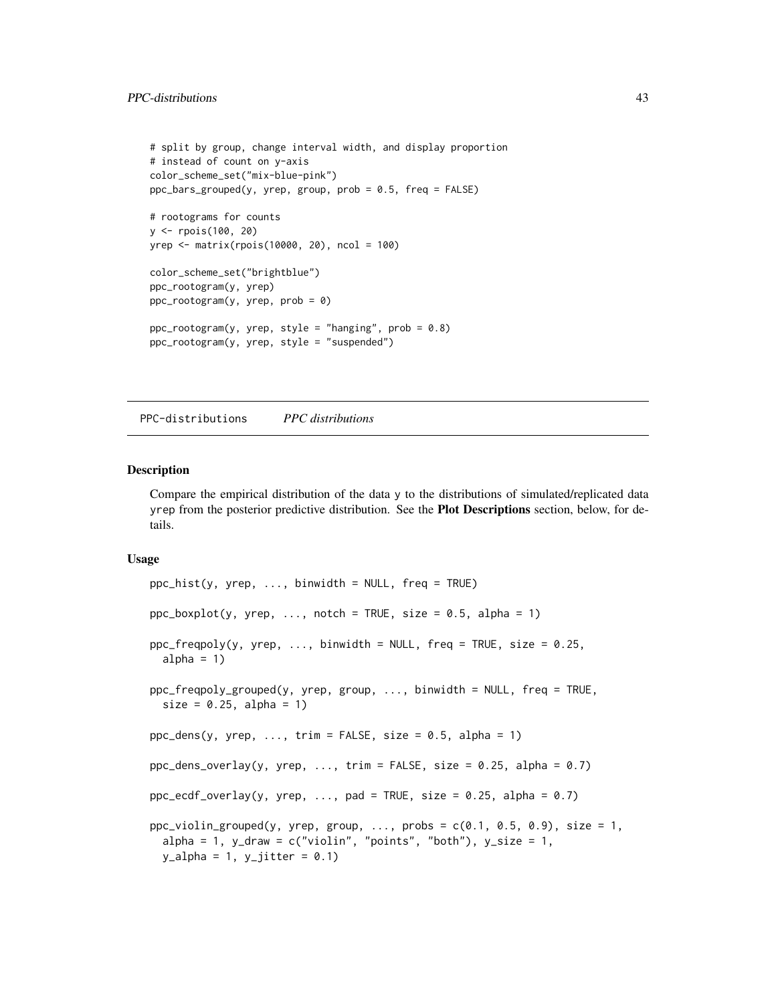```
# split by group, change interval width, and display proportion
# instead of count on y-axis
color_scheme_set("mix-blue-pink")
ppc_bars_grouped(y, yrep, group, prob = 0.5, freq = FALSE)
# rootograms for counts
y <- rpois(100, 20)
yrep <- matrix(rpois(10000, 20), ncol = 100)
color_scheme_set("brightblue")
ppc_rootogram(y, yrep)
ppc_rootogram(y, yrep, prob = 0)
ppc_{\text{re}} ppc_rootogram(y, yrep, style = "hanging", prob = 0.8)
ppc_rootogram(y, yrep, style = "suspended")
```
<span id="page-42-1"></span>PPC-distributions *PPC distributions*

## **Description**

Compare the empirical distribution of the data y to the distributions of simulated/replicated data yrep from the posterior predictive distribution. See the Plot Descriptions section, below, for details.

## Usage

```
ppc\_hist(y, yrep, ..., binwidth = NULL, freq = TRUE)ppc_boxplot(y, yrep, ..., notch = TRUE, size = 0.5, alpha = 1)ppc_freqpoly(y, yrep, ..., binwidth = NULL, freq = TRUE, size = 0.25,
  alpha = 1)
ppc_freqpoly_grouped(y, yrep, group, ..., binwidth = NULL, freq = TRUE,
  size = 0.25, alpha = 1)ppc_{\text{dens}}(y, yrep, \ldots, trim = FALSE, size = 0.5, alpha = 1)ppc_{\text{0}} dens_overlay(y, yrep, ..., trim = FALSE, size = 0.25, alpha = 0.7)
ppc\_ecdf\_overlay(y, yrep, ..., pad = TRUE, size = 0.25, alpha = 0.7)ppc_violin_grouped(y, yrep, group, ..., probs = c(0.1, 0.5, 0.9), size = 1,
  alpha = 1, y_draw = c("violin", "points", "both"), y_size = 1,y<sup>-</sup>alpha = 1, y-jitter = 0.1)
```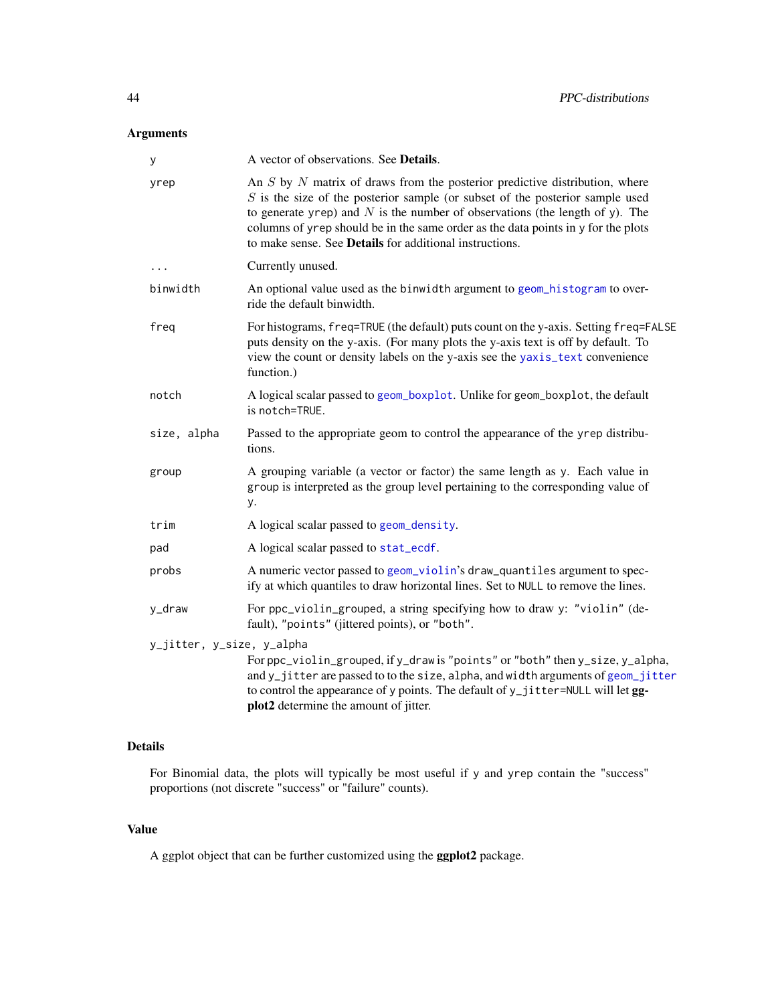## <span id="page-43-0"></span>Arguments

| y                         | A vector of observations. See Details.                                                                                                                                                                                                                                                                                                                                                               |
|---------------------------|------------------------------------------------------------------------------------------------------------------------------------------------------------------------------------------------------------------------------------------------------------------------------------------------------------------------------------------------------------------------------------------------------|
| yrep                      | An $S$ by $N$ matrix of draws from the posterior predictive distribution, where<br>$S$ is the size of the posterior sample (or subset of the posterior sample used<br>to generate yrep) and $N$ is the number of observations (the length of y). The<br>columns of yrep should be in the same order as the data points in y for the plots<br>to make sense. See Details for additional instructions. |
| $\cdots$                  | Currently unused.                                                                                                                                                                                                                                                                                                                                                                                    |
| binwidth                  | An optional value used as the binwidth argument to geom_histogram to over-<br>ride the default binwidth.                                                                                                                                                                                                                                                                                             |
| freq                      | For histograms, freq=TRUE (the default) puts count on the y-axis. Setting freq=FALSE<br>puts density on the y-axis. (For many plots the y-axis text is off by default. To<br>view the count or density labels on the y-axis see the yaxis_text convenience<br>function.)                                                                                                                             |
| notch                     | A logical scalar passed to geom_boxplot. Unlike for geom_boxplot, the default<br>is notch=TRUE.                                                                                                                                                                                                                                                                                                      |
| size, alpha               | Passed to the appropriate geom to control the appearance of the yrep distribu-<br>tions.                                                                                                                                                                                                                                                                                                             |
| group                     | A grouping variable (a vector or factor) the same length as y. Each value in<br>group is interpreted as the group level pertaining to the corresponding value of<br>у.                                                                                                                                                                                                                               |
| trim                      | A logical scalar passed to geom_density.                                                                                                                                                                                                                                                                                                                                                             |
| pad                       | A logical scalar passed to stat_ecdf.                                                                                                                                                                                                                                                                                                                                                                |
| probs                     | A numeric vector passed to geom_violin's draw_quantiles argument to spec-<br>ify at which quantiles to draw horizontal lines. Set to NULL to remove the lines.                                                                                                                                                                                                                                       |
| y_draw                    | For ppc_violin_grouped, a string specifying how to draw y: "violin" (de-<br>fault), "points" (jittered points), or "both".                                                                                                                                                                                                                                                                           |
| y_jitter, y_size, y_alpha | For ppc_violin_grouped, if y_draw is "points" or "both" then y_size, y_alpha,                                                                                                                                                                                                                                                                                                                        |
|                           | and y_jitter are passed to to the size, alpha, and width arguments of geom_jitter<br>to control the appearance of y points. The default of y_jitter=NULL will let gg-<br>plot2 determine the amount of jitter.                                                                                                                                                                                       |
|                           |                                                                                                                                                                                                                                                                                                                                                                                                      |

## Details

For Binomial data, the plots will typically be most useful if y and yrep contain the "success" proportions (not discrete "success" or "failure" counts).

# Value

A ggplot object that can be further customized using the ggplot2 package.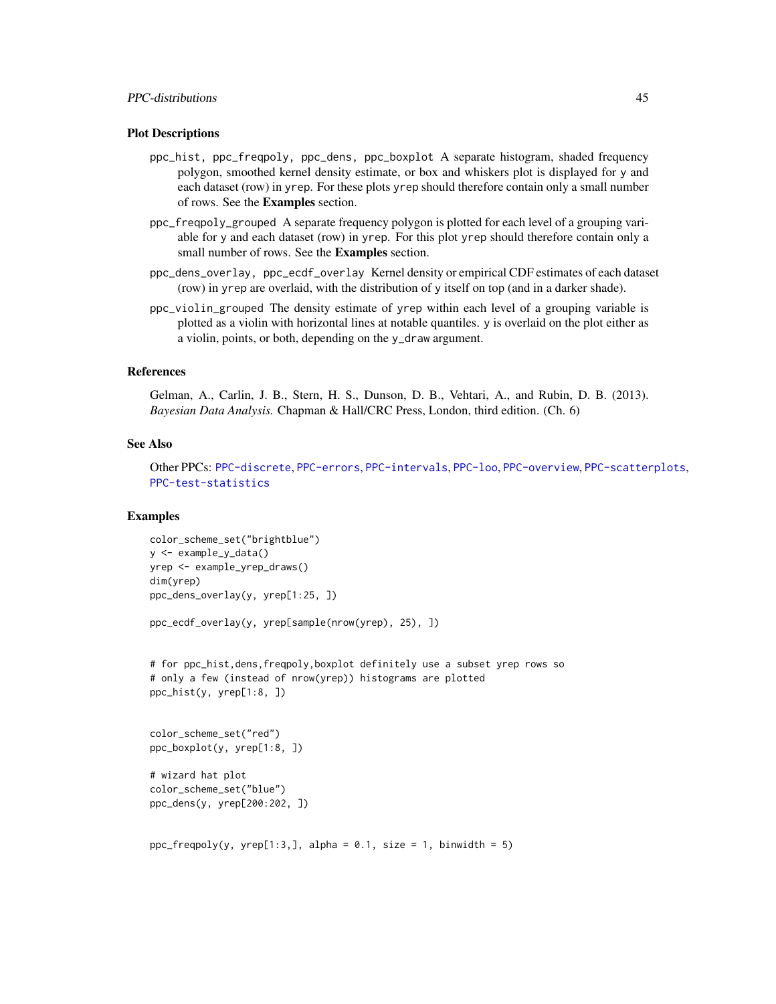#### Plot Descriptions

- ppc\_hist, ppc\_freqpoly, ppc\_dens, ppc\_boxplot A separate histogram, shaded frequency polygon, smoothed kernel density estimate, or box and whiskers plot is displayed for y and each dataset (row) in yrep. For these plots yrep should therefore contain only a small number of rows. See the Examples section.
- ppc\_freqpoly\_grouped A separate frequency polygon is plotted for each level of a grouping variable for y and each dataset (row) in yrep. For this plot yrep should therefore contain only a small number of rows. See the Examples section.
- ppc\_dens\_overlay, ppc\_ecdf\_overlay Kernel density or empirical CDF estimates of each dataset (row) in yrep are overlaid, with the distribution of y itself on top (and in a darker shade).
- ppc\_violin\_grouped The density estimate of yrep within each level of a grouping variable is plotted as a violin with horizontal lines at notable quantiles. y is overlaid on the plot either as a violin, points, or both, depending on the y\_draw argument.

## References

Gelman, A., Carlin, J. B., Stern, H. S., Dunson, D. B., Vehtari, A., and Rubin, D. B. (2013). *Bayesian Data Analysis.* Chapman & Hall/CRC Press, London, third edition. (Ch. 6)

#### See Also

Other PPCs: [PPC-discrete](#page-39-1), [PPC-errors](#page-45-1), [PPC-intervals](#page-48-1), [PPC-loo](#page-50-1), [PPC-overview](#page-53-1), [PPC-scatterplots](#page-54-1), [PPC-test-statistics](#page-56-1)

## Examples

```
color_scheme_set("brightblue")
y <- example_y_data()
yrep <- example_yrep_draws()
dim(yrep)
ppc_dens_overlay(y, yrep[1:25, ])
```
ppc\_ecdf\_overlay(y, yrep[sample(nrow(yrep), 25), ])

```
# for ppc_hist,dens,freqpoly,boxplot definitely use a subset yrep rows so
# only a few (instead of nrow(yrep)) histograms are plotted
ppc_hist(y, yrep[1:8, ])
```

```
color_scheme_set("red")
ppc_boxplot(y, yrep[1:8, ])
```

```
# wizard hat plot
color_scheme_set("blue")
ppc_dens(y, yrep[200:202, ])
```
 $ppc_f$ reqpoly(y, yrep[1:3,], alpha = 0.1, size = 1, binwidth = 5)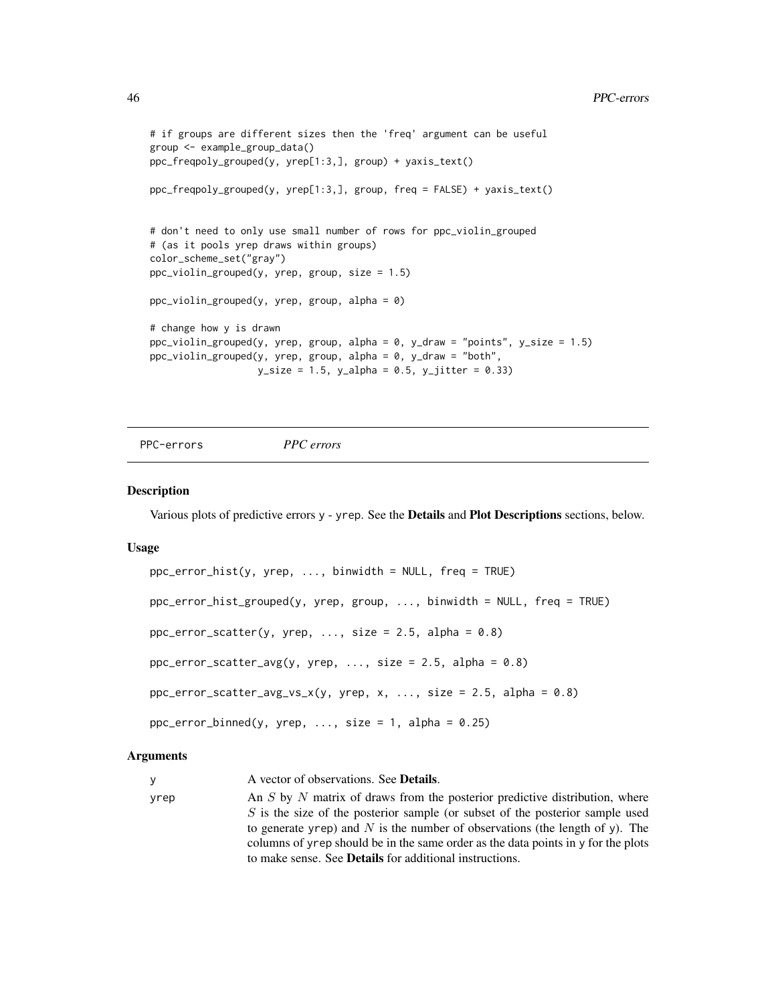```
# if groups are different sizes then the 'freq' argument can be useful
group <- example_group_data()
ppc_freqpoly_grouped(y, yrep[1:3,], group) + yaxis_text()
ppc_freqpoly_grouped(y, yrep[1:3,], group, freq = FALSE) + yaxis_text()
# don't need to only use small number of rows for ppc_violin_grouped
# (as it pools yrep draws within groups)
color_scheme_set("gray")
ppc_violin_grouped(y, yrep, group, size = 1.5)
ppc\_violin\_grouped(y, yrep, group, alpha = 0)# change how y is drawn
ppc_violin_grouped(y, yrep, group, alpha = 0, y_draw = "points", y_size = 1.5)
ppc_violin_grouped(y, yrep, group, alpha = 0, y_draw = "both",
                   y\_size = 1.5, y\_alpha = 0.5, y\_jitter = 0.33)
```

```
PPC-errors PPC errors
```
#### **Description**

Various plots of predictive errors y - yrep. See the Details and Plot Descriptions sections, below.

#### Usage

```
ppc_error\_hist(y, yrep, ..., binwidth = NULL, freq = TRUE)ppc_error\_hist\_grouped(y, vrep, group, ..., binwidth = NULL, freq = TRUE)ppc_error_scatter(y, yrep, ..., size = 2.5, alpha = 0.8)ppc_error_scatter_avg(y, yrep, ..., size = 2.5, alpha = 0.8)ppc_error\_scatter_avg_vs_x(y, yrep, x, ..., size = 2.5, alpha = 0.8)ppc_error_binned(y, yrep, ..., size = 1, alpha = 0.25)
```
#### Arguments

y A vector of observations. See **Details**. yrep  $A_n S$  by N matrix of draws from the posterior predictive distribution, where S is the size of the posterior sample (or subset of the posterior sample used to generate yrep) and  $N$  is the number of observations (the length of y). The columns of yrep should be in the same order as the data points in y for the plots to make sense. See Details for additional instructions.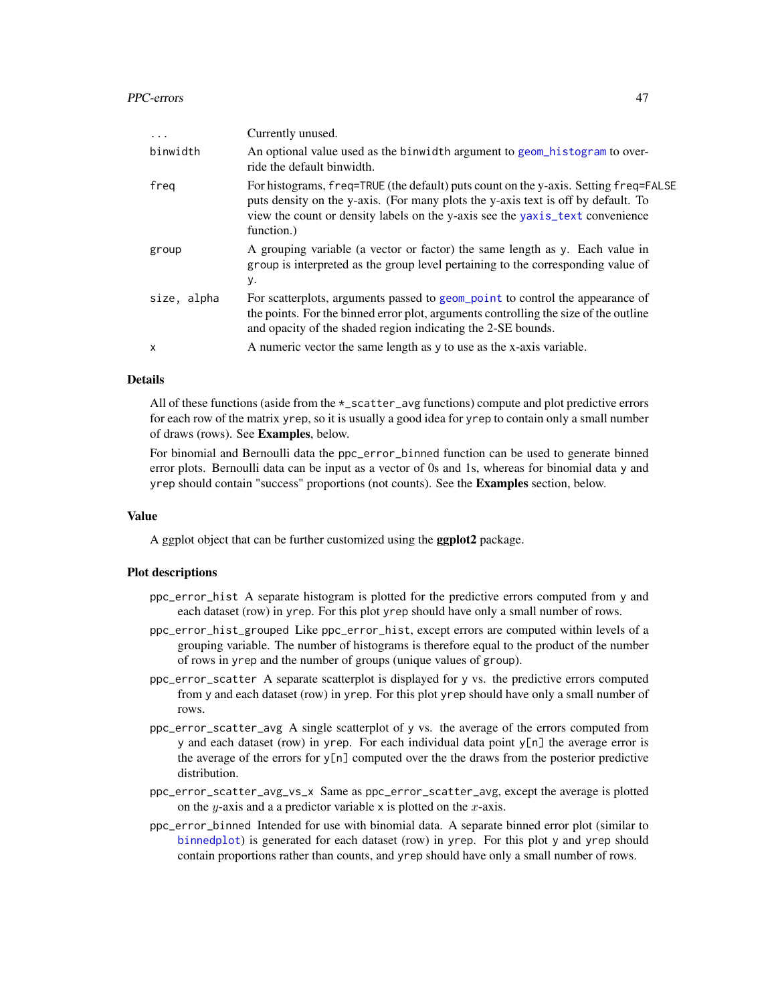<span id="page-46-0"></span>

| .            | Currently unused.                                                                                                                                                                                                                                                        |
|--------------|--------------------------------------------------------------------------------------------------------------------------------------------------------------------------------------------------------------------------------------------------------------------------|
| binwidth     | An optional value used as the binwidth argument to geom_histogram to over-<br>ride the default binwidth.                                                                                                                                                                 |
| freg         | For histograms, freq=TRUE (the default) puts count on the y-axis. Setting freq=FALSE<br>puts density on the y-axis. (For many plots the y-axis text is off by default. To<br>view the count or density labels on the y-axis see the yaxis_text convenience<br>function.) |
| group        | A grouping variable (a vector or factor) the same length as y. Each value in<br>group is interpreted as the group level pertaining to the corresponding value of<br>у.                                                                                                   |
| size, alpha  | For scatterplots, arguments passed to geom_point to control the appearance of<br>the points. For the binned error plot, arguments controlling the size of the outline<br>and opacity of the shaded region indicating the 2-SE bounds.                                    |
| $\mathsf{x}$ | A numeric vector the same length as y to use as the x-axis variable.                                                                                                                                                                                                     |

#### Details

All of these functions (aside from the \*\_scatter\_avg functions) compute and plot predictive errors for each row of the matrix yrep, so it is usually a good idea for yrep to contain only a small number of draws (rows). See Examples, below.

For binomial and Bernoulli data the ppc\_error\_binned function can be used to generate binned error plots. Bernoulli data can be input as a vector of 0s and 1s, whereas for binomial data y and yrep should contain "success" proportions (not counts). See the Examples section, below.

## Value

A ggplot object that can be further customized using the ggplot2 package.

## Plot descriptions

- ppc\_error\_hist A separate histogram is plotted for the predictive errors computed from y and each dataset (row) in yrep. For this plot yrep should have only a small number of rows.
- ppc\_error\_hist\_grouped Like ppc\_error\_hist, except errors are computed within levels of a grouping variable. The number of histograms is therefore equal to the product of the number of rows in yrep and the number of groups (unique values of group).
- ppc\_error\_scatter A separate scatterplot is displayed for y vs. the predictive errors computed from y and each dataset (row) in yrep. For this plot yrep should have only a small number of rows.
- ppc\_error\_scatter\_avg A single scatterplot of y vs. the average of the errors computed from y and each dataset (row) in yrep. For each individual data point y[n] the average error is the average of the errors for  $y[n]$  computed over the the draws from the posterior predictive distribution.
- ppc\_error\_scatter\_avg\_vs\_x Same as ppc\_error\_scatter\_avg, except the average is plotted on the y-axis and a a predictor variable x is plotted on the  $x$ -axis.
- ppc\_error\_binned Intended for use with binomial data. A separate binned error plot (similar to [binnedplot](#page-0-0)) is generated for each dataset (row) in yrep. For this plot  $\nu$  and yrep should contain proportions rather than counts, and yrep should have only a small number of rows.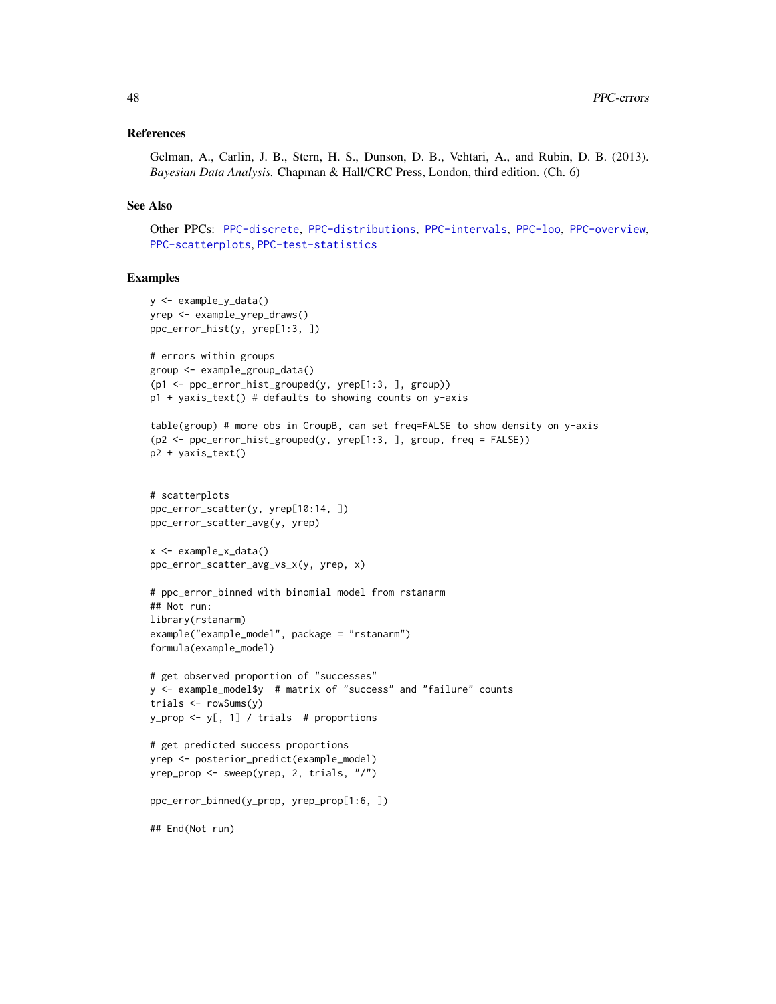## References

Gelman, A., Carlin, J. B., Stern, H. S., Dunson, D. B., Vehtari, A., and Rubin, D. B. (2013). *Bayesian Data Analysis.* Chapman & Hall/CRC Press, London, third edition. (Ch. 6)

## See Also

Other PPCs: [PPC-discrete](#page-39-1), [PPC-distributions](#page-42-1), [PPC-intervals](#page-48-1), [PPC-loo](#page-50-1), [PPC-overview](#page-53-1), [PPC-scatterplots](#page-54-1), [PPC-test-statistics](#page-56-1)

```
y <- example_y_data()
yrep <- example_yrep_draws()
ppc_error_hist(y, yrep[1:3, ])
# errors within groups
group <- example_group_data()
(p1 <- ppc_error_hist_grouped(y, yrep[1:3, ], group))
p1 + yaxis_text() # defaults to showing counts on y-axis
table(group) # more obs in GroupB, can set freq=FALSE to show density on y-axis
(p2 <- ppc_error_hist_grouped(y, yrep[1:3, ], group, freq = FALSE))
p2 + yaxis_text()
# scatterplots
ppc_error_scatter(y, yrep[10:14, ])
ppc_error_scatter_avg(y, yrep)
x <- example_x_data()
ppc_error_scatter_avg_vs_x(y, yrep, x)
# ppc_error_binned with binomial model from rstanarm
## Not run:
library(rstanarm)
example("example_model", package = "rstanarm")
formula(example_model)
# get observed proportion of "successes"
y <- example_model$y # matrix of "success" and "failure" counts
trials <- rowSums(y)
y_prop <- y[, 1] / trials # proportions
# get predicted success proportions
yrep <- posterior_predict(example_model)
yrep_prop <- sweep(yrep, 2, trials, "/")
ppc_error_binned(y_prop, yrep_prop[1:6, ])
## End(Not run)
```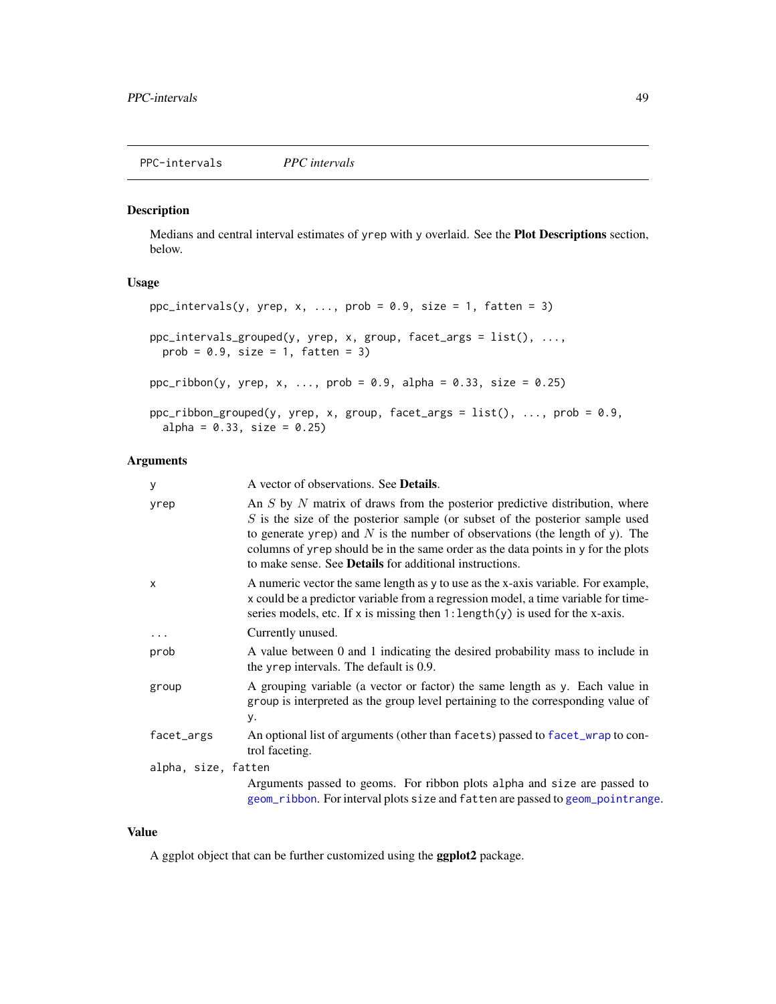<span id="page-48-1"></span><span id="page-48-0"></span>PPC-intervals *PPC intervals*

## <span id="page-48-2"></span>Description

Medians and central interval estimates of yrep with y overlaid. See the Plot Descriptions section, below.

## Usage

```
ppc_intervals(y, yrep, x, ..., prob = 0.9, size = 1, fatten = 3)ppc_intervals_grouped(y, yrep, x, group, facet_args = list(), ...,
 prob = 0.9, size = 1, fatten = 3)
ppc\_ribbon(y, yrep, x, ..., prob = 0.9, alpha = 0.33, size = 0.25)ppc\_ribbon\_grouped(y, yrep, x, group, facet\_args = list(), ..., prob = 0.9,alpha = 0.33, size = 0.25)
```
## Arguments

| У                   | A vector of observations. See <b>Details</b> .                                                                                                                                                                                                                                                                                                                                                       |
|---------------------|------------------------------------------------------------------------------------------------------------------------------------------------------------------------------------------------------------------------------------------------------------------------------------------------------------------------------------------------------------------------------------------------------|
| yrep                | An $S$ by $N$ matrix of draws from the posterior predictive distribution, where<br>$S$ is the size of the posterior sample (or subset of the posterior sample used<br>to generate yrep) and $N$ is the number of observations (the length of y). The<br>columns of yrep should be in the same order as the data points in y for the plots<br>to make sense. See Details for additional instructions. |
| x                   | A numeric vector the same length as y to use as the x-axis variable. For example,<br>x could be a predictor variable from a regression model, a time variable for time-<br>series models, etc. If x is missing then $1$ : length(y) is used for the x-axis.                                                                                                                                          |
| $\cdots$            | Currently unused.                                                                                                                                                                                                                                                                                                                                                                                    |
| prob                | A value between 0 and 1 indicating the desired probability mass to include in<br>the yrep intervals. The default is 0.9.                                                                                                                                                                                                                                                                             |
| group               | A grouping variable (a vector or factor) the same length as y. Each value in<br>group is interpreted as the group level pertaining to the corresponding value of<br>у.                                                                                                                                                                                                                               |
| facet_args          | An optional list of arguments (other than facets) passed to facet_wrap to con-<br>trol faceting.                                                                                                                                                                                                                                                                                                     |
| alpha, size, fatten |                                                                                                                                                                                                                                                                                                                                                                                                      |
|                     | Arguments passed to geoms. For ribbon plots alpha and size are passed to<br>geom_ribbon. For interval plots size and fatten are passed to geom_pointrange.                                                                                                                                                                                                                                           |

## Value

A ggplot object that can be further customized using the ggplot2 package.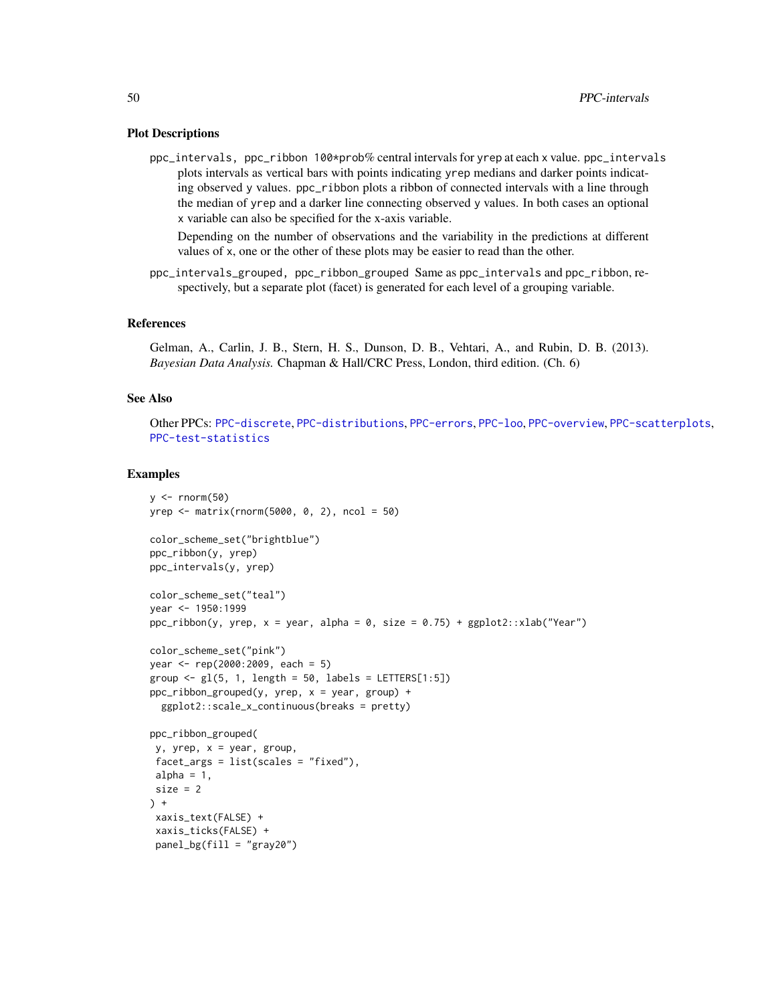#### Plot Descriptions

ppc\_intervals, ppc\_ribbon 100\*prob% central intervals for yrep at each x value. ppc\_intervals plots intervals as vertical bars with points indicating yrep medians and darker points indicating observed y values. ppc\_ribbon plots a ribbon of connected intervals with a line through the median of yrep and a darker line connecting observed y values. In both cases an optional x variable can also be specified for the x-axis variable.

Depending on the number of observations and the variability in the predictions at different values of x, one or the other of these plots may be easier to read than the other.

ppc\_intervals\_grouped, ppc\_ribbon\_grouped Same as ppc\_intervals and ppc\_ribbon, respectively, but a separate plot (facet) is generated for each level of a grouping variable.

## References

Gelman, A., Carlin, J. B., Stern, H. S., Dunson, D. B., Vehtari, A., and Rubin, D. B. (2013). *Bayesian Data Analysis.* Chapman & Hall/CRC Press, London, third edition. (Ch. 6)

#### See Also

Other PPCs: [PPC-discrete](#page-39-1), [PPC-distributions](#page-42-1), [PPC-errors](#page-45-1), [PPC-loo](#page-50-1), [PPC-overview](#page-53-1), [PPC-scatterplots](#page-54-1), [PPC-test-statistics](#page-56-1)

```
y \le - rnorm(50)
yrep <- matrix(rnorm(5000, 0, 2), ncol = 50)
color_scheme_set("brightblue")
ppc_ribbon(y, yrep)
ppc_intervals(y, yrep)
color_scheme_set("teal")
year <- 1950:1999
ppc\_ribbon(y, yrep, x = year, alpha = 0, size = 0.75) + ggplot2::xlab("Year")color_scheme_set("pink")
year <- rep(2000:2009, each = 5)
group \leq gl(5, 1, length = 50, labels = LETTERS[1:5])
ppc_ribbon_grouped(y, yrep, x = year, group) +ggplot2::scale_x_continuous(breaks = pretty)
ppc_ribbon_grouped(
 y, yrep, x = year, group,
 facet_{args} = list(scales = "fixed"),alpha = 1,
 size = 2) +
 xaxis_text(FALSE) +
 xaxis_ticks(FALSE) +
 panel_bg(fill = "gray20")
```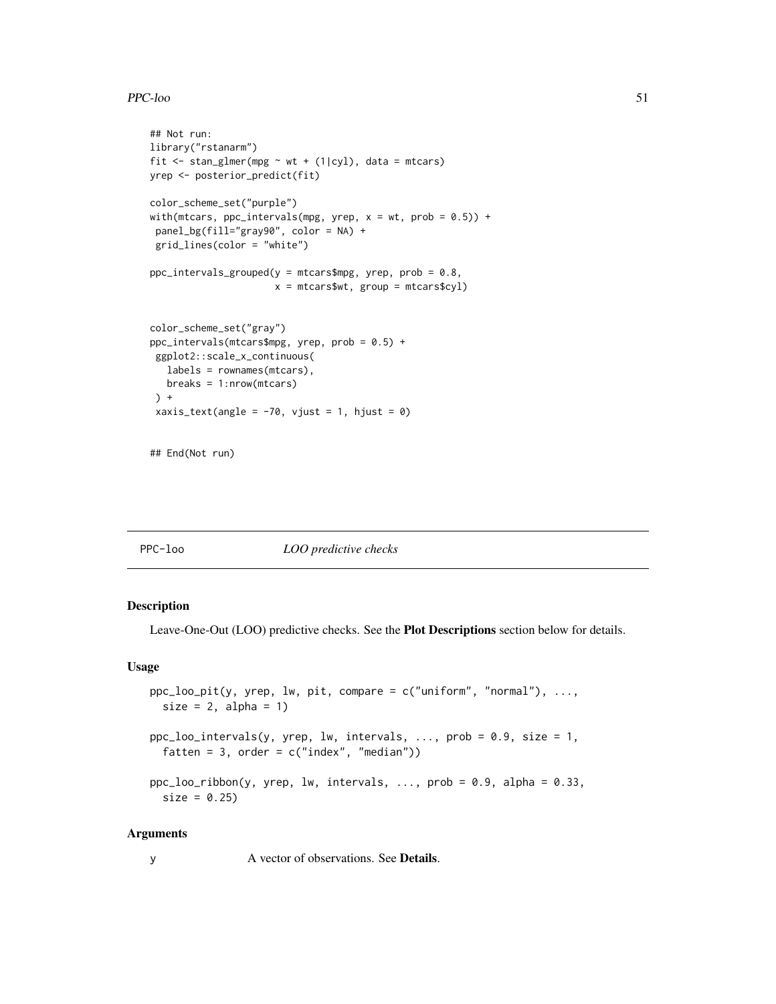#### <span id="page-50-0"></span>PPC-loo 51

```
## Not run:
library("rstanarm")
fit \le stan_glmer(mpg \sim wt + (1|cyl), data = mtcars)
yrep <- posterior_predict(fit)
color_scheme_set("purple")
with(mtcars, ppc_intervals(mpg, yrep, x = wt, prob = 0.5)) +
 panel_bg(fill="gray90", color = NA) +
grid_lines(color = "white")
ppc_intervals_grouped(y = mtcars$mpg, yrep, prob = 0.8,x = mtcars$wt, group = mtcars$cyl)
color_scheme_set("gray")
ppc_intervals(mtcars$mpg, yrep, prob = 0.5) +
 ggplot2::scale_x_continuous(
  labels = rownames(mtcars),
  breaks = 1:nrow(mtcars)
 ) +xaxis_text(angle = -70, vjust = 1, hjust = 0)
```

```
## End(Not run)
```
<span id="page-50-1"></span>

## PPC-loo *LOO predictive checks*

## Description

Leave-One-Out (LOO) predictive checks. See the Plot Descriptions section below for details.

## Usage

```
ppc\_loo\_pit(y, yrep, lw, pit, compare = c("uniform", "normal"), ...,size = 2, alpha = 1)
ppc_loo_intervals(y, yrep, lw, intervals, ..., prob = 0.9, size = 1,
  fatten = 3, order = c("index", "median")ppc\_loo\_ribbon(y, yrep, lw, intervals, ..., prob = 0.9, alpha = 0.33,size = 0.25
```
## Arguments

y A vector of observations. See Details.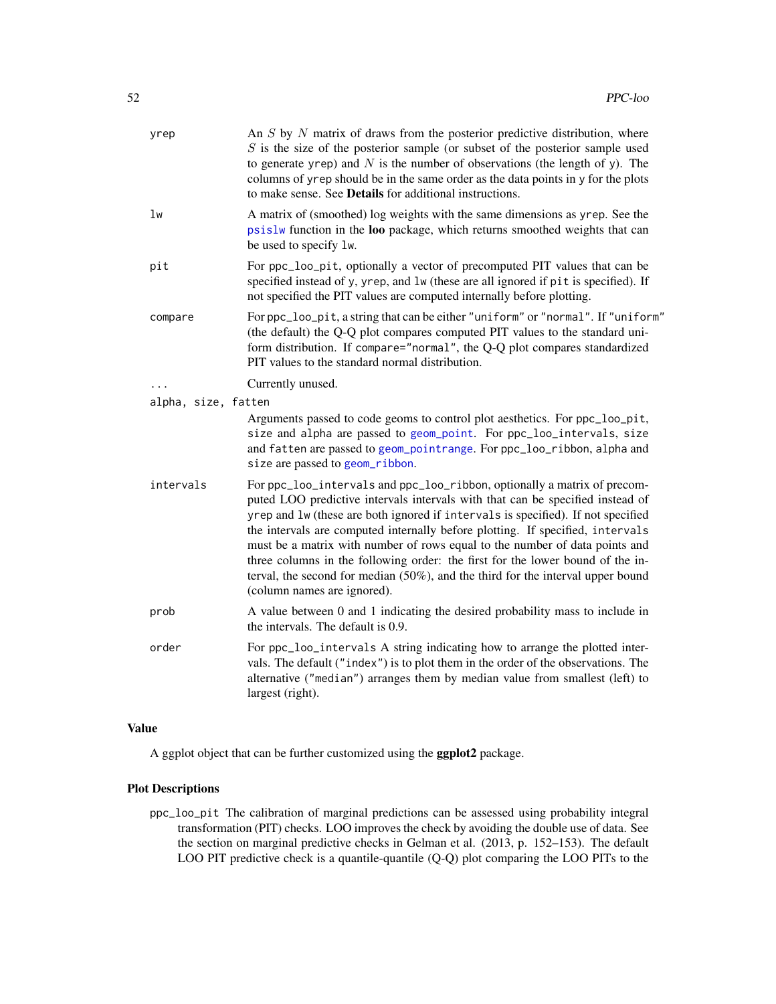<span id="page-51-0"></span>

| yrep                | An $S$ by $N$ matrix of draws from the posterior predictive distribution, where<br>$S$ is the size of the posterior sample (or subset of the posterior sample used<br>to generate yrep) and $N$ is the number of observations (the length of y). The<br>columns of yrep should be in the same order as the data points in y for the plots<br>to make sense. See Details for additional instructions.                                                                                                                                                                                                                    |
|---------------------|-------------------------------------------------------------------------------------------------------------------------------------------------------------------------------------------------------------------------------------------------------------------------------------------------------------------------------------------------------------------------------------------------------------------------------------------------------------------------------------------------------------------------------------------------------------------------------------------------------------------------|
| lw                  | A matrix of (smoothed) log weights with the same dimensions as yrep. See the<br>psislw function in the loo package, which returns smoothed weights that can<br>be used to specify lw.                                                                                                                                                                                                                                                                                                                                                                                                                                   |
| pit                 | For ppc_loo_pit, optionally a vector of precomputed PIT values that can be<br>specified instead of y, yrep, and lw (these are all ignored if pit is specified). If<br>not specified the PIT values are computed internally before plotting.                                                                                                                                                                                                                                                                                                                                                                             |
| compare             | For ppc_loo_pit, a string that can be either "uniform" or "normal". If "uniform"<br>(the default) the Q-Q plot compares computed PIT values to the standard uni-<br>form distribution. If compare="normal", the Q-Q plot compares standardized<br>PIT values to the standard normal distribution.                                                                                                                                                                                                                                                                                                                       |
|                     | Currently unused.                                                                                                                                                                                                                                                                                                                                                                                                                                                                                                                                                                                                       |
| alpha, size, fatten |                                                                                                                                                                                                                                                                                                                                                                                                                                                                                                                                                                                                                         |
|                     | Arguments passed to code geoms to control plot aesthetics. For ppc_loo_pit,<br>size and alpha are passed to geom_point. For ppc_loo_intervals, size<br>and fatten are passed to geom_pointrange. For ppc_loo_ribbon, alpha and<br>size are passed to geom_ribbon.                                                                                                                                                                                                                                                                                                                                                       |
| intervals           | For ppc_loo_intervals and ppc_loo_ribbon, optionally a matrix of precom-<br>puted LOO predictive intervals intervals with that can be specified instead of<br>yrep and lw (these are both ignored if intervals is specified). If not specified<br>the intervals are computed internally before plotting. If specified, intervals<br>must be a matrix with number of rows equal to the number of data points and<br>three columns in the following order: the first for the lower bound of the in-<br>terval, the second for median $(50\%)$ , and the third for the interval upper bound<br>(column names are ignored). |
| prob                | A value between 0 and 1 indicating the desired probability mass to include in<br>the intervals. The default is 0.9.                                                                                                                                                                                                                                                                                                                                                                                                                                                                                                     |
| order               | For ppc_loo_intervals A string indicating how to arrange the plotted inter-<br>vals. The default ("index") is to plot them in the order of the observations. The<br>alternative ("median") arranges them by median value from smallest (left) to<br>largest (right).                                                                                                                                                                                                                                                                                                                                                    |
|                     |                                                                                                                                                                                                                                                                                                                                                                                                                                                                                                                                                                                                                         |

## Value

A ggplot object that can be further customized using the ggplot2 package.

## Plot Descriptions

ppc\_loo\_pit The calibration of marginal predictions can be assessed using probability integral transformation (PIT) checks. LOO improves the check by avoiding the double use of data. See the section on marginal predictive checks in Gelman et al. (2013, p. 152–153). The default LOO PIT predictive check is a quantile-quantile (Q-Q) plot comparing the LOO PITs to the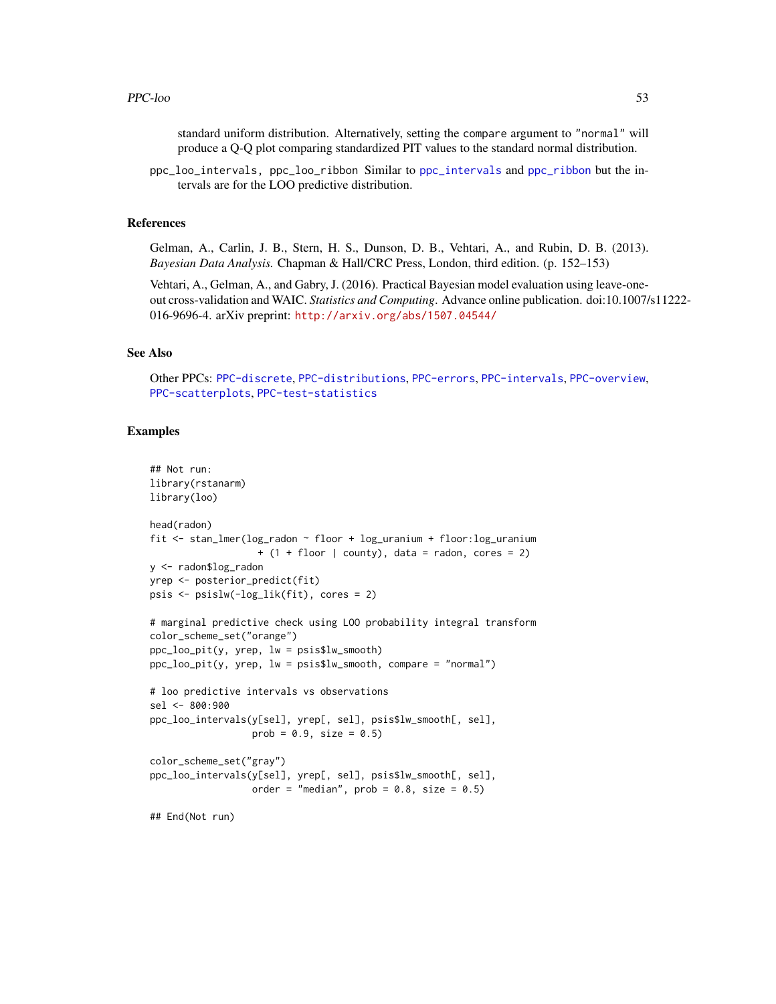<span id="page-52-0"></span>standard uniform distribution. Alternatively, setting the compare argument to "normal" will produce a Q-Q plot comparing standardized PIT values to the standard normal distribution.

ppc\_loo\_intervals, ppc\_loo\_ribbon Similar to [ppc\\_intervals](#page-48-2) and [ppc\\_ribbon](#page-48-2) but the intervals are for the LOO predictive distribution.

## References

Gelman, A., Carlin, J. B., Stern, H. S., Dunson, D. B., Vehtari, A., and Rubin, D. B. (2013). *Bayesian Data Analysis.* Chapman & Hall/CRC Press, London, third edition. (p. 152–153)

Vehtari, A., Gelman, A., and Gabry, J. (2016). Practical Bayesian model evaluation using leave-oneout cross-validation and WAIC. *Statistics and Computing*. Advance online publication. doi:10.1007/s11222- 016-9696-4. arXiv preprint: <http://arxiv.org/abs/1507.04544/>

## See Also

```
Other PPCs: PPC-discrete, PPC-distributions, PPC-errors, PPC-intervals, PPC-overview,
PPC-scatterplots, PPC-test-statistics
```

```
## Not run:
library(rstanarm)
library(loo)
head(radon)
fit <- stan_lmer(log_radon ~ floor + log_uranium + floor:log_uranium
                   + (1 + floor | county), data = radon, cores = 2)
y <- radon$log_radon
yrep <- posterior_predict(fit)
psis <- psislw(-log_lik(fit), cores = 2)
# marginal predictive check using LOO probability integral transform
color_scheme_set("orange")
ppc_loo_pit(y, yrep, lw = psis$lw_smooth)
ppc_loo_pit(y, yrep, lw = psis$lw_smooth, compare = "normal")
# loo predictive intervals vs observations
sel <- 800:900
ppc_loo_intervals(y[sel], yrep[, sel], psis$lw_smooth[, sel],
                  prob = 0.9, size = 0.5)
color_scheme_set("gray")
ppc_loo_intervals(y[sel], yrep[, sel], psis$lw_smooth[, sel],
                  order = "median", prob = 0.8, size = 0.5)
## End(Not run)
```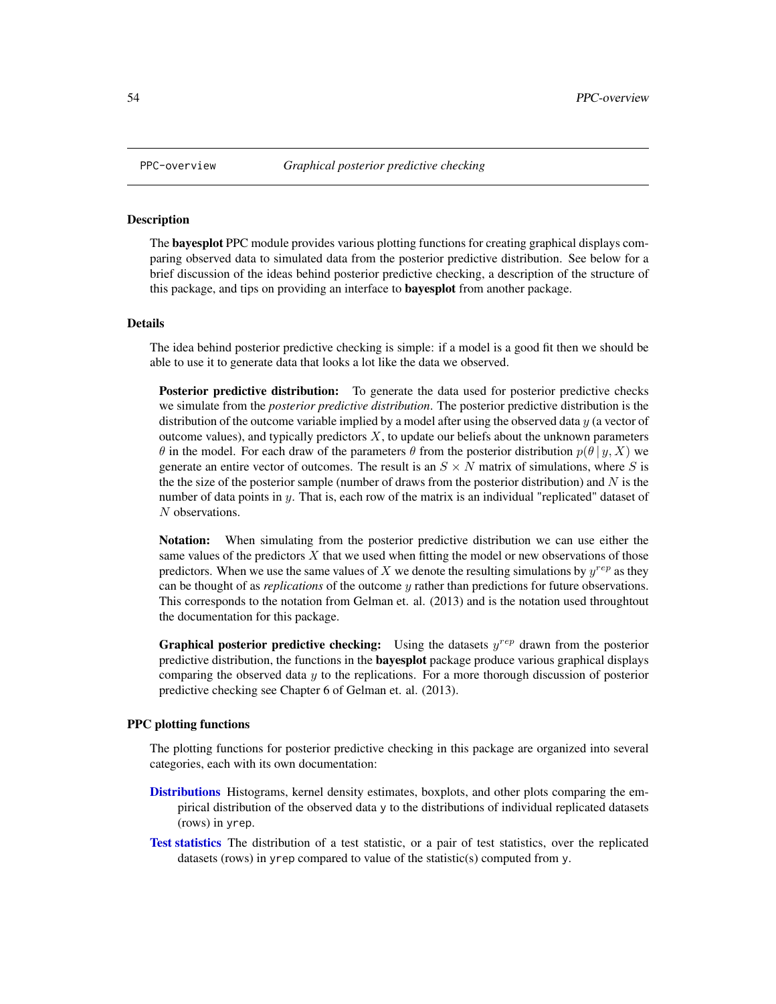<span id="page-53-1"></span><span id="page-53-0"></span>

## <span id="page-53-2"></span>Description

The bayesplot PPC module provides various plotting functions for creating graphical displays comparing observed data to simulated data from the posterior predictive distribution. See below for a brief discussion of the ideas behind posterior predictive checking, a description of the structure of this package, and tips on providing an interface to **bayesplot** from another package.

## Details

The idea behind posterior predictive checking is simple: if a model is a good fit then we should be able to use it to generate data that looks a lot like the data we observed.

**Posterior predictive distribution:** To generate the data used for posterior predictive checks we simulate from the *posterior predictive distribution*. The posterior predictive distribution is the distribution of the outcome variable implied by a model after using the observed data  $\gamma$  (a vector of outcome values), and typically predictors  $X$ , to update our beliefs about the unknown parameters θ in the model. For each draw of the parameters θ from the posterior distribution  $p(\theta | y, X)$  we generate an entire vector of outcomes. The result is an  $S \times N$  matrix of simulations, where S is the the size of the posterior sample (number of draws from the posterior distribution) and  $N$  is the number of data points in  $y$ . That is, each row of the matrix is an individual "replicated" dataset of N observations.

Notation: When simulating from the posterior predictive distribution we can use either the same values of the predictors  $X$  that we used when fitting the model or new observations of those predictors. When we use the same values of X we denote the resulting simulations by  $y^{rep}$  as they can be thought of as *replications* of the outcome y rather than predictions for future observations. This corresponds to the notation from Gelman et. al. (2013) and is the notation used throughtout the documentation for this package.

**Graphical posterior predictive checking:** Using the datasets  $y^{rep}$  drawn from the posterior predictive distribution, the functions in the bayesplot package produce various graphical displays comparing the observed data  $y$  to the replications. For a more thorough discussion of posterior predictive checking see Chapter 6 of Gelman et. al. (2013).

## PPC plotting functions

The plotting functions for posterior predictive checking in this package are organized into several categories, each with its own documentation:

- [Distributions](#page-42-1) Histograms, kernel density estimates, boxplots, and other plots comparing the empirical distribution of the observed data y to the distributions of individual replicated datasets (rows) in yrep.
- [Test statistics](#page-56-1) The distribution of a test statistic, or a pair of test statistics, over the replicated datasets (rows) in yrep compared to value of the statistic(s) computed from y.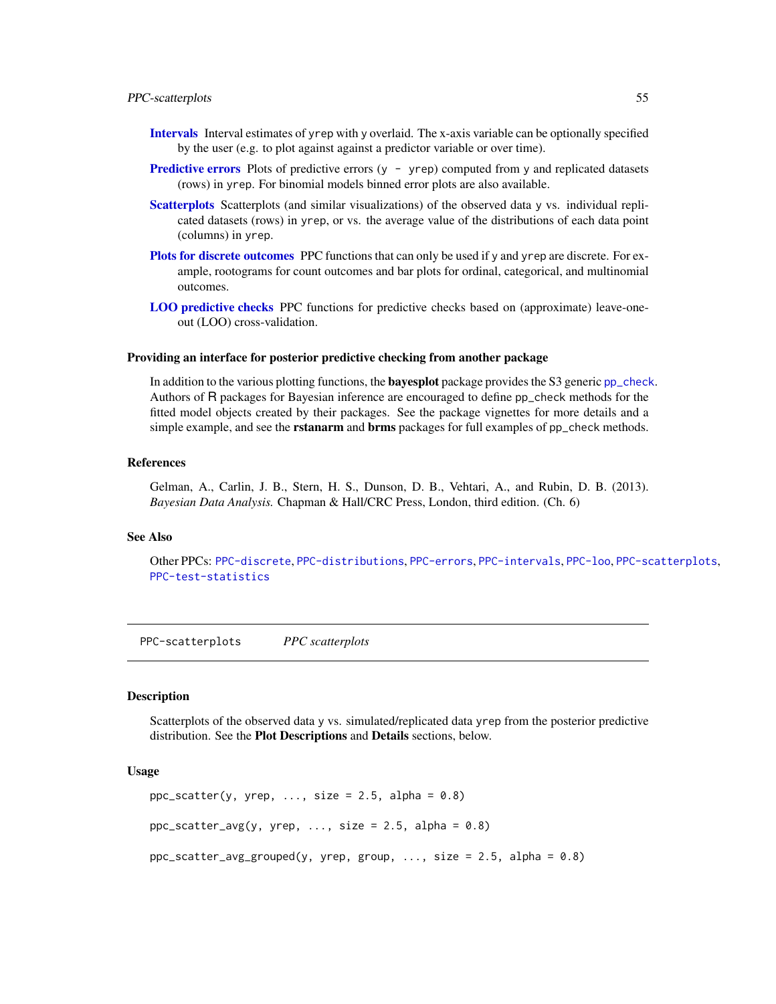#### <span id="page-54-0"></span>PPC-scatterplots 55

- [Intervals](#page-48-1) Interval estimates of yrep with y overlaid. The x-axis variable can be optionally specified by the user (e.g. to plot against against a predictor variable or over time).
- **[Predictive errors](#page-45-1)** Plots of predictive errors  $(y yrep)$  computed from y and replicated datasets (rows) in yrep. For binomial models binned error plots are also available.
- [Scatterplots](#page-54-1) Scatterplots (and similar visualizations) of the observed data y vs. individual replicated datasets (rows) in yrep, or vs. the average value of the distributions of each data point (columns) in yrep.
- [Plots for discrete outcomes](#page-39-1) PPC functions that can only be used if y and yrep are discrete. For example, rootograms for count outcomes and bar plots for ordinal, categorical, and multinomial outcomes.
- [LOO predictive checks](#page-50-1) PPC functions for predictive checks based on (approximate) leave-oneout (LOO) cross-validation.

#### Providing an interface for posterior predictive checking from another package

In addition to the various plotting functions, the **bayesplot** package provides the S3 generic [pp\\_check](#page-58-1). Authors of R packages for Bayesian inference are encouraged to define pp\_check methods for the fitted model objects created by their packages. See the package vignettes for more details and a simple example, and see the **rstanarm** and **brms** packages for full examples of pp\_check methods.

## References

Gelman, A., Carlin, J. B., Stern, H. S., Dunson, D. B., Vehtari, A., and Rubin, D. B. (2013). *Bayesian Data Analysis.* Chapman & Hall/CRC Press, London, third edition. (Ch. 6)

## See Also

Other PPCs: [PPC-discrete](#page-39-1), [PPC-distributions](#page-42-1), [PPC-errors](#page-45-1), [PPC-intervals](#page-48-1), [PPC-loo](#page-50-1), [PPC-scatterplots](#page-54-1), [PPC-test-statistics](#page-56-1)

<span id="page-54-1"></span>PPC-scatterplots *PPC scatterplots*

## **Description**

Scatterplots of the observed data y vs. simulated/replicated data yrep from the posterior predictive distribution. See the Plot Descriptions and Details sections, below.

#### Usage

```
ppc_scatter(y, yrep, ..., size = 2.5, alpha = 0.8)ppc_scatter_avg(y, yrep, ..., size = 2.5, alpha = 0.8)ppc_scatter_avg_grouped(y, yrep, group, ..., size = 2.5, alpha = 0.8)
```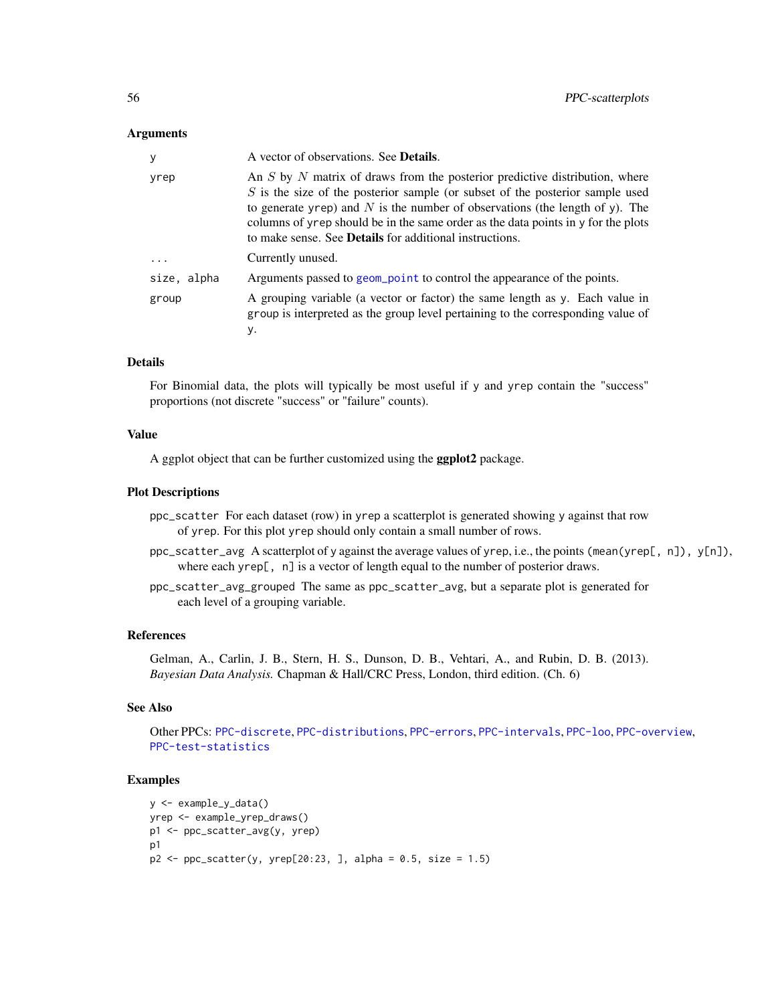## <span id="page-55-0"></span>Arguments

| У           | A vector of observations. See <b>Details</b> .                                                                                                                                                                                                                                                                                                                                                          |
|-------------|---------------------------------------------------------------------------------------------------------------------------------------------------------------------------------------------------------------------------------------------------------------------------------------------------------------------------------------------------------------------------------------------------------|
| yrep        | An $S$ by $N$ matrix of draws from the posterior predictive distribution, where<br>S is the size of the posterior sample (or subset of the posterior sample used<br>to generate yrep) and N is the number of observations (the length of y). The<br>columns of yrep should be in the same order as the data points in y for the plots<br>to make sense. See <b>Details</b> for additional instructions. |
| $\cdot$     | Currently unused.                                                                                                                                                                                                                                                                                                                                                                                       |
| size, alpha | Arguments passed to geom_point to control the appearance of the points.                                                                                                                                                                                                                                                                                                                                 |
| group       | A grouping variable (a vector or factor) the same length as y. Each value in<br>group is interpreted as the group level pertaining to the corresponding value of<br>у.                                                                                                                                                                                                                                  |

## Details

For Binomial data, the plots will typically be most useful if y and yrep contain the "success" proportions (not discrete "success" or "failure" counts).

#### Value

A ggplot object that can be further customized using the ggplot2 package.

#### Plot Descriptions

- ppc\_scatter For each dataset (row) in yrep a scatterplot is generated showing y against that row of yrep. For this plot yrep should only contain a small number of rows.
- ppc\_scatter\_avg A scatterplot of y against the average values of yrep, i.e., the points (mean(yrep[, n]), y[n]), where each yrep[, n] is a vector of length equal to the number of posterior draws.
- ppc\_scatter\_avg\_grouped The same as ppc\_scatter\_avg, but a separate plot is generated for each level of a grouping variable.

## References

Gelman, A., Carlin, J. B., Stern, H. S., Dunson, D. B., Vehtari, A., and Rubin, D. B. (2013). *Bayesian Data Analysis.* Chapman & Hall/CRC Press, London, third edition. (Ch. 6)

## See Also

Other PPCs: [PPC-discrete](#page-39-1), [PPC-distributions](#page-42-1), [PPC-errors](#page-45-1), [PPC-intervals](#page-48-1), [PPC-loo](#page-50-1), [PPC-overview](#page-53-1), [PPC-test-statistics](#page-56-1)

```
y <- example_y_data()
yrep <- example_yrep_draws()
p1 <- ppc_scatter_avg(y, yrep)
p<sub>1</sub>p2 \leq ppc_scatter(y, yrep[20:23, ], alpha = 0.5, size = 1.5)
```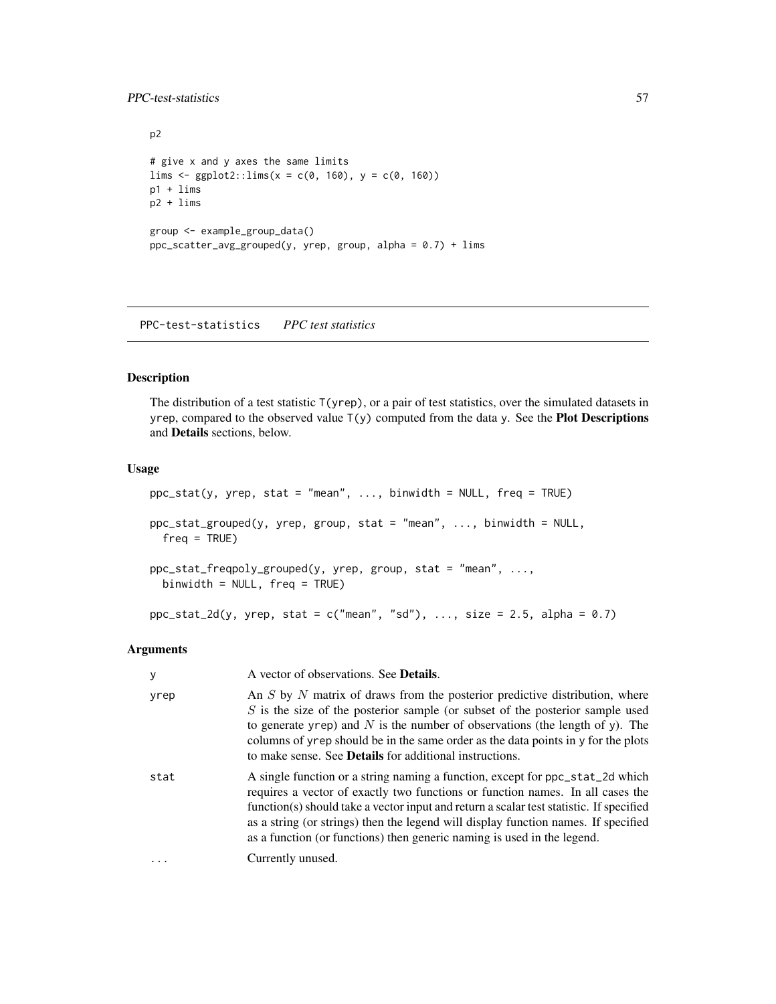## <span id="page-56-0"></span>PPC-test-statistics 57

```
p2
# give x and y axes the same limits
lims \le ggplot2::lims(x = c(0, 160), y = c(0, 160))
p1 + lims
p2 + lims
group <- example_group_data()
ppc_scatter_avg_grouped(y, yrep, group, alpha = 0.7) + lims
```
<span id="page-56-1"></span>PPC-test-statistics *PPC test statistics*

## Description

The distribution of a test statistic  $T(yrep)$ , or a pair of test statistics, over the simulated datasets in yrep, compared to the observed value T(y) computed from the data y. See the Plot Descriptions and Details sections, below.

## Usage

ppc\_stat(y, yrep, stat = "mean", ..., binwidth = NULL, freq = TRUE)  $ppc\_stat\_grouped(y, yrep, group, stat = "mean", ..., binwidth = NULL,$  $freq = TRUE$ ) ppc\_stat\_freqpoly\_grouped(y, yrep, group, stat = "mean", ..., binwidth = NULL, freq = TRUE)  $ppc\_stat\_2d(y, yrep, stat = c("mean", "sd"), ..., size = 2.5, alpha = 0.7)$ 

## Arguments

| у    | A vector of observations. See <b>Details</b> .                                                                                                                                                                                                                                                                                                                                                                              |
|------|-----------------------------------------------------------------------------------------------------------------------------------------------------------------------------------------------------------------------------------------------------------------------------------------------------------------------------------------------------------------------------------------------------------------------------|
| yrep | An $S$ by $N$ matrix of draws from the posterior predictive distribution, where<br>$S$ is the size of the posterior sample (or subset of the posterior sample used<br>to generate yrep) and $N$ is the number of observations (the length of y). The<br>columns of yrep should be in the same order as the data points in y for the plots<br>to make sense. See <b>Details</b> for additional instructions.                 |
| stat | A single function or a string naming a function, except for ppc_stat_2d which<br>requires a vector of exactly two functions or function names. In all cases the<br>function(s) should take a vector input and return a scalar test statistic. If specified<br>as a string (or strings) then the legend will display function names. If specified<br>as a function (or functions) then generic naming is used in the legend. |
|      | Currently unused.                                                                                                                                                                                                                                                                                                                                                                                                           |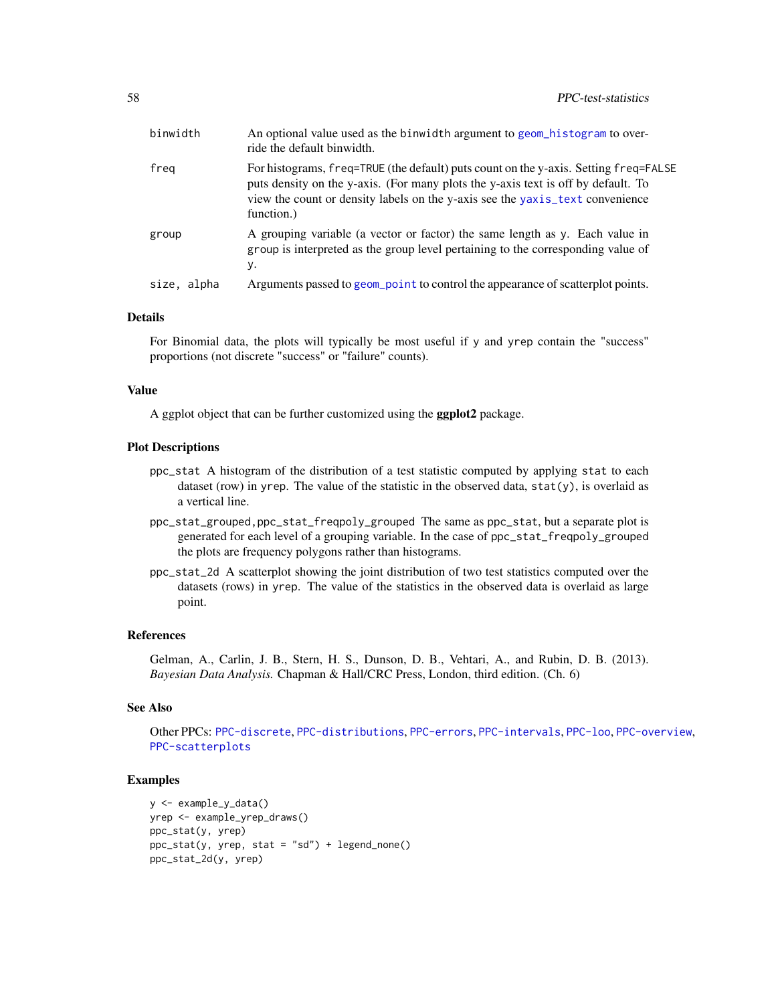<span id="page-57-0"></span>

| binwidth    | An optional value used as the binwidth argument to geom_histogram to over-<br>ride the default binwidth.                                                                                                                                                                 |
|-------------|--------------------------------------------------------------------------------------------------------------------------------------------------------------------------------------------------------------------------------------------------------------------------|
| freg        | For histograms, freq=TRUE (the default) puts count on the y-axis. Setting freq=FALSE<br>puts density on the y-axis. (For many plots the y-axis text is off by default. To<br>view the count or density labels on the y-axis see the yaxis_text convenience<br>function.) |
| group       | A grouping variable (a vector or factor) the same length as y. Each value in<br>group is interpreted as the group level pertaining to the corresponding value of<br>у.                                                                                                   |
| size, alpha | Arguments passed to geom_point to control the appearance of scatterplot points.                                                                                                                                                                                          |

#### Details

For Binomial data, the plots will typically be most useful if y and yrep contain the "success" proportions (not discrete "success" or "failure" counts).

## Value

A ggplot object that can be further customized using the ggplot2 package.

## Plot Descriptions

- ppc\_stat A histogram of the distribution of a test statistic computed by applying stat to each dataset (row) in yrep. The value of the statistic in the observed data, stat(y), is overlaid as a vertical line.
- ppc\_stat\_grouped,ppc\_stat\_freqpoly\_grouped The same as ppc\_stat, but a separate plot is generated for each level of a grouping variable. In the case of ppc\_stat\_freqpoly\_grouped the plots are frequency polygons rather than histograms.
- ppc\_stat\_2d A scatterplot showing the joint distribution of two test statistics computed over the datasets (rows) in yrep. The value of the statistics in the observed data is overlaid as large point.

## References

Gelman, A., Carlin, J. B., Stern, H. S., Dunson, D. B., Vehtari, A., and Rubin, D. B. (2013). *Bayesian Data Analysis.* Chapman & Hall/CRC Press, London, third edition. (Ch. 6)

## See Also

Other PPCs: [PPC-discrete](#page-39-1), [PPC-distributions](#page-42-1), [PPC-errors](#page-45-1), [PPC-intervals](#page-48-1), [PPC-loo](#page-50-1), [PPC-overview](#page-53-1), [PPC-scatterplots](#page-54-1)

```
y <- example_y_data()
yrep <- example_yrep_draws()
ppc_stat(y, yrep)
ppc\_stat(y, yrep, stat = "sd") + legend\_none()ppc_stat_2d(y, yrep)
```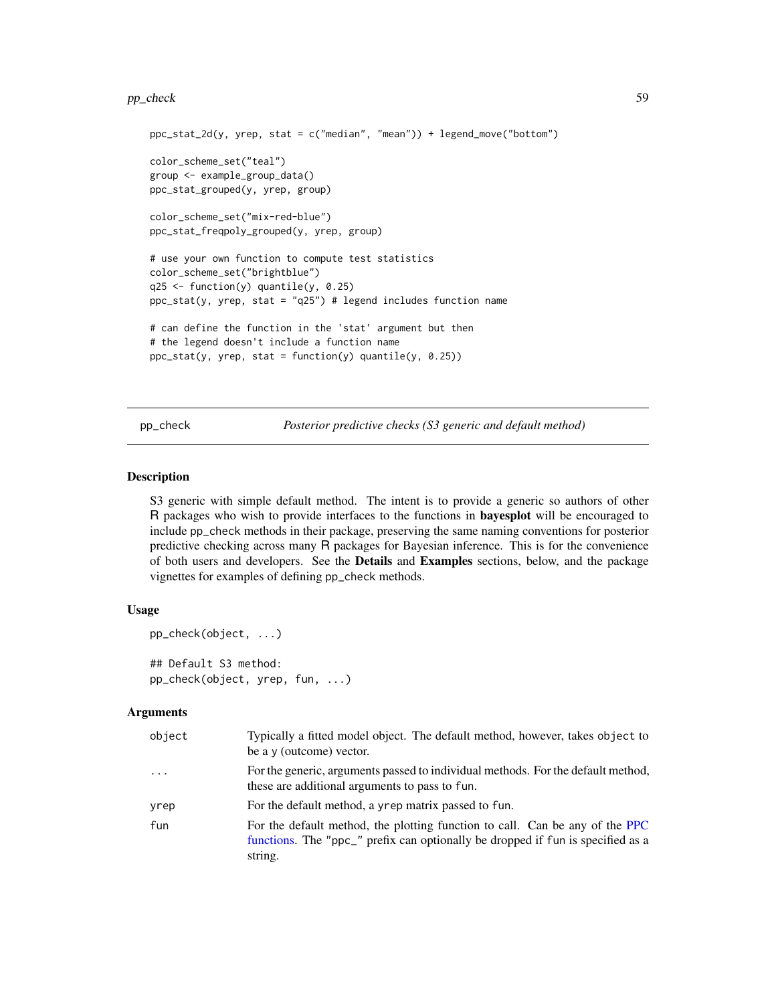#### <span id="page-58-0"></span>pp\_check 59

```
ppc_stat_2d(y, yrep, stat = c("median", "mean")) + legend_move("bottom")
color_scheme_set("teal")
group <- example_group_data()
ppc_stat_grouped(y, yrep, group)
color_scheme_set("mix-red-blue")
ppc_stat_freqpoly_grouped(y, yrep, group)
# use your own function to compute test statistics
color_scheme_set("brightblue")
q25 \leq function(y) quantile(y, 0.25)
ppc\_stat(y, yrep, stat = "q25") # legend includes function name
# can define the function in the 'stat' argument but then
# the legend doesn't include a function name
ppc_stat(y, yrep, stat = function(y) quantile(y, 0.25))
```
<span id="page-58-1"></span>pp\_check *Posterior predictive checks (S3 generic and default method)*

#### Description

S3 generic with simple default method. The intent is to provide a generic so authors of other R packages who wish to provide interfaces to the functions in bayesplot will be encouraged to include pp\_check methods in their package, preserving the same naming conventions for posterior predictive checking across many R packages for Bayesian inference. This is for the convenience of both users and developers. See the Details and Examples sections, below, and the package vignettes for examples of defining pp\_check methods.

## Usage

```
pp_check(object, ...)
## Default S3 method:
pp_check(object, yrep, fun, ...)
```
## Arguments

| object   | Typically a fitted model object. The default method, however, takes object to<br>be a y (outcome) vector.                                                                  |
|----------|----------------------------------------------------------------------------------------------------------------------------------------------------------------------------|
| $\cdots$ | For the generic, arguments passed to individual methods. For the default method,<br>these are additional arguments to pass to fun.                                         |
| yrep     | For the default method, a vrep matrix passed to fun.                                                                                                                       |
| fun      | For the default method, the plotting function to call. Can be any of the PPC<br>functions. The "ppc_" prefix can optionally be dropped if fun is specified as a<br>string. |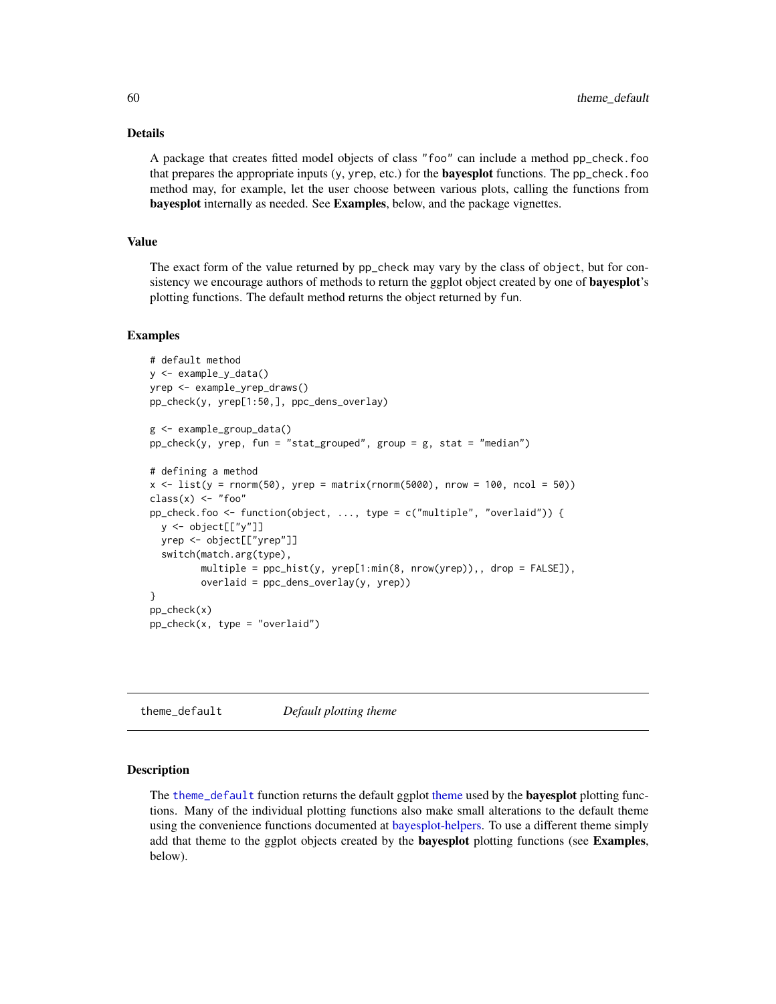## Details

A package that creates fitted model objects of class "foo" can include a method pp\_check.foo that prepares the appropriate inputs (y, yrep, etc.) for the **bayesplot** functions. The pp\_check.foo method may, for example, let the user choose between various plots, calling the functions from bayesplot internally as needed. See Examples, below, and the package vignettes.

## Value

The exact form of the value returned by pp\_check may vary by the class of object, but for consistency we encourage authors of methods to return the ggplot object created by one of **bayesplot**'s plotting functions. The default method returns the object returned by fun.

## Examples

```
# default method
y <- example_y_data()
yrep <- example_yrep_draws()
pp_check(y, yrep[1:50,], ppc_dens_overlay)
g <- example_group_data()
pp_{\text{check}}(y, yrep, fun = "stat_{\text{grouped}}", group = g, stat = "median")# defining a method
x \le -\text{list}(y = \text{rnorm}(50), \text{yrep} = \text{matrix}(\text{rnorm}(5000), \text{nrow} = 100, \text{ncol} = 50))class(x) < - "foo"
pp_check.foo <- function(object, ..., type = c("multiple", "overlaid")) {
  y <- object[["y"]]
  yrep <- object[["yrep"]]
  switch(match.arg(type),
          multiple = \text{ppc\_hist}(y, \text{yrep}[1:min(8, \text{nrow(yrep)}), \text{drop = FALSE}]),
          overlaid = ppc_dens_overlay(y, yrep))
}
pp_{\text{c}}heck(x)pp_check(x, type = "overlaid")
```
<span id="page-59-1"></span>theme\_default *Default plotting theme*

#### **Description**

The [theme\\_default](#page-59-1) function returns the default ggplot [theme](#page-0-0) used by the **bayesplot** plotting functions. Many of the individual plotting functions also make small alterations to the default theme using the convenience functions documented at [bayesplot-helpers.](#page-8-2) To use a different theme simply add that theme to the ggplot objects created by the **bayesplot** plotting functions (see Examples, below).

<span id="page-59-0"></span>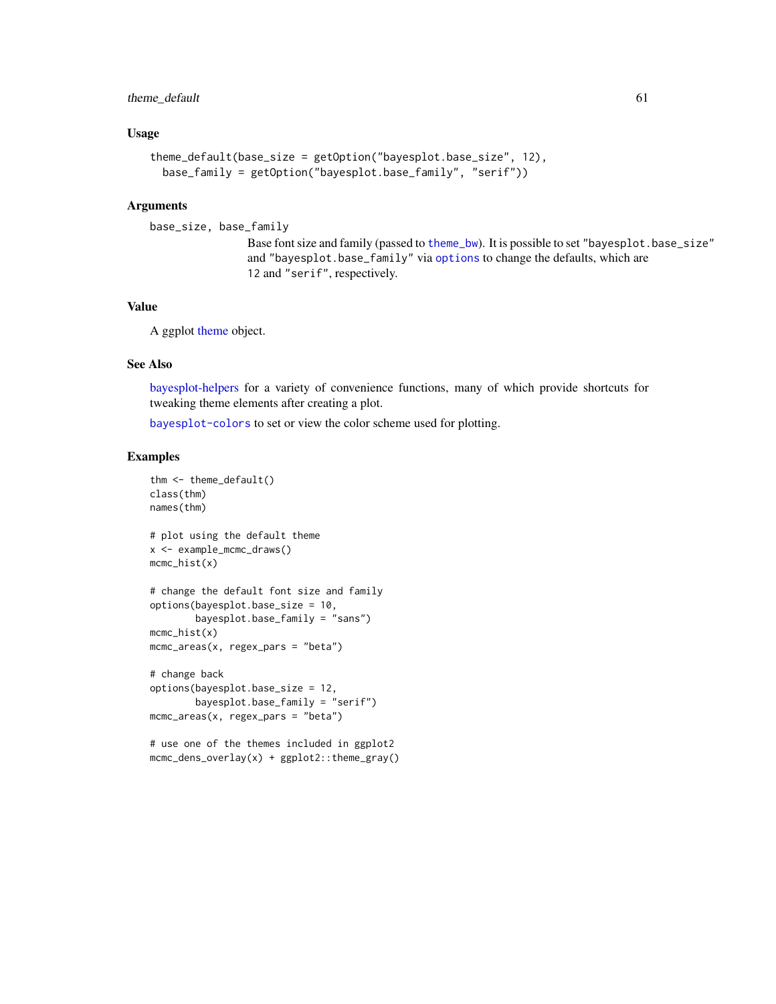## <span id="page-60-0"></span>theme\_default 61

## Usage

```
theme_default(base_size = getOption("bayesplot.base_size", 12),
 base_family = getOption("bayesplot.base_family", "serif"))
```
#### Arguments

```
base_size, base_family
```
Base font size and family (passed to [theme\\_bw](#page-0-0)). It is possible to set "bayesplot.base\_size" and "bayesplot.base\_family" via [options](#page-0-0) to change the defaults, which are 12 and "serif", respectively.

# Value

A ggplot [theme](#page-0-0) object.

## See Also

[bayesplot-helpers](#page-8-2) for a variety of convenience functions, many of which provide shortcuts for tweaking theme elements after creating a plot.

[bayesplot-colors](#page-4-1) to set or view the color scheme used for plotting.

#### Examples

```
thm <- theme_default()
class(thm)
names(thm)
# plot using the default theme
x <- example_mcmc_draws()
mcmc_hist(x)
# change the default font size and family
options(bayesplot.base_size = 10,
        bayesplot.base_family = "sans")
mcmc_hist(x)
mcmc_areas(x, regex_pars = "beta")
# change back
options(bayesplot.base_size = 12,
        bayesplot.base_family = "serif")
mcmc_2areas(x, regex_pars = "beta")
```
# use one of the themes included in ggplot2 mcmc\_dens\_overlay(x) + ggplot2::theme\_gray()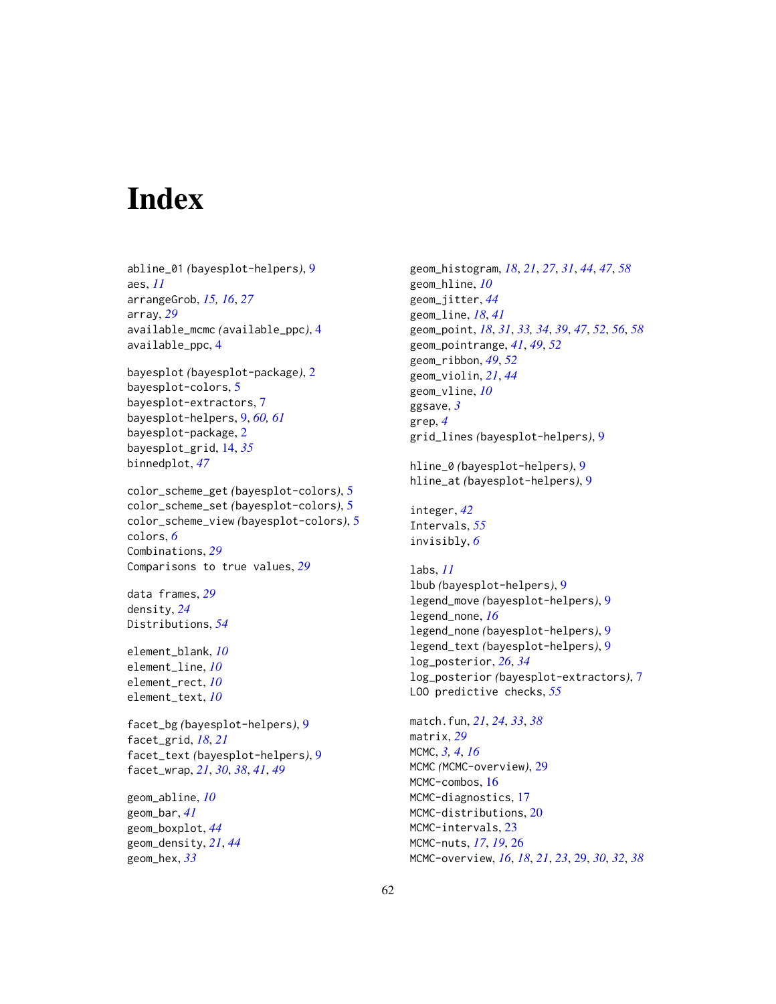# <span id="page-61-0"></span>**Index**

abline\_01 *(*bayesplot-helpers*)*, [9](#page-8-0) aes, *[11](#page-10-0)* arrangeGrob, *[15,](#page-14-0) [16](#page-15-0)*, *[27](#page-26-0)* array, *[29](#page-28-0)* available\_mcmc *(*available\_ppc*)*, [4](#page-3-0) available\_ppc, [4](#page-3-0) bayesplot *(*bayesplot-package*)*, [2](#page-1-0) bayesplot-colors, [5](#page-4-0) bayesplot-extractors, [7](#page-6-0) bayesplot-helpers, [9,](#page-8-0) *[60,](#page-59-0) [61](#page-60-0)* bayesplot-package, [2](#page-1-0) bayesplot\_grid, [14,](#page-13-0) *[35](#page-34-0)* binnedplot, *[47](#page-46-0)* color\_scheme\_get *(*bayesplot-colors*)*, [5](#page-4-0) color\_scheme\_set *(*bayesplot-colors*)*, [5](#page-4-0) color\_scheme\_view *(*bayesplot-colors*)*, [5](#page-4-0) colors, *[6](#page-5-0)* Combinations, *[29](#page-28-0)* Comparisons to true values, *[29](#page-28-0)* data frames, *[29](#page-28-0)* density, *[24](#page-23-0)* Distributions, *[54](#page-53-0)* element\_blank, *[10](#page-9-0)* element\_line, *[10](#page-9-0)* element\_rect, *[10](#page-9-0)* element\_text, *[10](#page-9-0)* facet\_bg *(*bayesplot-helpers*)*, [9](#page-8-0) facet\_grid, *[18](#page-17-0)*, *[21](#page-20-0)* facet\_text *(*bayesplot-helpers*)*, [9](#page-8-0) facet\_wrap, *[21](#page-20-0)*, *[30](#page-29-0)*, *[38](#page-37-0)*, *[41](#page-40-0)*, *[49](#page-48-0)* geom\_abline, *[10](#page-9-0)*

geom\_bar, *[41](#page-40-0)* geom\_boxplot, *[44](#page-43-0)* geom\_density, *[21](#page-20-0)*, *[44](#page-43-0)* geom\_hex, *[33](#page-32-0)*

geom\_histogram, *[18](#page-17-0)*, *[21](#page-20-0)*, *[27](#page-26-0)*, *[31](#page-30-0)*, *[44](#page-43-0)*, *[47](#page-46-0)*, *[58](#page-57-0)* geom\_hline, *[10](#page-9-0)* geom\_jitter, *[44](#page-43-0)* geom\_line, *[18](#page-17-0)*, *[41](#page-40-0)* geom\_point, *[18](#page-17-0)*, *[31](#page-30-0)*, *[33,](#page-32-0) [34](#page-33-0)*, *[39](#page-38-0)*, *[47](#page-46-0)*, *[52](#page-51-0)*, *[56](#page-55-0)*, *[58](#page-57-0)* geom\_pointrange, *[41](#page-40-0)*, *[49](#page-48-0)*, *[52](#page-51-0)* geom\_ribbon, *[49](#page-48-0)*, *[52](#page-51-0)* geom\_violin, *[21](#page-20-0)*, *[44](#page-43-0)* geom\_vline, *[10](#page-9-0)* ggsave, *[3](#page-2-0)* grep, *[4](#page-3-0)* grid\_lines *(*bayesplot-helpers*)*, [9](#page-8-0)

hline\_0 *(*bayesplot-helpers*)*, [9](#page-8-0) hline\_at *(*bayesplot-helpers*)*, [9](#page-8-0)

integer, *[42](#page-41-0)* Intervals, *[55](#page-54-0)* invisibly, *[6](#page-5-0)*

labs, *[11](#page-10-0)* lbub *(*bayesplot-helpers*)*, [9](#page-8-0) legend\_move *(*bayesplot-helpers*)*, [9](#page-8-0) legend\_none, *[16](#page-15-0)* legend\_none *(*bayesplot-helpers*)*, [9](#page-8-0) legend\_text *(*bayesplot-helpers*)*, [9](#page-8-0) log\_posterior, *[26](#page-25-0)*, *[34](#page-33-0)* log\_posterior *(*bayesplot-extractors*)*, [7](#page-6-0) LOO predictive checks, *[55](#page-54-0)*

match.fun, *[21](#page-20-0)*, *[24](#page-23-0)*, *[33](#page-32-0)*, *[38](#page-37-0)* matrix, *[29](#page-28-0)* MCMC, *[3,](#page-2-0) [4](#page-3-0)*, *[16](#page-15-0)* MCMC *(*MCMC-overview*)*, [29](#page-28-0) MCMC-combos, [16](#page-15-0) MCMC-diagnostics, [17](#page-16-0) MCMC-distributions, [20](#page-19-0) MCMC-intervals, [23](#page-22-0) MCMC-nuts, *[17](#page-16-0)*, *[19](#page-18-0)*, [26](#page-25-0) MCMC-overview, *[16](#page-15-0)*, *[18](#page-17-0)*, *[21](#page-20-0)*, *[23](#page-22-0)*, [29,](#page-28-0) *[30](#page-29-0)*, *[32](#page-31-0)*, *[38](#page-37-0)*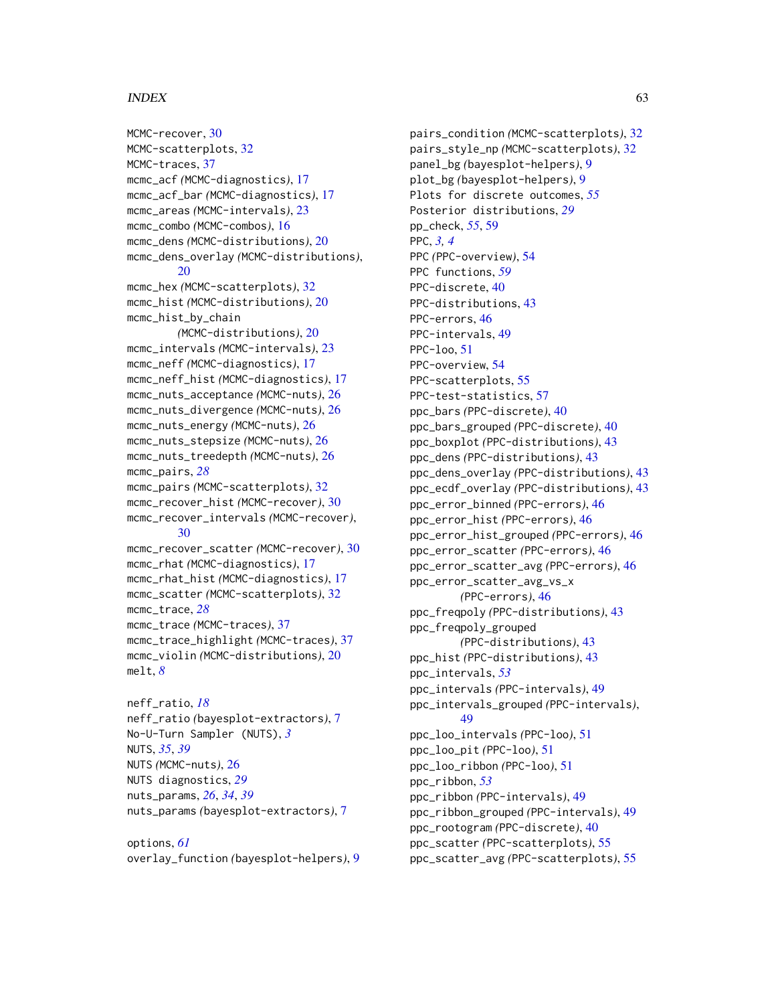## $I<sub>N</sub>DEX$  63

MCMC-recover, [30](#page-29-0) MCMC-scatterplots, [32](#page-31-0) MCMC-traces, [37](#page-36-0) mcmc\_acf *(*MCMC-diagnostics*)*, [17](#page-16-0) mcmc\_acf\_bar *(*MCMC-diagnostics*)*, [17](#page-16-0) mcmc\_areas *(*MCMC-intervals*)*, [23](#page-22-0) mcmc\_combo *(*MCMC-combos*)*, [16](#page-15-0) mcmc\_dens *(*MCMC-distributions*)*, [20](#page-19-0) mcmc\_dens\_overlay *(*MCMC-distributions*)*, [20](#page-19-0) mcmc\_hex *(*MCMC-scatterplots*)*, [32](#page-31-0) mcmc\_hist *(*MCMC-distributions*)*, [20](#page-19-0) mcmc\_hist\_by\_chain *(*MCMC-distributions*)*, [20](#page-19-0) mcmc\_intervals *(*MCMC-intervals*)*, [23](#page-22-0) mcmc\_neff *(*MCMC-diagnostics*)*, [17](#page-16-0) mcmc\_neff\_hist *(*MCMC-diagnostics*)*, [17](#page-16-0) mcmc\_nuts\_acceptance *(*MCMC-nuts*)*, [26](#page-25-0) mcmc\_nuts\_divergence *(*MCMC-nuts*)*, [26](#page-25-0) mcmc\_nuts\_energy *(*MCMC-nuts*)*, [26](#page-25-0) mcmc\_nuts\_stepsize *(*MCMC-nuts*)*, [26](#page-25-0) mcmc\_nuts\_treedepth *(*MCMC-nuts*)*, [26](#page-25-0) mcmc\_pairs, *[28](#page-27-0)* mcmc\_pairs *(*MCMC-scatterplots*)*, [32](#page-31-0) mcmc\_recover\_hist *(*MCMC-recover*)*, [30](#page-29-0) mcmc\_recover\_intervals *(*MCMC-recover*)*, [30](#page-29-0) mcmc\_recover\_scatter *(*MCMC-recover*)*, [30](#page-29-0) mcmc\_rhat *(*MCMC-diagnostics*)*, [17](#page-16-0) mcmc\_rhat\_hist *(*MCMC-diagnostics*)*, [17](#page-16-0) mcmc\_scatter *(*MCMC-scatterplots*)*, [32](#page-31-0) mcmc\_trace, *[28](#page-27-0)* mcmc\_trace *(*MCMC-traces*)*, [37](#page-36-0) mcmc\_trace\_highlight *(*MCMC-traces*)*, [37](#page-36-0) mcmc\_violin *(*MCMC-distributions*)*, [20](#page-19-0) melt, *[8](#page-7-0)* neff\_ratio, *[18](#page-17-0)* neff\_ratio *(*bayesplot-extractors*)*, [7](#page-6-0)

```
No-U-Turn Sampler (NUTS), 3
NUTS, 35, 39
NUTS (MCMC-nuts), 26
NUTS diagnostics, 29
nuts_params, 26, 34, 39
nuts_params (bayesplot-extractors), 7
```
options, *[61](#page-60-0)* overlay\_function *(*bayesplot-helpers*)*, [9](#page-8-0)

pairs\_condition *(*MCMC-scatterplots*)*, [32](#page-31-0) pairs\_style\_np *(*MCMC-scatterplots*)*, [32](#page-31-0) panel\_bg *(*bayesplot-helpers*)*, [9](#page-8-0) plot\_bg *(*bayesplot-helpers*)*, [9](#page-8-0) Plots for discrete outcomes, *[55](#page-54-0)* Posterior distributions, *[29](#page-28-0)* pp\_check, *[55](#page-54-0)*, [59](#page-58-0) PPC, *[3,](#page-2-0) [4](#page-3-0)* PPC *(*PPC-overview*)*, [54](#page-53-0) PPC functions, *[59](#page-58-0)* PPC-discrete, [40](#page-39-0) PPC-distributions, [43](#page-42-0) PPC-errors, [46](#page-45-0) PPC-intervals, [49](#page-48-0) PPC-loo, [51](#page-50-0) PPC-overview, [54](#page-53-0) PPC-scatterplots, [55](#page-54-0) PPC-test-statistics, [57](#page-56-0) ppc\_bars *(*PPC-discrete*)*, [40](#page-39-0) ppc\_bars\_grouped *(*PPC-discrete*)*, [40](#page-39-0) ppc\_boxplot *(*PPC-distributions*)*, [43](#page-42-0) ppc\_dens *(*PPC-distributions*)*, [43](#page-42-0) ppc\_dens\_overlay *(*PPC-distributions*)*, [43](#page-42-0) ppc\_ecdf\_overlay *(*PPC-distributions*)*, [43](#page-42-0) ppc\_error\_binned *(*PPC-errors*)*, [46](#page-45-0) ppc\_error\_hist *(*PPC-errors*)*, [46](#page-45-0) ppc\_error\_hist\_grouped *(*PPC-errors*)*, [46](#page-45-0) ppc\_error\_scatter *(*PPC-errors*)*, [46](#page-45-0) ppc\_error\_scatter\_avg *(*PPC-errors*)*, [46](#page-45-0) ppc\_error\_scatter\_avg\_vs\_x *(*PPC-errors*)*, [46](#page-45-0) ppc\_freqpoly *(*PPC-distributions*)*, [43](#page-42-0) ppc\_freqpoly\_grouped *(*PPC-distributions*)*, [43](#page-42-0) ppc\_hist *(*PPC-distributions*)*, [43](#page-42-0) ppc\_intervals, *[53](#page-52-0)* ppc\_intervals *(*PPC-intervals*)*, [49](#page-48-0) ppc\_intervals\_grouped *(*PPC-intervals*)*, [49](#page-48-0) ppc\_loo\_intervals *(*PPC-loo*)*, [51](#page-50-0) ppc\_loo\_pit *(*PPC-loo*)*, [51](#page-50-0) ppc\_loo\_ribbon *(*PPC-loo*)*, [51](#page-50-0) ppc\_ribbon, *[53](#page-52-0)* ppc\_ribbon *(*PPC-intervals*)*, [49](#page-48-0) ppc\_ribbon\_grouped *(*PPC-intervals*)*, [49](#page-48-0) ppc\_rootogram *(*PPC-discrete*)*, [40](#page-39-0) ppc\_scatter *(*PPC-scatterplots*)*, [55](#page-54-0) ppc\_scatter\_avg *(*PPC-scatterplots*)*, [55](#page-54-0)